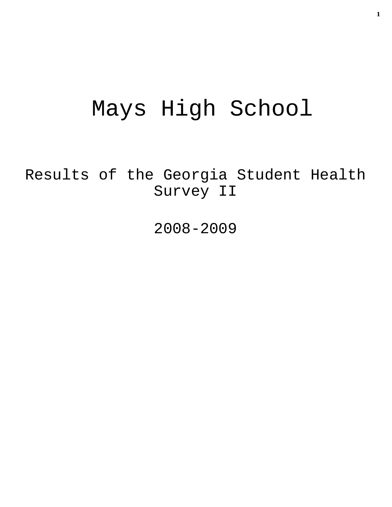# Mays High School

Results of the Georgia Student Health Survey II

2008-2009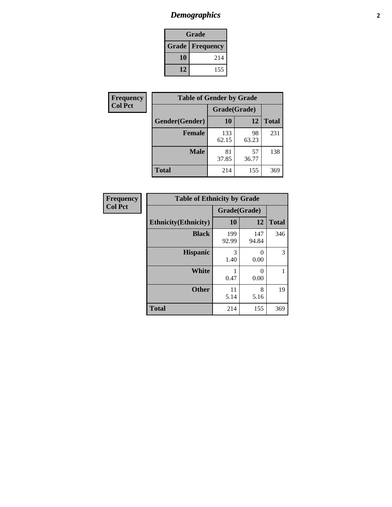# *Demographics* **2**

| Grade                    |     |  |  |  |
|--------------------------|-----|--|--|--|
| <b>Grade   Frequency</b> |     |  |  |  |
| 10                       | 214 |  |  |  |
| 12                       | 155 |  |  |  |

| <b>Frequency</b> | <b>Table of Gender by Grade</b> |              |             |              |  |  |
|------------------|---------------------------------|--------------|-------------|--------------|--|--|
| <b>Col Pct</b>   |                                 | Grade(Grade) |             |              |  |  |
|                  | Gender(Gender)                  | 10           | 12          | <b>Total</b> |  |  |
|                  | <b>Female</b>                   | 133<br>62.15 | 98<br>63.23 | 231          |  |  |
|                  | <b>Male</b>                     | 81<br>37.85  | 57<br>36.77 | 138          |  |  |
|                  | <b>Total</b>                    | 214          | 155         | 369          |  |  |

| <b>Frequency</b><br>Col Pct |
|-----------------------------|
|-----------------------------|

| <b>Table of Ethnicity by Grade</b> |              |              |              |  |  |  |
|------------------------------------|--------------|--------------|--------------|--|--|--|
|                                    | Grade(Grade) |              |              |  |  |  |
| <b>Ethnicity</b> (Ethnicity)       | 10           | 12           | <b>Total</b> |  |  |  |
| <b>Black</b>                       | 199<br>92.99 | 147<br>94.84 | 346          |  |  |  |
| <b>Hispanic</b>                    | 3<br>1.40    | 0<br>0.00    | 3            |  |  |  |
| <b>White</b>                       | 0.47         | 0<br>0.00    |              |  |  |  |
| <b>Other</b>                       | 11<br>5.14   | 8<br>5.16    | 19           |  |  |  |
| Total                              | 214          | 155          | 369          |  |  |  |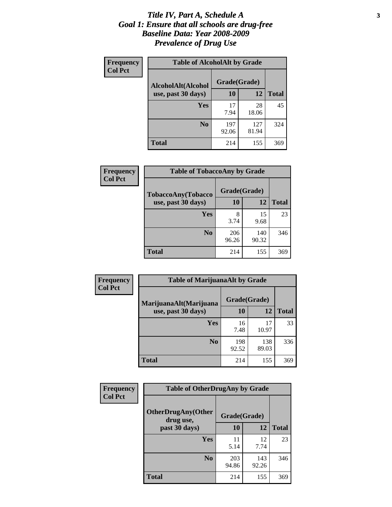#### *Title IV, Part A, Schedule A* **3** *Goal 1: Ensure that all schools are drug-free Baseline Data: Year 2008-2009 Prevalence of Drug Use*

| Frequency<br><b>Col Pct</b> | <b>Table of AlcoholAlt by Grade</b> |              |              |              |  |
|-----------------------------|-------------------------------------|--------------|--------------|--------------|--|
|                             | AlcoholAlt(Alcohol                  | Grade(Grade) |              |              |  |
|                             | use, past 30 days)                  | <b>10</b>    | 12           | <b>Total</b> |  |
|                             | Yes                                 | 17<br>7.94   | 28<br>18.06  | 45           |  |
|                             | N <sub>0</sub>                      | 197<br>92.06 | 127<br>81.94 | 324          |  |
|                             | Total                               | 214          | 155          | 369          |  |

| Frequency<br><b>Col Pct</b> | <b>Table of TobaccoAny by Grade</b> |              |              |              |  |  |
|-----------------------------|-------------------------------------|--------------|--------------|--------------|--|--|
|                             | TobaccoAny(Tobacco                  | Grade(Grade) |              |              |  |  |
|                             | use, past 30 days)                  | 10           | 12           | <b>Total</b> |  |  |
|                             | <b>Yes</b>                          | 8<br>3.74    | 15<br>9.68   | 23           |  |  |
|                             | N <sub>0</sub>                      | 206<br>96.26 | 140<br>90.32 | 346          |  |  |
|                             | <b>Total</b>                        | 214          | 155          | 369          |  |  |

| Frequency      | <b>Table of MarijuanaAlt by Grade</b> |              |              |              |  |  |
|----------------|---------------------------------------|--------------|--------------|--------------|--|--|
| <b>Col Pct</b> | MarijuanaAlt(Marijuana                | Grade(Grade) |              |              |  |  |
|                | use, past 30 days)                    | 10           | 12           | <b>Total</b> |  |  |
|                | Yes                                   | 16<br>7.48   | 17<br>10.97  | 33           |  |  |
|                | N <sub>0</sub>                        | 198<br>92.52 | 138<br>89.03 | 336          |  |  |
|                | <b>Total</b>                          | 214          | 155          | 369          |  |  |

| Frequency<br><b>Col Pct</b> | <b>Table of OtherDrugAny by Grade</b>                  |              |              |     |  |
|-----------------------------|--------------------------------------------------------|--------------|--------------|-----|--|
|                             | <b>OtherDrugAny(Other</b><br>Grade(Grade)<br>drug use, |              |              |     |  |
| past 30 days)               | 10                                                     | 12           | <b>Total</b> |     |  |
|                             | Yes                                                    | 11<br>5.14   | 12<br>7.74   | 23  |  |
|                             | N <sub>0</sub>                                         | 203<br>94.86 | 143<br>92.26 | 346 |  |
|                             | <b>Total</b>                                           | 214          | 155          | 369 |  |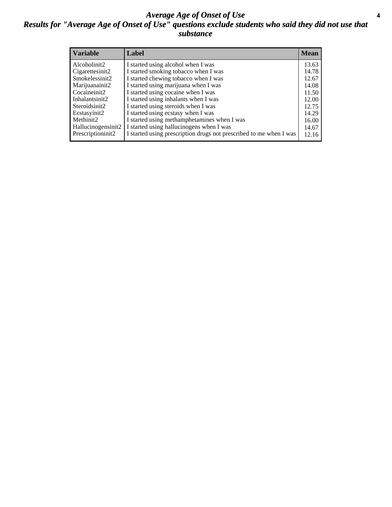#### *Average Age of Onset of Use* **4** *Results for "Average Age of Onset of Use" questions exclude students who said they did not use that substance*

| <b>Variable</b>       | Label                                                              | <b>Mean</b> |
|-----------------------|--------------------------------------------------------------------|-------------|
| Alcoholinit2          | I started using alcohol when I was                                 | 13.63       |
| Cigarettesinit2       | I started smoking tobacco when I was                               | 14.78       |
| Smokelessinit2        | I started chewing tobacco when I was                               | 12.67       |
| Marijuanainit2        | I started using marijuana when I was                               | 14.08       |
| Cocaineinit2          | I started using cocaine when I was                                 | 11.50       |
| Inhalantsinit2        | I started using inhalants when I was                               | 12.00       |
| Steroidsinit2         | I started using steroids when I was                                | 12.75       |
| Ecstasyinit2          | I started using ecstasy when I was                                 | 14.29       |
| Methinit <sub>2</sub> | I started using methamphetamines when I was                        | 16.00       |
| Hallucinogensinit2    | I started using hallucinogens when I was                           | 14.67       |
| Prescriptioninit2     | I started using prescription drugs not prescribed to me when I was | 12.16       |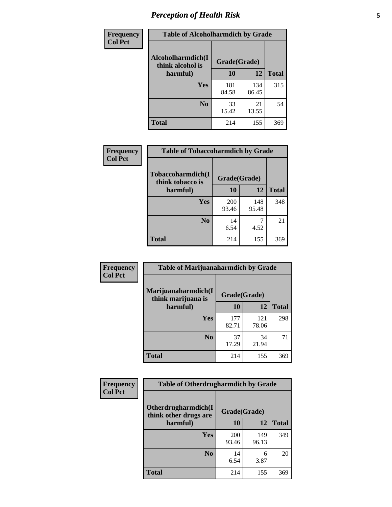# *Perception of Health Risk* **5**

| Frequency      | <b>Table of Alcoholharmdich by Grade</b> |              |              |              |  |
|----------------|------------------------------------------|--------------|--------------|--------------|--|
| <b>Col Pct</b> | Alcoholharmdich(I<br>think alcohol is    | Grade(Grade) |              |              |  |
|                | harmful)                                 | 10           | 12           | <b>Total</b> |  |
|                | <b>Yes</b>                               | 181<br>84.58 | 134<br>86.45 | 315          |  |
|                | N <sub>0</sub>                           | 33<br>15.42  | 21<br>13.55  | 54           |  |
|                | <b>Total</b>                             | 214          | 155          | 369          |  |

| Frequency      | <b>Table of Tobaccoharmdich by Grade</b>          |              |              |              |  |
|----------------|---------------------------------------------------|--------------|--------------|--------------|--|
| <b>Col Pct</b> | Tobaccoharmdich(I<br>think tobacco is<br>harmful) | Grade(Grade) |              |              |  |
|                |                                                   | 10           | 12           | <b>Total</b> |  |
|                | <b>Yes</b>                                        | 200<br>93.46 | 148<br>95.48 | 348          |  |
|                | N <sub>0</sub>                                    | 14<br>6.54   | 4.52         | 21           |  |
|                | <b>Total</b>                                      | 214          | 155          | 369          |  |

| Frequency      | <b>Table of Marijuanaharmdich by Grade</b> |              |              |              |  |  |
|----------------|--------------------------------------------|--------------|--------------|--------------|--|--|
| <b>Col Pct</b> | Marijuanaharmdich(I<br>think marijuana is  | Grade(Grade) |              |              |  |  |
|                | harmful)                                   | 10           | 12           | <b>Total</b> |  |  |
|                | Yes                                        | 177<br>82.71 | 121<br>78.06 | 298          |  |  |
|                | N <sub>0</sub>                             | 37<br>17.29  | 34<br>21.94  | 71           |  |  |
|                | <b>Total</b>                               | 214          | 155          | 369          |  |  |

| <b>Frequency</b> | <b>Table of Otherdrugharmdich by Grade</b>   |              |              |              |  |
|------------------|----------------------------------------------|--------------|--------------|--------------|--|
| <b>Col Pct</b>   | Otherdrugharmdich(I<br>think other drugs are | Grade(Grade) |              |              |  |
|                  | harmful)                                     | 10           | 12           | <b>Total</b> |  |
|                  | Yes                                          | 200<br>93.46 | 149<br>96.13 | 349          |  |
|                  | N <sub>0</sub>                               | 14<br>6.54   | 6<br>3.87    | 20           |  |
|                  | <b>Total</b>                                 | 214          | 155          | 369          |  |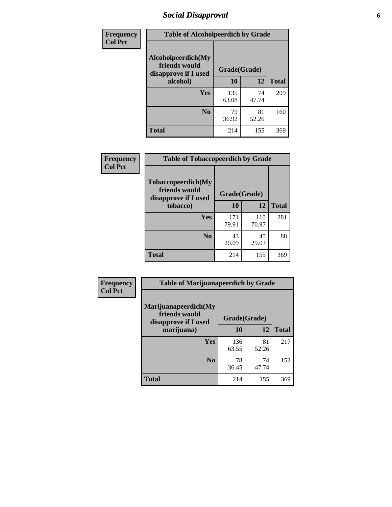# *Social Disapproval* **6**

| Frequency      | <b>Table of Alcoholpeerdich by Grade</b>                    |              |             |              |  |  |  |
|----------------|-------------------------------------------------------------|--------------|-------------|--------------|--|--|--|
| <b>Col Pct</b> | Alcoholpeerdich(My<br>friends would<br>disapprove if I used | Grade(Grade) |             |              |  |  |  |
|                | alcohol)                                                    | 10           | 12          | <b>Total</b> |  |  |  |
|                | <b>Yes</b>                                                  | 135<br>63.08 | 74<br>47.74 | 209          |  |  |  |
|                | N <sub>0</sub>                                              | 79<br>36.92  | 81<br>52.26 | 160          |  |  |  |
|                | Total                                                       | 214          | 155         | 369          |  |  |  |

| <b>Frequency</b> |
|------------------|
| <b>Col Pct</b>   |

| <b>Table of Tobaccopeerdich by Grade</b>                           |              |              |              |  |  |
|--------------------------------------------------------------------|--------------|--------------|--------------|--|--|
| <b>Tobaccopeerdich(My</b><br>friends would<br>disapprove if I used | Grade(Grade) |              |              |  |  |
| tobacco)                                                           | 10           | 12           | <b>Total</b> |  |  |
| Yes                                                                | 171<br>79.91 | 110<br>70.97 | 281          |  |  |
| N <sub>0</sub>                                                     | 43<br>20.09  | 45<br>29.03  | 88           |  |  |
| <b>Total</b>                                                       | 214          | 155          | 369          |  |  |

| Frequency      | <b>Table of Marijuanapeerdich by Grade</b>                    |              |             |              |  |
|----------------|---------------------------------------------------------------|--------------|-------------|--------------|--|
| <b>Col Pct</b> | Marijuanapeerdich(My<br>friends would<br>disapprove if I used | Grade(Grade) |             |              |  |
|                | marijuana)                                                    | 10           | 12          | <b>Total</b> |  |
|                | <b>Yes</b>                                                    | 136<br>63.55 | 81<br>52.26 | 217          |  |
|                | N <sub>0</sub>                                                | 78<br>36.45  | 74<br>47.74 | 152          |  |
|                | <b>Total</b>                                                  | 214          | 155         | 369          |  |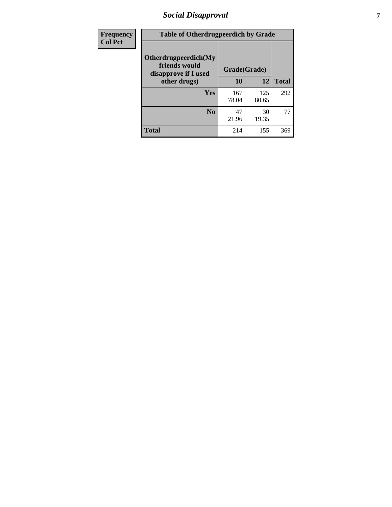# *Social Disapproval* **7**

| Frequency      | <b>Table of Otherdrugpeerdich by Grade</b>                    |              |              |              |  |  |
|----------------|---------------------------------------------------------------|--------------|--------------|--------------|--|--|
| <b>Col Pct</b> | Otherdrugpeerdich(My<br>friends would<br>disapprove if I used | Grade(Grade) |              |              |  |  |
|                | other drugs)                                                  | 10           | 12           | <b>Total</b> |  |  |
|                | Yes                                                           | 167<br>78.04 | 125<br>80.65 | 292          |  |  |
|                | N <sub>0</sub>                                                | 47<br>21.96  | 30<br>19.35  | 77           |  |  |
|                | <b>Total</b>                                                  | 214          | 155          | 369          |  |  |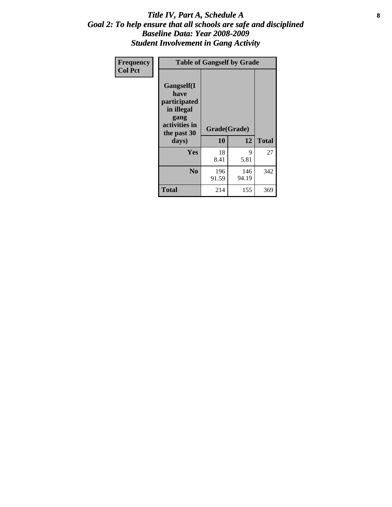#### Title IV, Part A, Schedule A **8** *Goal 2: To help ensure that all schools are safe and disciplined Baseline Data: Year 2008-2009 Student Involvement in Gang Activity*

| Frequency      | <b>Table of Gangself by Grade</b>                                                                 |                    |              |              |  |
|----------------|---------------------------------------------------------------------------------------------------|--------------------|--------------|--------------|--|
| <b>Col Pct</b> | Gangself(I<br>have<br>participated<br>in illegal<br>gang<br>activities in<br>the past 30<br>days) | Grade(Grade)<br>10 | 12           | <b>Total</b> |  |
|                | Yes                                                                                               | 18<br>8.41         | 9<br>5.81    | 27           |  |
|                | N <sub>0</sub>                                                                                    | 196<br>91.59       | 146<br>94.19 | 342          |  |
|                | <b>Total</b>                                                                                      | 214                | 155          | 369          |  |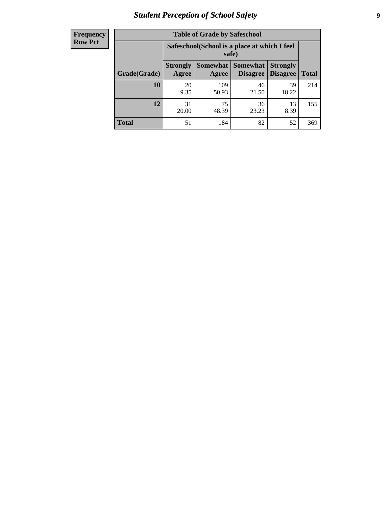# *Student Perception of School Safety* **9**

| <b>Frequency</b><br>Row Pct |
|-----------------------------|
|                             |

| <b>Table of Grade by Safeschool</b> |                          |                                                                                                               |             |             |     |  |  |
|-------------------------------------|--------------------------|---------------------------------------------------------------------------------------------------------------|-------------|-------------|-----|--|--|
|                                     |                          | Safeschool (School is a place at which I feel<br>safe)                                                        |             |             |     |  |  |
| Grade(Grade)                        | <b>Strongly</b><br>Agree | <b>Somewhat</b><br><b>Somewhat</b><br><b>Strongly</b><br><b>Disagree</b><br>Disagree<br><b>Total</b><br>Agree |             |             |     |  |  |
| 10                                  | 20<br>9.35               | 109<br>50.93                                                                                                  | 46<br>21.50 | 39<br>18.22 | 214 |  |  |
| 12                                  | 31<br>20.00              | 75<br>48.39                                                                                                   | 36<br>23.23 | 13<br>8.39  | 155 |  |  |
| <b>Total</b>                        | 51                       | 184                                                                                                           | 82          | 52          | 369 |  |  |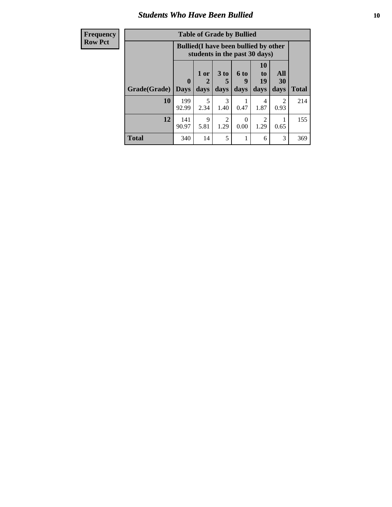### *Students Who Have Been Bullied* **10**

| <b>Frequency</b> | <b>Table of Grade by Bullied</b> |                                                                               |           |                                     |                  |                                     |           |              |
|------------------|----------------------------------|-------------------------------------------------------------------------------|-----------|-------------------------------------|------------------|-------------------------------------|-----------|--------------|
| <b>Row Pct</b>   |                                  | <b>Bullied</b> (I have been bullied by other<br>students in the past 30 days) |           |                                     |                  |                                     |           |              |
|                  |                                  | $\mathbf{0}$                                                                  | 1 or<br>2 | 3 <sub>to</sub>                     | 6 to<br>9        | <b>10</b><br>to<br>19               | All<br>30 |              |
|                  | Grade(Grade)                     | Days                                                                          | days      | days                                | days             | days                                | days      | <b>Total</b> |
|                  | 10                               | 199<br>92.99                                                                  | 5<br>2.34 | 3<br>1.40                           | 0.47             | 4<br>1.87                           | 2<br>0.93 | 214          |
|                  | 12                               | 141<br>90.97                                                                  | 9<br>5.81 | $\mathcal{D}_{\mathcal{A}}$<br>1.29 | $\Omega$<br>0.00 | $\mathcal{D}_{\mathcal{A}}$<br>1.29 | 0.65      | 155          |
|                  | <b>Total</b>                     | 340                                                                           | 14        | 5                                   | 1                | 6                                   | 3         | 369          |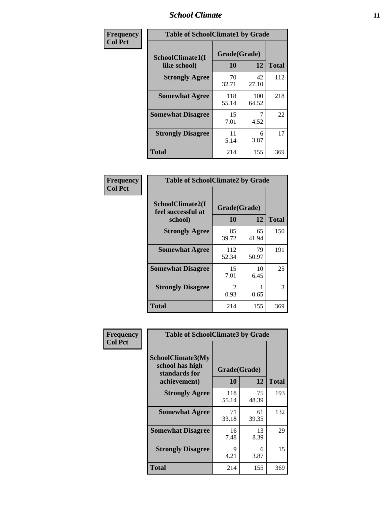### *School Climate* **11**

| Frequency      | <b>Table of SchoolClimate1 by Grade</b> |                    |              |              |  |  |
|----------------|-----------------------------------------|--------------------|--------------|--------------|--|--|
| <b>Col Pct</b> | SchoolClimate1(I<br>like school)        | Grade(Grade)<br>10 | 12           | <b>Total</b> |  |  |
|                | <b>Strongly Agree</b>                   | 70<br>32.71        | 42<br>27.10  | 112          |  |  |
|                | <b>Somewhat Agree</b>                   | 118<br>55.14       | 100<br>64.52 | 218          |  |  |
|                | <b>Somewhat Disagree</b>                | 15<br>7.01         | 4.52         | 22           |  |  |
|                | <b>Strongly Disagree</b>                | 11<br>5.14         | 6<br>3.87    | 17           |  |  |
|                | <b>Total</b>                            | 214                | 155          | 369          |  |  |

| <b>Frequency</b> |
|------------------|
| <b>Col Pct</b>   |

| <b>Table of SchoolClimate2 by Grade</b>           |                          |             |     |  |
|---------------------------------------------------|--------------------------|-------------|-----|--|
| SchoolClimate2(I<br>feel successful at<br>school) | Grade(Grade)<br>10<br>12 |             |     |  |
| <b>Strongly Agree</b>                             | 85<br>39.72              | 65<br>41.94 | 150 |  |
| <b>Somewhat Agree</b>                             | 112<br>52.34             | 79<br>50.97 | 191 |  |
| <b>Somewhat Disagree</b>                          | 15<br>7.01               | 10<br>6.45  | 25  |  |
| <b>Strongly Disagree</b>                          | $\mathcal{L}$<br>0.93    | 0.65        | 3   |  |
| Total                                             | 214                      | 155         | 369 |  |

| Frequency      | <b>Table of SchoolClimate3 by Grade</b>                      |                    |             |              |
|----------------|--------------------------------------------------------------|--------------------|-------------|--------------|
| <b>Col Pct</b> | <b>SchoolClimate3(My</b><br>school has high<br>standards for | Grade(Grade)<br>10 | 12          |              |
|                | achievement)                                                 |                    |             | <b>Total</b> |
|                | <b>Strongly Agree</b>                                        | 118<br>55.14       | 75<br>48.39 | 193          |
|                | <b>Somewhat Agree</b>                                        | 71<br>33.18        | 61<br>39.35 | 132          |
|                | <b>Somewhat Disagree</b>                                     | 16<br>7.48         | 13<br>8.39  | 29           |
|                | <b>Strongly Disagree</b>                                     | 9<br>4.21          | 6<br>3.87   | 15           |
|                | Total                                                        | 214                | 155         | 369          |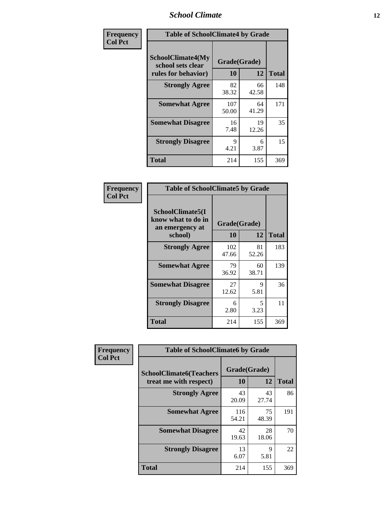### *School Climate* **12**

| Frequency      |                                                               | <b>Table of SchoolClimate4 by Grade</b> |             |              |  |
|----------------|---------------------------------------------------------------|-----------------------------------------|-------------|--------------|--|
| <b>Col Pct</b> | SchoolClimate4(My<br>school sets clear<br>rules for behavior) | Grade(Grade)<br>10                      | 12          | <b>Total</b> |  |
|                | <b>Strongly Agree</b>                                         | 82<br>38.32                             | 66<br>42.58 | 148          |  |
|                | <b>Somewhat Agree</b>                                         | 107<br>50.00                            | 64<br>41.29 | 171          |  |
|                | <b>Somewhat Disagree</b>                                      | 16<br>7.48                              | 19<br>12.26 | 35           |  |
|                | <b>Strongly Disagree</b>                                      | 9<br>4.21                               | 6<br>3.87   | 15           |  |
|                | <b>Total</b>                                                  | 214                                     | 155         | 369          |  |

| <b>Table of SchoolClimate5 by Grade</b>                   |              |             |              |  |  |
|-----------------------------------------------------------|--------------|-------------|--------------|--|--|
| SchoolClimate5(I<br>know what to do in<br>an emergency at | Grade(Grade) |             |              |  |  |
| school)                                                   | 10           | 12          | <b>Total</b> |  |  |
| <b>Strongly Agree</b>                                     | 102<br>47.66 | 81<br>52.26 | 183          |  |  |
| <b>Somewhat Agree</b>                                     | 79<br>36.92  | 60<br>38.71 | 139          |  |  |
| <b>Somewhat Disagree</b>                                  | 27<br>12.62  | 9<br>5.81   | 36           |  |  |
| <b>Strongly Disagree</b>                                  | 6<br>2.80    | 5<br>3.23   | 11           |  |  |
| <b>Total</b>                                              | 214          | 155         | 369          |  |  |

| Frequency      | <b>Table of SchoolClimate6 by Grade</b>                  |                    |             |              |
|----------------|----------------------------------------------------------|--------------------|-------------|--------------|
| <b>Col Pct</b> | <b>SchoolClimate6(Teachers</b><br>treat me with respect) | Grade(Grade)<br>10 | 12          | <b>Total</b> |
|                | <b>Strongly Agree</b>                                    | 43<br>20.09        | 43<br>27.74 | 86           |
|                | <b>Somewhat Agree</b>                                    | 116<br>54.21       | 75<br>48.39 | 191          |
|                | <b>Somewhat Disagree</b>                                 | 42<br>19.63        | 28<br>18.06 | 70           |
|                | <b>Strongly Disagree</b>                                 | 13<br>6.07         | 9<br>5.81   | 22           |
|                | <b>Total</b>                                             | 214                | 155         | 369          |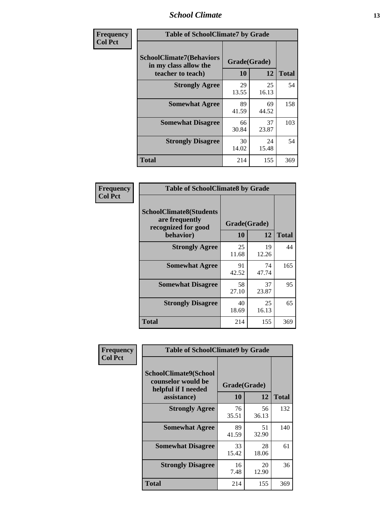### *School Climate* **13**

| Frequency      | <b>Table of SchoolClimate7 by Grade</b>                                       |                           |             |              |
|----------------|-------------------------------------------------------------------------------|---------------------------|-------------|--------------|
| <b>Col Pct</b> | <b>SchoolClimate7(Behaviors</b><br>in my class allow the<br>teacher to teach) | Grade(Grade)<br><b>10</b> | 12          | <b>Total</b> |
|                | <b>Strongly Agree</b>                                                         | 29<br>13.55               | 25<br>16.13 | 54           |
|                | <b>Somewhat Agree</b>                                                         | 89<br>41.59               | 69<br>44.52 | 158          |
|                | <b>Somewhat Disagree</b>                                                      | 66<br>30.84               | 37<br>23.87 | 103          |
|                | <b>Strongly Disagree</b>                                                      | 30<br>14.02               | 24<br>15.48 | 54           |
|                | <b>Total</b>                                                                  | 214                       | 155         | 369          |

| Frequency      | <b>Table of SchoolClimate8 by Grade</b>                                              |                    |             |              |
|----------------|--------------------------------------------------------------------------------------|--------------------|-------------|--------------|
| <b>Col Pct</b> | <b>SchoolClimate8(Students</b><br>are frequently<br>recognized for good<br>behavior) | Grade(Grade)<br>10 | 12          | <b>Total</b> |
|                | <b>Strongly Agree</b>                                                                | 25<br>11.68        | 19<br>12.26 | 44           |
|                | <b>Somewhat Agree</b>                                                                | 91<br>42.52        | 74<br>47.74 | 165          |
|                | <b>Somewhat Disagree</b>                                                             | 58<br>27.10        | 37<br>23.87 | 95           |
|                | <b>Strongly Disagree</b>                                                             | 40<br>18.69        | 25<br>16.13 | 65           |
|                | <b>Total</b>                                                                         | 214                | 155         | 369          |

| <b>Frequency</b> | <b>Table of SchoolClimate9 by Grade</b>                                                  |                    |             |              |
|------------------|------------------------------------------------------------------------------------------|--------------------|-------------|--------------|
| <b>Col Pct</b>   | <b>SchoolClimate9(School</b><br>counselor would be<br>helpful if I needed<br>assistance) | Grade(Grade)<br>10 | 12          | <b>Total</b> |
|                  | <b>Strongly Agree</b>                                                                    | 76<br>35.51        | 56<br>36.13 | 132          |
|                  | <b>Somewhat Agree</b>                                                                    | 89<br>41.59        | 51<br>32.90 | 140          |
|                  | <b>Somewhat Disagree</b>                                                                 | 33<br>15.42        | 28<br>18.06 | 61           |
|                  | <b>Strongly Disagree</b>                                                                 | 16<br>7.48         | 20<br>12.90 | 36           |
|                  | <b>Total</b>                                                                             | 214                | 155         | 369          |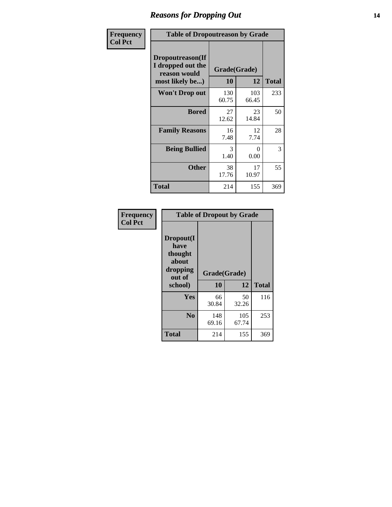### *Reasons for Dropping Out* **14**

| <b>Frequency</b> | <b>Table of Dropoutreason by Grade</b>                                   |                    |              |              |
|------------------|--------------------------------------------------------------------------|--------------------|--------------|--------------|
| <b>Col Pct</b>   | Dropoutreason(If<br>I dropped out the<br>reason would<br>most likely be) | Grade(Grade)<br>10 | 12           | <b>Total</b> |
|                  | <b>Won't Drop out</b>                                                    | 130<br>60.75       | 103<br>66.45 | 233          |
|                  | <b>Bored</b>                                                             | 27<br>12.62        | 23<br>14.84  | 50           |
|                  | <b>Family Reasons</b>                                                    | 16<br>7.48         | 12<br>7.74   | 28           |
|                  | <b>Being Bullied</b>                                                     | 3<br>1.40          | 0<br>0.00    | 3            |
|                  | <b>Other</b>                                                             | 38<br>17.76        | 17<br>10.97  | 55           |
|                  | <b>Total</b>                                                             | 214                | 155          | 369          |

| Frequency      | <b>Table of Dropout by Grade</b>                                       |                    |              |              |
|----------------|------------------------------------------------------------------------|--------------------|--------------|--------------|
| <b>Col Pct</b> | Dropout(I<br>have<br>thought<br>about<br>dropping<br>out of<br>school) | Grade(Grade)<br>10 | 12           | <b>Total</b> |
|                | Yes                                                                    | 66<br>30.84        | 50<br>32.26  | 116          |
|                | N <sub>0</sub>                                                         | 148<br>69.16       | 105<br>67.74 | 253          |
|                | <b>Total</b>                                                           | 214                | 155          | 369          |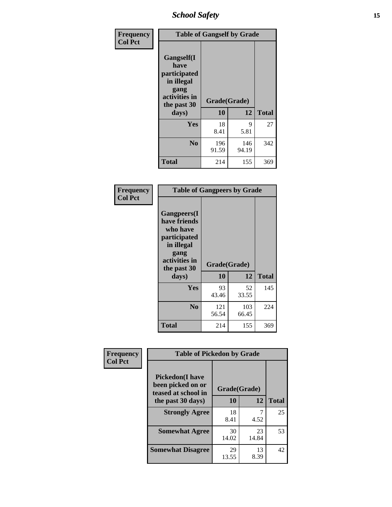*School Safety* **15**

| Frequency      | <b>Table of Gangself by Grade</b>                                                                 |                    |              |              |
|----------------|---------------------------------------------------------------------------------------------------|--------------------|--------------|--------------|
| <b>Col Pct</b> | Gangself(I<br>have<br>participated<br>in illegal<br>gang<br>activities in<br>the past 30<br>days) | Grade(Grade)<br>10 | 12           | <b>Total</b> |
|                | Yes                                                                                               | 18<br>8.41         | 9<br>5.81    | 27           |
|                | N <sub>0</sub>                                                                                    | 196<br>91.59       | 146<br>94.19 | 342          |
|                | <b>Total</b>                                                                                      | 214                | 155          | 369          |

| Frequency<br><b>Col Pct</b> | <b>Table of Gangpeers by Grade</b>                                                                                     |                    |              |              |
|-----------------------------|------------------------------------------------------------------------------------------------------------------------|--------------------|--------------|--------------|
|                             | Gangpeers(I<br>have friends<br>who have<br>participated<br>in illegal<br>gang<br>activities in<br>the past 30<br>days) | Grade(Grade)<br>10 | 12           | <b>Total</b> |
|                             | <b>Yes</b>                                                                                                             | 93<br>43.46        | 52<br>33.55  | 145          |
|                             | N <sub>0</sub>                                                                                                         | 121<br>56.54       | 103<br>66.45 | 224          |
|                             | <b>Total</b>                                                                                                           | 214                | 155          | 369          |

| Frequency      | <b>Table of Pickedon by Grade</b>                                  |              |             |              |
|----------------|--------------------------------------------------------------------|--------------|-------------|--------------|
| <b>Col Pct</b> | <b>Pickedon(I have</b><br>been picked on or<br>teased at school in | Grade(Grade) |             |              |
|                | the past 30 days)                                                  | 10           | 12          | <b>Total</b> |
|                | <b>Strongly Agree</b>                                              | 18<br>8.41   | 4.52        | 25           |
|                | <b>Somewhat Agree</b>                                              | 30<br>14.02  | 23<br>14.84 | 53           |
|                | <b>Somewhat Disagree</b>                                           | 29<br>13.55  | 13<br>8.39  | 42           |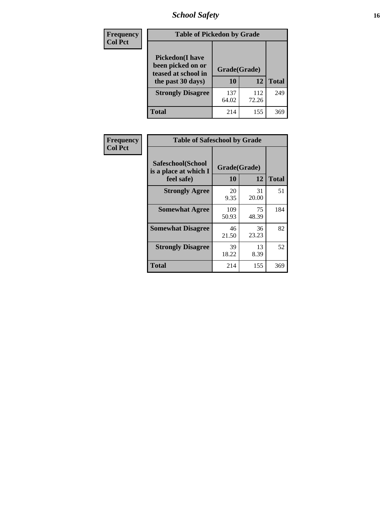# *School Safety* **16**

| <b>Frequency</b> | <b>Table of Pickedon by Grade</b>                                                        |                    |              |                 |
|------------------|------------------------------------------------------------------------------------------|--------------------|--------------|-----------------|
| <b>Col Pct</b>   | <b>Pickedon</b> (I have<br>been picked on or<br>teased at school in<br>the past 30 days) | Grade(Grade)<br>10 | 12           | <b>Total</b>    |
|                  | <b>Strongly Disagree</b>                                                                 | 137<br>64.02       | 112<br>72.26 | 249             |
|                  | Total                                                                                    | 214                | 155          | 36 <sup>S</sup> |

| Frequency      | <b>Table of Safeschool by Grade</b>                      |              |                    |     |  |  |
|----------------|----------------------------------------------------------|--------------|--------------------|-----|--|--|
| <b>Col Pct</b> | Safeschool(School<br>is a place at which I<br>feel safe) | 10           | Grade(Grade)<br>12 |     |  |  |
|                | <b>Strongly Agree</b>                                    | 20<br>9.35   | 31<br>20.00        | 51  |  |  |
|                | <b>Somewhat Agree</b>                                    | 109<br>50.93 | 75<br>48.39        | 184 |  |  |
|                | <b>Somewhat Disagree</b>                                 | 46<br>21.50  | 36<br>23.23        | 82  |  |  |
|                | <b>Strongly Disagree</b>                                 | 39<br>18.22  | 13<br>8.39         | 52  |  |  |
|                | Total                                                    | 214          | 155                | 369 |  |  |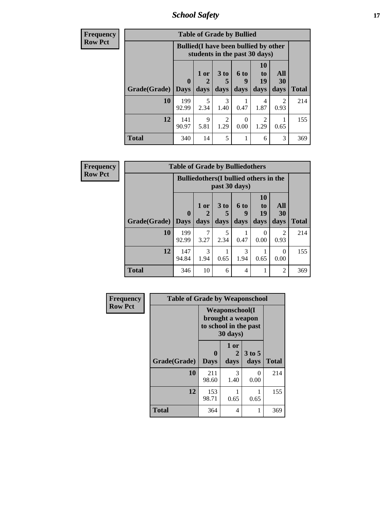*School Safety* **17**

| <b>Frequency</b> | <b>Table of Grade by Bullied</b>                                              |              |                     |                        |                   |                |           |              |  |  |  |
|------------------|-------------------------------------------------------------------------------|--------------|---------------------|------------------------|-------------------|----------------|-----------|--------------|--|--|--|
| <b>Row Pct</b>   | <b>Bullied</b> (I have been bullied by other<br>students in the past 30 days) |              |                     |                        |                   |                |           |              |  |  |  |
|                  |                                                                               | $\mathbf 0$  | 1 or                | 3 <sub>to</sub><br>5   | <b>6 to</b><br>-9 | 10<br>to<br>19 | All<br>30 |              |  |  |  |
|                  | Grade(Grade)   Days                                                           |              | days                | days                   | days              | days           | days      | <b>Total</b> |  |  |  |
|                  | 10                                                                            | 199<br>92.99 | 5<br>2.34           | 3<br>1.40              | 0.47              | 4<br>1.87      | 2<br>0.93 | 214          |  |  |  |
|                  | 12                                                                            | 141<br>90.97 | $\mathbf Q$<br>5.81 | $\overline{2}$<br>1.29 | 0<br>0.00         | 2<br>1.29      | 0.65      | 155          |  |  |  |
|                  | <b>Total</b>                                                                  | 340          | 14                  | 5                      |                   | 6              | 3         | 369          |  |  |  |

| Frequency      |                     | <b>Table of Grade by Bulliedothers</b> |                                                                |              |                   |                                           |                        |              |  |
|----------------|---------------------|----------------------------------------|----------------------------------------------------------------|--------------|-------------------|-------------------------------------------|------------------------|--------------|--|
| <b>Row Pct</b> |                     |                                        | <b>Bulliedothers</b> (I bullied others in the<br>past 30 days) |              |                   |                                           |                        |              |  |
|                | Grade(Grade)   Days | $\mathbf 0$                            | 1 or<br>days                                                   | 3 to<br>days | 6 to<br>9<br>days | <b>10</b><br>t <sub>0</sub><br>19<br>days | All<br>30<br>days      | <b>Total</b> |  |
|                | 10                  | 199<br>92.99                           | 7<br>3.27                                                      | 5<br>2.34    | 0.47              | 0<br>0.00                                 | $\overline{2}$<br>0.93 | 214          |  |
|                | 12                  | 147<br>94.84                           | 3<br>1.94                                                      | 0.65         | 3<br>1.94         | 0.65                                      | 0<br>0.00              | 155          |  |
|                | <b>Total</b>        | 346                                    | 10                                                             | 6            | 4                 |                                           | 2                      | 369          |  |

| Frequency      | <b>Table of Grade by Weaponschool</b> |                                                                                 |                   |                  |              |  |  |  |  |  |
|----------------|---------------------------------------|---------------------------------------------------------------------------------|-------------------|------------------|--------------|--|--|--|--|--|
| <b>Row Pct</b> |                                       | <b>Weaponschool</b> (I<br>brought a weapon<br>to school in the past<br>30 days) |                   |                  |              |  |  |  |  |  |
|                | Grade(Grade)                          | 0<br><b>Days</b>                                                                | 1 or<br>2<br>days | $3$ to 5<br>days | <b>Total</b> |  |  |  |  |  |
|                | 10                                    | 211<br>98.60                                                                    | 3<br>1.40         | 0<br>0.00        | 214          |  |  |  |  |  |
|                | 12                                    | 153<br>98.71                                                                    | 0.65              | 0.65             | 155          |  |  |  |  |  |
|                | <b>Total</b>                          | 364                                                                             | 4                 |                  | 369          |  |  |  |  |  |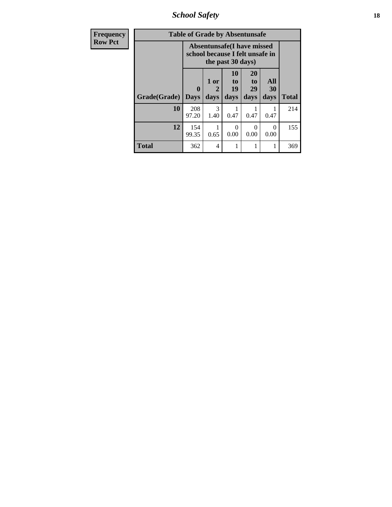*School Safety* **18**

| Frequency      | <b>Table of Grade by Absentunsafe</b> |                                                                      |                   |                                           |                        |                   |              |  |  |
|----------------|---------------------------------------|----------------------------------------------------------------------|-------------------|-------------------------------------------|------------------------|-------------------|--------------|--|--|
| <b>Row Pct</b> |                                       | <b>Absentunsafe(I have missed</b><br>school because I felt unsafe in |                   |                                           |                        |                   |              |  |  |
|                | Grade(Grade)                          | $\mathbf{0}$<br><b>Days</b>                                          | 1 or<br>2<br>days | <b>10</b><br>t <sub>o</sub><br>19<br>days | 20<br>to<br>29<br>days | All<br>30<br>days | <b>Total</b> |  |  |
|                | 10                                    | 208<br>97.20                                                         | 3<br>1.40         | 0.47                                      | 0.47                   | 0.47              | 214          |  |  |
|                | 12                                    | 154<br>99.35                                                         | 0.65              | 0<br>0.00                                 | 0.00                   | 0<br>0.00         | 155          |  |  |
|                | <b>Total</b>                          | 362                                                                  | 4                 |                                           | 1                      |                   | 369          |  |  |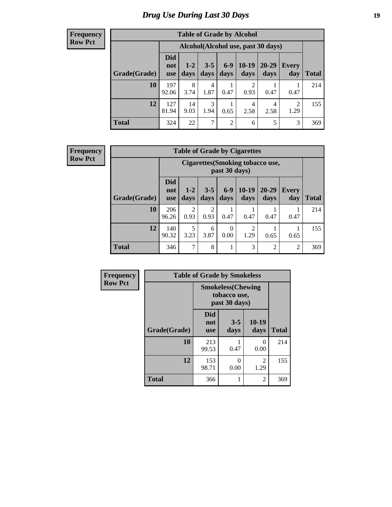# *Drug Use During Last 30 Days* **19**

#### **Frequency Row Pct**

| <b>Table of Grade by Alcohol</b> |                                 |                                     |                 |                |                 |                   |                     |              |  |  |
|----------------------------------|---------------------------------|-------------------------------------|-----------------|----------------|-----------------|-------------------|---------------------|--------------|--|--|
|                                  |                                 | Alcohol (Alcohol use, past 30 days) |                 |                |                 |                   |                     |              |  |  |
| Grade(Grade)                     | <b>Did</b><br>not<br><b>use</b> | $1 - 2$<br>days                     | $3 - 5$<br>days | $6-9$<br>days  | $10-19$<br>days | $20 - 29$<br>days | <b>Every</b><br>day | <b>Total</b> |  |  |
| 10                               | 197<br>92.06                    | 8<br>3.74                           | 4<br>1.87       | 0.47           | 2<br>0.93       | 0.47              | 0.47                | 214          |  |  |
| 12                               | 127<br>81.94                    | 14<br>9.03                          | 3<br>1.94       | 1<br>0.65      | 4<br>2.58       | 4<br>2.58         | 2<br>1.29           | 155          |  |  |
| <b>Total</b>                     | 324                             | 22                                  | 7               | $\overline{2}$ | 6               | 5                 | 3                   | 369          |  |  |

#### **Frequency Row Pct**

| <b>Table of Grade by Cigarettes</b> |                                 |                                                   |                 |                  |                        |                   |                     |              |  |  |
|-------------------------------------|---------------------------------|---------------------------------------------------|-----------------|------------------|------------------------|-------------------|---------------------|--------------|--|--|
|                                     |                                 | Cigarettes (Smoking tobacco use,<br>past 30 days) |                 |                  |                        |                   |                     |              |  |  |
| Grade(Grade)                        | <b>Did</b><br>not<br><b>use</b> | $1 - 2$<br>days                                   | $3 - 5$<br>days | $6-9$<br>days    | $10-19$<br>days        | $20 - 29$<br>days | <b>Every</b><br>day | <b>Total</b> |  |  |
| 10                                  | 206<br>96.26                    | $\overline{c}$<br>0.93                            | 2<br>0.93       | 0.47             | 0.47                   | 0.47              | 0.47                | 214          |  |  |
| 12                                  | 140<br>90.32                    | 5<br>3.23                                         | 6<br>3.87       | $\theta$<br>0.00 | $\overline{2}$<br>1.29 | 0.65              | 0.65                | 155          |  |  |
| <b>Total</b>                        | 346                             | 7                                                 | 8               | 1                | 3                      | $\overline{2}$    | 2                   | 369          |  |  |

| Frequency      |              | <b>Table of Grade by Smokeless</b>                         |                 |                        |              |  |  |  |  |  |  |
|----------------|--------------|------------------------------------------------------------|-----------------|------------------------|--------------|--|--|--|--|--|--|
| <b>Row Pct</b> |              | <b>Smokeless</b> (Chewing<br>tobacco use,<br>past 30 days) |                 |                        |              |  |  |  |  |  |  |
|                | Grade(Grade) | <b>Did</b><br>not<br><b>use</b>                            | $3 - 5$<br>days | $10-19$<br>days        | <b>Total</b> |  |  |  |  |  |  |
|                | 10           | 213<br>99.53                                               | 0.47            | $\Omega$<br>0.00       | 214          |  |  |  |  |  |  |
|                | 12           | 153<br>98.71                                               | 0<br>0.00       | $\overline{2}$<br>1.29 | 155          |  |  |  |  |  |  |
|                | <b>Total</b> | 366                                                        | 1               | $\overline{2}$         | 369          |  |  |  |  |  |  |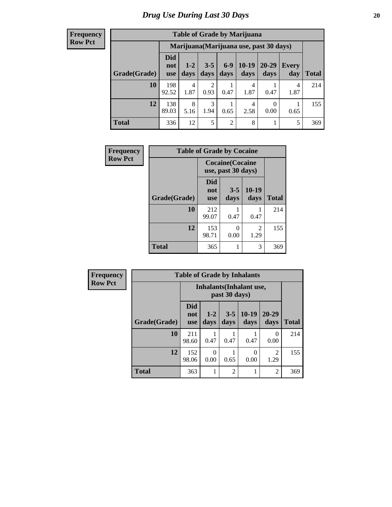#### **Frequency Row Pct**

| <b>Table of Grade by Marijuana</b> |                          |                                         |                        |                |                 |               |              |       |  |  |
|------------------------------------|--------------------------|-----------------------------------------|------------------------|----------------|-----------------|---------------|--------------|-------|--|--|
|                                    |                          | Marijuana (Marijuana use, past 30 days) |                        |                |                 |               |              |       |  |  |
| Grade(Grade)                       | Did<br>not<br><b>use</b> | $1 - 2$<br>days                         | $3 - 5$<br>days        | $6-9$<br>days  | $10-19$<br>days | 20-29<br>days | Every<br>day | Total |  |  |
| 10                                 | 198<br>92.52             | 4<br>1.87                               | $\overline{2}$<br>0.93 | 0.47           | 4<br>1.87       | 0.47          | 4<br>1.87    | 214   |  |  |
| 12                                 | 138<br>89.03             | 8<br>5.16                               | 3<br>1.94              | 0.65           | 4<br>2.58       | 0<br>0.00     | 0.65         | 155   |  |  |
| <b>Total</b>                       | 336                      | 12                                      | 5                      | $\overline{2}$ | 8               |               | 5            | 369   |  |  |

| <b>Frequency</b> | <b>Table of Grade by Cocaine</b> |                                               |                 |                 |              |
|------------------|----------------------------------|-----------------------------------------------|-----------------|-----------------|--------------|
| <b>Row Pct</b>   |                                  | <b>Cocaine</b> (Cocaine<br>use, past 30 days) |                 |                 |              |
|                  | Grade(Grade)                     | Did<br>not<br><b>use</b>                      | $3 - 5$<br>days | $10-19$<br>days | <b>Total</b> |
|                  | 10                               | 212<br>99.07                                  | 0.47            | 0.47            | 214          |
|                  | 12                               | 153<br>98.71                                  | 0<br>0.00       | 2<br>1.29       | 155          |
|                  | <b>Total</b>                     | 365                                           |                 | 3               | 369          |

| Frequency      | <b>Table of Grade by Inhalants</b> |                                 |                                                  |                 |                 |                        |              |  |
|----------------|------------------------------------|---------------------------------|--------------------------------------------------|-----------------|-----------------|------------------------|--------------|--|
| <b>Row Pct</b> |                                    |                                 | <b>Inhalants</b> (Inhalant use,<br>past 30 days) |                 |                 |                        |              |  |
|                | Grade(Grade)                       | <b>Did</b><br>not<br><b>use</b> | $1 - 2$<br>days                                  | $3 - 5$<br>days | $10-19$<br>days | 20-29<br>days          | <b>Total</b> |  |
|                | 10                                 | 211<br>98.60                    | 0.47                                             | 0.47            | 0.47            | 0<br>0.00              | 214          |  |
|                | 12                                 | 152<br>98.06                    | 0<br>0.00                                        | 0.65            | 0<br>0.00       | $\overline{2}$<br>1.29 | 155          |  |
|                | Total                              | 363                             |                                                  | $\overline{2}$  |                 | $\overline{2}$         | 369          |  |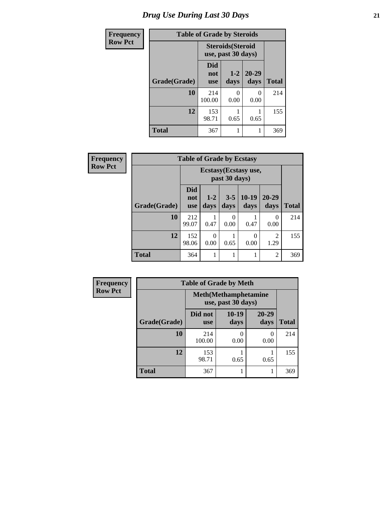# *Drug Use During Last 30 Days* **21**

| <b>Frequency</b> | <b>Table of Grade by Steroids</b> |                                                |                 |                           |              |  |  |  |
|------------------|-----------------------------------|------------------------------------------------|-----------------|---------------------------|--------------|--|--|--|
| <b>Row Pct</b>   |                                   | <b>Steroids</b> (Steroid<br>use, past 30 days) |                 |                           |              |  |  |  |
|                  | Grade(Grade)                      | Did<br>not<br><b>use</b>                       | $1 - 2$<br>days | $20 - 29$<br>days         | <b>Total</b> |  |  |  |
|                  | 10                                | 214<br>100.00                                  | O<br>0.00       | $\mathbf{\Omega}$<br>0.00 | 214          |  |  |  |
|                  | 12                                | 153<br>98.71                                   | 0.65            | 0.65                      | 155          |  |  |  |
|                  | <b>Total</b>                      | 367                                            | 1               |                           | 369          |  |  |  |

| Frequency      | <b>Table of Grade by Ecstasy</b> |                          |                                        |                 |                  |                        |              |  |
|----------------|----------------------------------|--------------------------|----------------------------------------|-----------------|------------------|------------------------|--------------|--|
| <b>Row Pct</b> |                                  |                          | Ecstasy (Ecstasy use,<br>past 30 days) |                 |                  |                        |              |  |
|                | Grade(Grade)                     | Did<br>not<br><b>use</b> | $1-2$<br>days                          | $3 - 5$<br>days | $10-19$<br>days  | $20 - 29$<br>days      | <b>Total</b> |  |
|                | 10                               | 212<br>99.07             | 0.47                                   | 0<br>0.00       | 0.47             | 0<br>0.00              | 214          |  |
|                | 12                               | 152<br>98.06             | $\Omega$<br>0.00                       | 0.65            | $\theta$<br>0.00 | $\mathfrak{D}$<br>1.29 | 155          |  |
|                | <b>Total</b>                     | 364                      |                                        | 1               | 1                | $\overline{2}$         | 369          |  |

| <b>Frequency</b> | <b>Table of Grade by Meth</b> |                       |                                                    |                   |              |  |
|------------------|-------------------------------|-----------------------|----------------------------------------------------|-------------------|--------------|--|
| <b>Row Pct</b>   |                               |                       | <b>Meth</b> (Methamphetamine<br>use, past 30 days) |                   |              |  |
|                  | Grade(Grade)                  | Did not<br><b>use</b> | 10-19<br>days                                      | $20 - 29$<br>days | <b>Total</b> |  |
|                  | 10                            | 214<br>100.00         | 0.00                                               | 0<br>0.00         | 214          |  |
|                  | 12                            | 153<br>98.71          | 0.65                                               | 0.65              | 155          |  |
|                  | <b>Total</b>                  | 367                   |                                                    |                   | 369          |  |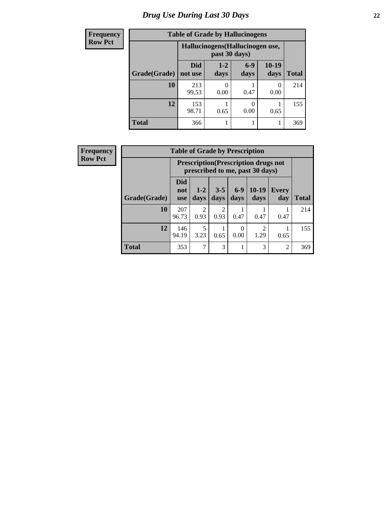# *Drug Use During Last 30 Days* **22**

| <b>Frequency</b> | <b>Table of Grade by Hallucinogens</b> |                |                                                   |               |                  |       |  |
|------------------|----------------------------------------|----------------|---------------------------------------------------|---------------|------------------|-------|--|
| <b>Row Pct</b>   |                                        |                | Hallucinogens (Hallucinogen use,<br>past 30 days) |               |                  |       |  |
|                  | Grade(Grade)                           | Did<br>not use | $1-2$<br>days                                     | $6-9$<br>days | 10-19<br>days    | Total |  |
|                  | 10                                     | 213<br>99.53   | 0.00                                              | 0.47          | $\theta$<br>0.00 | 214   |  |
|                  | 12                                     | 153<br>98.71   | 0.65                                              | 0<br>0.00     | 0.65             | 155   |  |
|                  | <b>Total</b>                           | 366            |                                                   |               |                  | 369   |  |

| <b>Frequency</b> | <b>Table of Grade by Prescription</b> |                                 |                                                                                |                        |               |                 |                |              |
|------------------|---------------------------------------|---------------------------------|--------------------------------------------------------------------------------|------------------------|---------------|-----------------|----------------|--------------|
| <b>Row Pct</b>   |                                       |                                 | <b>Prescription</b> (Prescription drugs not<br>prescribed to me, past 30 days) |                        |               |                 |                |              |
|                  | Grade(Grade)                          | <b>Did</b><br>not<br><b>use</b> | $1 - 2$<br>days                                                                | $3 - 5$<br>days        | $6-9$<br>days | $10-19$<br>days | Every<br>day   | <b>Total</b> |
|                  | 10                                    | 207<br>96.73                    | $\overline{2}$<br>0.93                                                         | $\overline{c}$<br>0.93 | 0.47          | 0.47            | 0.47           | 214          |
|                  | 12                                    | 146<br>94.19                    | 5<br>3.23                                                                      | 0.65                   | 0<br>0.00     | 2<br>1.29       | 0.65           | 155          |
|                  | <b>Total</b>                          | 353                             | 7                                                                              | 3                      |               | 3               | $\overline{2}$ | 369          |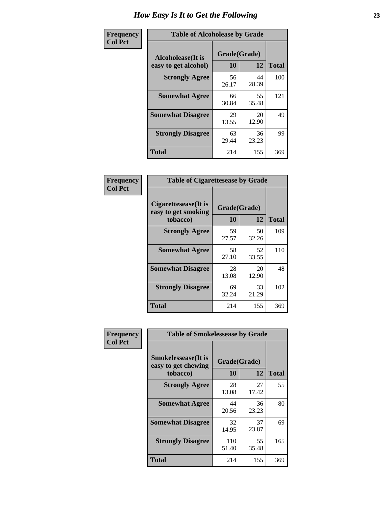| Frequency      | <b>Table of Alcoholease by Grade</b>              |                          |             |              |  |  |
|----------------|---------------------------------------------------|--------------------------|-------------|--------------|--|--|
| <b>Col Pct</b> | <b>Alcoholease</b> (It is<br>easy to get alcohol) | Grade(Grade)<br>10<br>12 |             | <b>Total</b> |  |  |
|                | <b>Strongly Agree</b>                             | 56<br>26.17              | 44<br>28.39 | 100          |  |  |
|                | <b>Somewhat Agree</b>                             | 66<br>30.84              | 55<br>35.48 | 121          |  |  |
|                | <b>Somewhat Disagree</b>                          | 29<br>13.55              | 20<br>12.90 | 49           |  |  |
|                | <b>Strongly Disagree</b>                          | 63<br>29.44              | 36<br>23.23 | 99           |  |  |
|                | <b>Total</b>                                      | 214                      | 155         | 369          |  |  |

| Frequency      | <b>Table of Cigarettesease by Grade</b>                         |                    |             |              |  |
|----------------|-----------------------------------------------------------------|--------------------|-------------|--------------|--|
| <b>Col Pct</b> | <b>Cigarettesease</b> (It is<br>easy to get smoking<br>tobacco) | Grade(Grade)<br>10 | 12          | <b>Total</b> |  |
|                | <b>Strongly Agree</b>                                           | 59<br>27.57        | 50<br>32.26 | 109          |  |
|                | <b>Somewhat Agree</b>                                           | 58<br>27.10        | 52<br>33.55 | 110          |  |
|                | <b>Somewhat Disagree</b>                                        | 28<br>13.08        | 20<br>12.90 | 48           |  |
|                | <b>Strongly Disagree</b>                                        | 69<br>32.24        | 33<br>21.29 | 102          |  |
|                | <b>Total</b>                                                    | 214                | 155         | 369          |  |

| Frequency      | <b>Table of Smokelessease by Grade</b>             |              |             |              |
|----------------|----------------------------------------------------|--------------|-------------|--------------|
| <b>Col Pct</b> | <b>Smokelessease</b> (It is<br>easy to get chewing | Grade(Grade) |             |              |
|                | tobacco)                                           | <b>10</b>    | 12          | <b>Total</b> |
|                | <b>Strongly Agree</b>                              | 28<br>13.08  | 27<br>17.42 | 55           |
|                | <b>Somewhat Agree</b>                              | 44<br>20.56  | 36<br>23.23 | 80           |
|                | <b>Somewhat Disagree</b>                           | 32<br>14.95  | 37<br>23.87 | 69           |
|                | <b>Strongly Disagree</b>                           | 110<br>51.40 | 55<br>35.48 | 165          |
|                | <b>Total</b>                                       | 214          | 155         | 369          |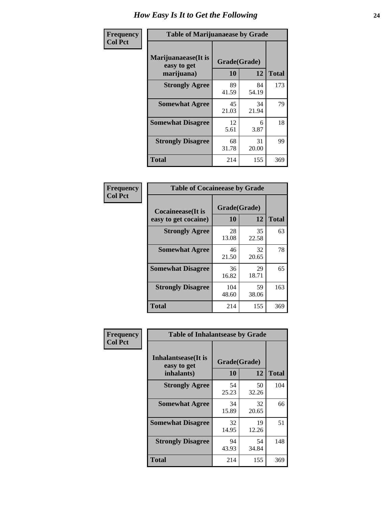| Frequency      | <b>Table of Marijuanaease by Grade</b>            |                           |             |              |  |  |
|----------------|---------------------------------------------------|---------------------------|-------------|--------------|--|--|
| <b>Col Pct</b> | Marijuanaease (It is<br>easy to get<br>marijuana) | Grade(Grade)<br><b>10</b> | 12          | <b>Total</b> |  |  |
|                | <b>Strongly Agree</b>                             | 89<br>41.59               | 84<br>54.19 | 173          |  |  |
|                | <b>Somewhat Agree</b>                             | 45<br>21.03               | 34<br>21.94 | 79           |  |  |
|                | <b>Somewhat Disagree</b>                          | 12<br>5.61                | 6<br>3.87   | 18           |  |  |
|                | <b>Strongly Disagree</b>                          | 68<br>31.78               | 31<br>20.00 | 99           |  |  |
|                | <b>Total</b>                                      | 214                       | 155         | 369          |  |  |

| <b>Table of Cocaineease by Grade</b> |              |             |              |  |  |  |  |
|--------------------------------------|--------------|-------------|--------------|--|--|--|--|
| Cocaineease(It is                    | Grade(Grade) |             |              |  |  |  |  |
| easy to get cocaine)                 | 10           | 12          | <b>Total</b> |  |  |  |  |
| <b>Strongly Agree</b>                | 28<br>13.08  | 35<br>22.58 | 63           |  |  |  |  |
| <b>Somewhat Agree</b>                | 46<br>21.50  | 32<br>20.65 | 78           |  |  |  |  |
| <b>Somewhat Disagree</b>             | 36<br>16.82  | 29<br>18.71 | 65           |  |  |  |  |
| <b>Strongly Disagree</b>             | 104<br>48.60 | 59<br>38.06 | 163          |  |  |  |  |
| <b>Total</b>                         | 214          | 155         | 369          |  |  |  |  |

| Frequency      | <b>Table of Inhalantsease by Grade</b>                     |             |             |              |  |  |  |
|----------------|------------------------------------------------------------|-------------|-------------|--------------|--|--|--|
| <b>Col Pct</b> | <b>Inhalantsease</b> (It is<br>Grade(Grade)<br>easy to get |             |             |              |  |  |  |
|                | inhalants)                                                 | 10          | 12          | <b>Total</b> |  |  |  |
|                | <b>Strongly Agree</b>                                      | 54<br>25.23 | 50<br>32.26 | 104          |  |  |  |
|                | <b>Somewhat Agree</b>                                      | 34<br>15.89 | 32<br>20.65 | 66           |  |  |  |
|                | <b>Somewhat Disagree</b>                                   | 32<br>14.95 | 19<br>12.26 | 51           |  |  |  |
|                | <b>Strongly Disagree</b>                                   | 94<br>43.93 | 54<br>34.84 | 148          |  |  |  |
|                | <b>Total</b>                                               | 214         | 155         | 369          |  |  |  |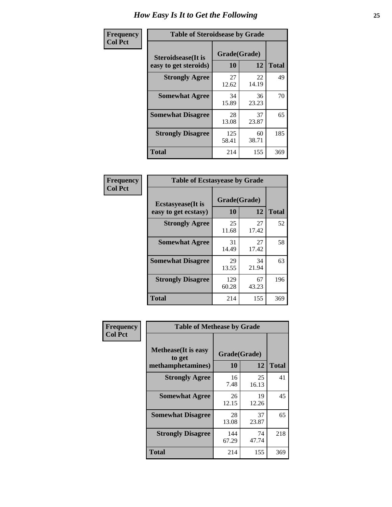| Frequency      | <b>Table of Steroidsease by Grade</b>               |                    |             |              |
|----------------|-----------------------------------------------------|--------------------|-------------|--------------|
| <b>Col Pct</b> | <b>Steroidsease</b> (It is<br>easy to get steroids) | Grade(Grade)<br>10 | 12          | <b>Total</b> |
|                | <b>Strongly Agree</b>                               | 27<br>12.62        | 22<br>14.19 | 49           |
|                | <b>Somewhat Agree</b>                               | 34<br>15.89        | 36<br>23.23 | 70           |
|                | <b>Somewhat Disagree</b>                            | 28<br>13.08        | 37<br>23.87 | 65           |
|                | <b>Strongly Disagree</b>                            | 125<br>58.41       | 60<br>38.71 | 185          |
|                | <b>Total</b>                                        | 214                | 155         | 369          |

| Frequency      | <b>Table of Ecstasyease by Grade</b>              |                    |             |              |  |  |  |  |  |
|----------------|---------------------------------------------------|--------------------|-------------|--------------|--|--|--|--|--|
| <b>Col Pct</b> | <b>Ecstasyease</b> (It is<br>easy to get ecstasy) | Grade(Grade)<br>10 | 12          | <b>Total</b> |  |  |  |  |  |
|                | <b>Strongly Agree</b>                             | 25<br>11.68        | 27<br>17.42 | 52           |  |  |  |  |  |
|                | <b>Somewhat Agree</b>                             | 31<br>14.49        | 27<br>17.42 | 58           |  |  |  |  |  |
|                | <b>Somewhat Disagree</b>                          | 29<br>13.55        | 34<br>21.94 | 63           |  |  |  |  |  |
|                | <b>Strongly Disagree</b>                          | 129<br>60.28       | 67<br>43.23 | 196          |  |  |  |  |  |
|                | <b>Total</b>                                      | 214                | 155         | 369          |  |  |  |  |  |

| Frequency      | <b>Table of Methease by Grade</b>                          |                    |             |              |
|----------------|------------------------------------------------------------|--------------------|-------------|--------------|
| <b>Col Pct</b> | <b>Methease</b> (It is easy<br>to get<br>methamphetamines) | Grade(Grade)<br>10 | 12          | <b>Total</b> |
|                | <b>Strongly Agree</b>                                      | 16<br>7.48         | 25<br>16.13 | 41           |
|                | <b>Somewhat Agree</b>                                      | 26<br>12.15        | 19<br>12.26 | 45           |
|                | <b>Somewhat Disagree</b>                                   | 28<br>13.08        | 37<br>23.87 | 65           |
|                | <b>Strongly Disagree</b>                                   | 144<br>67.29       | 74<br>47.74 | 218          |
|                | Total                                                      | 214                | 155         | 369          |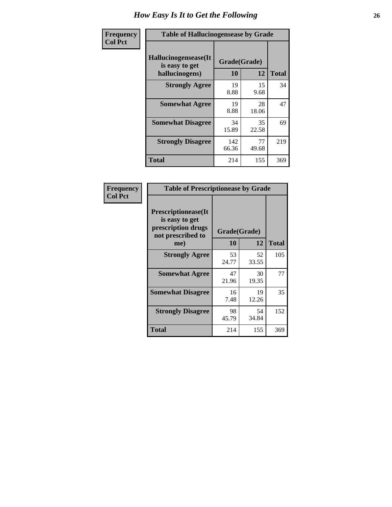| <b>Frequency</b> | <b>Table of Hallucinogensease by Grade</b>               |                    |             |              |  |  |  |
|------------------|----------------------------------------------------------|--------------------|-------------|--------------|--|--|--|
| <b>Col Pct</b>   | Hallucinogensease(It<br>is easy to get<br>hallucinogens) | Grade(Grade)<br>10 | 12          | <b>Total</b> |  |  |  |
|                  | <b>Strongly Agree</b>                                    | 19<br>8.88         | 15<br>9.68  | 34           |  |  |  |
|                  | <b>Somewhat Agree</b>                                    | 19<br>8.88         | 28<br>18.06 | 47           |  |  |  |
|                  | <b>Somewhat Disagree</b>                                 | 34<br>15.89        | 35<br>22.58 | 69           |  |  |  |
|                  | <b>Strongly Disagree</b>                                 | 142<br>66.36       | 77<br>49.68 | 219          |  |  |  |
|                  | <b>Total</b>                                             | 214                | 155         | 369          |  |  |  |

| Frequency<br>Col Pct |
|----------------------|
|                      |

| <b>Table of Prescriptionease by Grade</b>                                                |             |              |              |  |  |
|------------------------------------------------------------------------------------------|-------------|--------------|--------------|--|--|
| <b>Prescriptionease</b> (It<br>is easy to get<br>prescription drugs<br>not prescribed to |             | Grade(Grade) |              |  |  |
| me)                                                                                      | 10          | 12           | <b>Total</b> |  |  |
| <b>Strongly Agree</b>                                                                    | 53<br>24.77 | 52<br>33.55  | 105          |  |  |
| <b>Somewhat Agree</b>                                                                    | 47<br>21.96 | 30<br>19.35  | 77           |  |  |
| <b>Somewhat Disagree</b>                                                                 | 16<br>7.48  | 19<br>12.26  | 35           |  |  |
| <b>Strongly Disagree</b>                                                                 | 98<br>45.79 | 54<br>34.84  | 152          |  |  |
| <b>Total</b>                                                                             | 214         | 155          | 369          |  |  |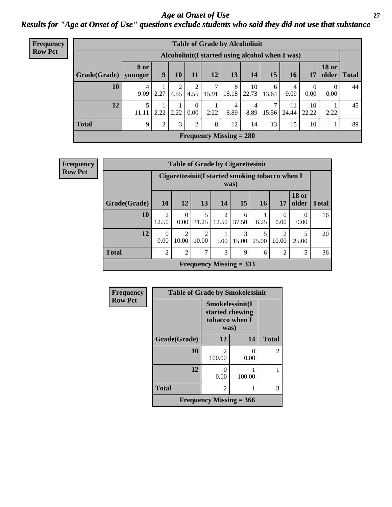#### *Age at Onset of Use* **27** *Results for "Age at Onset of Use" questions exclude students who said they did not use that substance*

| <b>Frequency</b> |              |                 |                                                  |           |                      |            |                           | <b>Table of Grade by Alcoholinit</b> |            |             |                        |                       |              |
|------------------|--------------|-----------------|--------------------------------------------------|-----------|----------------------|------------|---------------------------|--------------------------------------|------------|-------------|------------------------|-----------------------|--------------|
| <b>Row Pct</b>   |              |                 | Alcoholinit (I started using alcohol when I was) |           |                      |            |                           |                                      |            |             |                        |                       |              |
|                  | Grade(Grade) | 8 or<br>younger | 9                                                | <b>10</b> | 11                   | 12         | 13                        | 14                                   | 15         | 16          | 17                     | <b>18 or</b><br>older | <b>Total</b> |
|                  | 10           | 4<br>9.09       | 2.27                                             | 4.55      | 2<br>4.55            | ⇁<br>15.91 | 8<br>18.18                | 10<br>22.73                          | 6<br>13.64 | 4<br>9.09   | $\overline{0}$<br>0.00 | 0.00                  | 44           |
|                  | 12           | 5<br>11.11      | 2.22                                             | 2.22      | $\mathbf{0}$<br>0.00 | 2.22       | 4<br>8.89                 | 4<br>8.89                            | 7<br>15.56 | 11<br>24.44 | 10<br>22.22            | 2.22                  | 45           |
|                  | <b>Total</b> | 9               | $\overline{2}$                                   | 3         | 2                    | 8          | 12                        | 14                                   | 13         | 15          | 10                     |                       | 89           |
|                  |              |                 |                                                  |           |                      |            | Frequency Missing $= 280$ |                                      |            |             |                        |                       |              |

| <b>Frequency</b> |              |                         |                                                         |                         |                         | <b>Table of Grade by Cigarettesinit</b> |            |                         |                       |              |
|------------------|--------------|-------------------------|---------------------------------------------------------|-------------------------|-------------------------|-----------------------------------------|------------|-------------------------|-----------------------|--------------|
| <b>Row Pct</b>   |              |                         | Cigarettesinit(I started smoking tobacco when I<br>was) |                         |                         |                                         |            |                         |                       |              |
|                  | Grade(Grade) | 10                      | 12                                                      | 13                      | 14                      | <b>15</b>                               | 16         | 17                      | <b>18 or</b><br>older | <b>Total</b> |
|                  | 10           | $\overline{2}$<br>12.50 | $\Omega$<br>0.00                                        | 5<br>31.25              | $\mathfrak{D}$<br>12.50 | 6<br>37.50                              | 6.25       | 0<br>0.00               | $\Omega$<br>0.00      | 16           |
|                  | 12           | $\Omega$<br>0.00        | $\overline{2}$<br>10.00                                 | $\overline{2}$<br>10.00 | 5.00                    | $\mathcal{E}$<br>15.00                  | 5<br>25.00 | $\mathfrak{D}$<br>10.00 | 25.00                 | 20           |
|                  | <b>Total</b> | $\overline{2}$          | $\overline{2}$                                          | 7                       | 3                       | 9                                       | 6          | $\overline{2}$          | 5                     | 36           |
|                  |              |                         |                                                         |                         |                         | Frequency Missing $=$ 333               |            |                         |                       |              |

| Frequency      | <b>Table of Grade by Smokelessinit</b> |                                                              |           |               |
|----------------|----------------------------------------|--------------------------------------------------------------|-----------|---------------|
| <b>Row Pct</b> |                                        | Smokelessinit(I<br>started chewing<br>tobacco when I<br>was) |           |               |
|                | Grade(Grade)                           | 12                                                           | 14        | <b>Total</b>  |
|                | 10                                     | $\mathcal{D}_{\mathcal{L}}$<br>100.00                        | 0<br>0.00 | $\mathcal{L}$ |
|                | 12                                     | 0<br>0.00                                                    | 100.00    |               |
|                | <b>Total</b>                           | 2                                                            |           | 3             |
|                |                                        | Frequency Missing $= 366$                                    |           |               |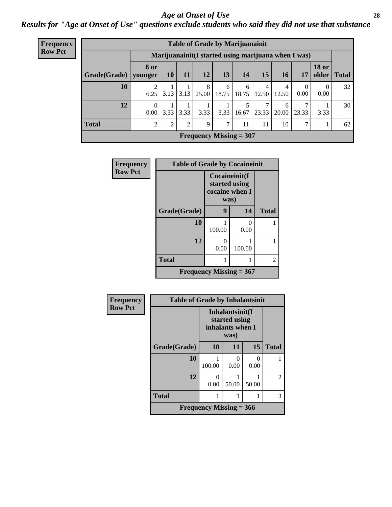#### *Age at Onset of Use* **28**

*Results for "Age at Onset of Use" questions exclude students who said they did not use that substance*

| Frequency                                                              |              | <b>Table of Grade by Marijuanainit</b> |                |               |                           |            |            |            |            |       |                  |               |
|------------------------------------------------------------------------|--------------|----------------------------------------|----------------|---------------|---------------------------|------------|------------|------------|------------|-------|------------------|---------------|
| <b>Row Pct</b><br>Marijuanainit (I started using marijuana when I was) |              |                                        |                |               |                           |            |            |            |            |       |                  |               |
|                                                                        | Grade(Grade) | <b>8 or</b><br>younger                 | 10             | <b>11</b>     | 12                        | 13         | 14         | 15         | <b>16</b>  | 17    | <b>18 or</b>     | older   Total |
|                                                                        | 10           | 6.25                                   | 3.13           | 3.13          | 8<br>25.00                | 6<br>18.75 | 6<br>18.75 | 4<br>12.50 | 4<br>12.50 | 0.00  | $\Omega$<br>0.00 | 32            |
|                                                                        | 12           | $\Omega$<br>0.00                       | 3.33           | 3.33          | 3.33                      | 3.33       | 16.67      | 7<br>23.33 | 6<br>20.00 | 23.33 | 3.33             | 30            |
|                                                                        | <b>Total</b> | $\mathfrak{D}$                         | $\overline{2}$ | $\mathcal{D}$ | 9                         | 7          | 11         | 11         | 10         |       |                  | 62            |
|                                                                        |              |                                        |                |               | Frequency Missing $= 307$ |            |            |            |            |       |                  |               |

| Frequency      | <b>Table of Grade by Cocaineinit</b> |                                         |               |              |
|----------------|--------------------------------------|-----------------------------------------|---------------|--------------|
| <b>Row Pct</b> |                                      | Cocaineinit(I<br>cocaine when I<br>was) | started using |              |
|                | Grade(Grade)                         | 9                                       | 14            | <b>Total</b> |
|                | 10                                   | 100.00                                  | 0<br>0.00     |              |
|                | 12                                   | 0<br>0.00                               | 100.00        |              |
|                | <b>Total</b>                         |                                         |               | 2            |
|                | Frequency Missing $= 367$            |                                         |               |              |

| Frequency      | <b>Table of Grade by Inhalantsinit</b> |                           |                                                              |       |                |
|----------------|----------------------------------------|---------------------------|--------------------------------------------------------------|-------|----------------|
| <b>Row Pct</b> |                                        |                           | Inhalantsinit(I<br>started using<br>inhalants when I<br>was) |       |                |
|                | Grade(Grade)                           | 10                        | 11                                                           | 15    | <b>Total</b>   |
|                | 10                                     | 100.00                    | 0<br>0.00                                                    | 0.00  |                |
|                | 12                                     | 0<br>0.00                 | 50.00                                                        | 50.00 | $\overline{2}$ |
|                | <b>Total</b>                           |                           | 1                                                            |       | 3              |
|                |                                        | Frequency Missing $=$ 366 |                                                              |       |                |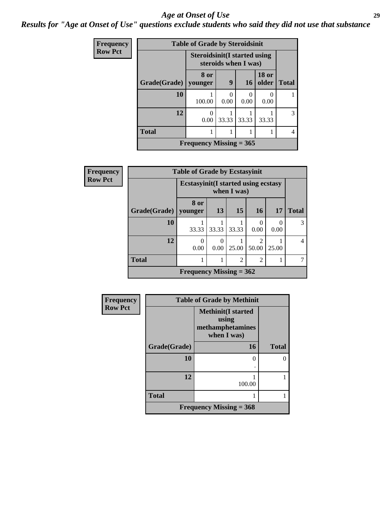#### *Age at Onset of Use* **29**

*Results for "Age at Onset of Use" questions exclude students who said they did not use that substance*

| <b>Frequency</b> |              | <b>Table of Grade by Steroidsinit</b> |                      |                |                       |              |
|------------------|--------------|---------------------------------------|----------------------|----------------|-----------------------|--------------|
| <b>Row Pct</b>   |              | <b>Steroidsinit (I started using</b>  | steroids when I was) |                |                       |              |
|                  | Grade(Grade) | 8 or<br>younger                       | 9                    | <b>16</b>      | <b>18 or</b><br>older | <b>Total</b> |
|                  | 10           | 100.00                                | 0<br>0.00            | $\cup$<br>0.00 | 0.00                  |              |
|                  | 12           | O<br>0.00                             | 33.33                | 33.33          | 33.33                 | 3            |
|                  | <b>Total</b> |                                       |                      |                |                       | 4            |
|                  |              | Frequency Missing $= 365$             |                      |                |                       |              |

| <b>Frequency</b> |              | <b>Table of Grade by Ecstasyinit</b> |                                                            |       |                        |           |                |
|------------------|--------------|--------------------------------------|------------------------------------------------------------|-------|------------------------|-----------|----------------|
| <b>Row Pct</b>   |              |                                      | <b>Ecstasyinit</b> (I started using ecstasy<br>when I was) |       |                        |           |                |
|                  | Grade(Grade) | 8 or<br>younger                      | 13                                                         | 15    | <b>16</b>              | 17        | <b>Total</b>   |
|                  | 10           | 33.33                                | 33.33                                                      | 33.33 | 0.00                   | 0<br>0.00 | $\mathcal{R}$  |
|                  | 12           | $\theta$<br>0.00                     | 0.00                                                       | 25.00 | $\mathcal{D}$<br>50.00 | 25.00     | $\overline{4}$ |
|                  | <b>Total</b> | $\overline{c}$<br>$\overline{2}$     |                                                            |       |                        |           |                |
|                  |              | Frequency Missing $= 362$            |                                                            |       |                        |           |                |

| <b>Frequency</b> | <b>Table of Grade by Methinit</b> |                                                                       |              |  |
|------------------|-----------------------------------|-----------------------------------------------------------------------|--------------|--|
| <b>Row Pct</b>   |                                   | <b>Methinit(I started</b><br>using<br>methamphetamines<br>when I was) |              |  |
|                  | Grade(Grade)                      | <b>16</b>                                                             | <b>Total</b> |  |
|                  | 10                                | 0                                                                     |              |  |
|                  | 12                                | 100.00                                                                |              |  |
|                  | <b>Total</b>                      |                                                                       |              |  |
|                  |                                   | Frequency Missing $=$ 368                                             |              |  |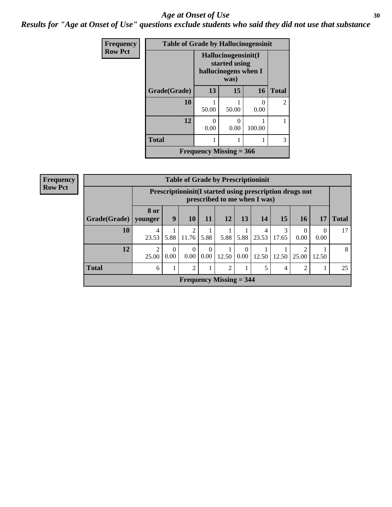#### Age at Onset of Use **30**

*Results for "Age at Onset of Use" questions exclude students who said they did not use that substance*

| Frequency      | <b>Table of Grade by Hallucinogensinit</b> |                           |                                                                      |                           |              |
|----------------|--------------------------------------------|---------------------------|----------------------------------------------------------------------|---------------------------|--------------|
| <b>Row Pct</b> |                                            |                           | Hallucinogensinit(I<br>started using<br>hallucinogens when I<br>was) |                           |              |
|                | Grade(Grade)                               | 13                        | 15                                                                   | 16                        | <b>Total</b> |
|                | 10                                         | 50.00                     | 50.00                                                                | $\mathbf{\Omega}$<br>0.00 | 2            |
|                | 12                                         | $\mathbf{\Omega}$<br>0.00 | $\mathbf{\Omega}$<br>0.00                                            | 100.00                    |              |
|                | <b>Total</b>                               |                           |                                                                      |                           | 3            |
|                |                                            | Frequency Missing $= 366$ |                                                                      |                           |              |

| <b>Frequency</b> |                        | <b>Table of Grade by Prescriptioninit</b> |                                                                                         |                  |                  |                           |                  |            |            |                  |                  |              |
|------------------|------------------------|-------------------------------------------|-----------------------------------------------------------------------------------------|------------------|------------------|---------------------------|------------------|------------|------------|------------------|------------------|--------------|
| <b>Row Pct</b>   |                        |                                           | Prescriptioninit(I started using prescription drugs not<br>prescribed to me when I was) |                  |                  |                           |                  |            |            |                  |                  |              |
|                  | Grade(Grade)   younger | <b>8 or</b>                               | 9                                                                                       | <b>10</b>        | 11               | 12                        | 13               | 14         | 15         | 16               | 17               | <b>Total</b> |
|                  | 10                     | 4<br>23.53                                |                                                                                         | 2<br>5.88 11.76  | 5.88             | 5.88                      | 5.88             | 4<br>23.53 | 3<br>17.65 | $\theta$<br>0.00 | $\theta$<br>0.00 | 17           |
|                  | 12                     | 25.00                                     | $\Omega$<br>0.00                                                                        | $\Omega$<br>0.00 | $\theta$<br>0.00 | 12.50                     | $\Omega$<br>0.00 | 12.50      | 12.50      | 25.00            | 12.50            | 8            |
|                  | <b>Total</b>           | 6                                         |                                                                                         | 2                |                  | $\mathfrak{D}$            |                  | 5          | 4          | 2                | 1                | 25           |
|                  |                        |                                           |                                                                                         |                  |                  | Frequency Missing $=$ 344 |                  |            |            |                  |                  |              |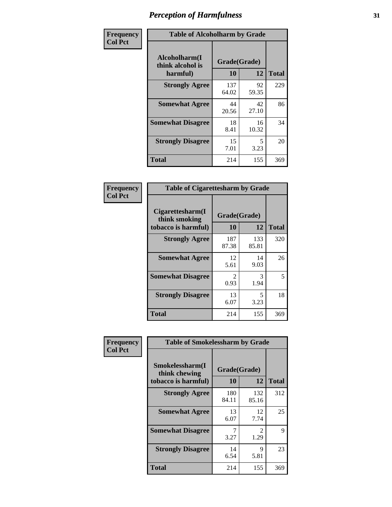| Frequency      | <b>Table of Alcoholharm by Grade</b>          |                    |             |              |
|----------------|-----------------------------------------------|--------------------|-------------|--------------|
| <b>Col Pct</b> | Alcoholharm(I<br>think alcohol is<br>harmful) | Grade(Grade)<br>10 | 12          | <b>Total</b> |
|                | <b>Strongly Agree</b>                         | 137<br>64.02       | 92<br>59.35 | 229          |
|                | <b>Somewhat Agree</b>                         | 44<br>20.56        | 42<br>27.10 | 86           |
|                | <b>Somewhat Disagree</b>                      | 18<br>8.41         | 16<br>10.32 | 34           |
|                | <b>Strongly Disagree</b>                      | 15<br>7.01         | 5<br>3.23   | 20           |
|                | <b>Total</b>                                  | 214                | 155         | 369          |

| <b>Table of Cigarettesharm by Grade</b>                  |                        |              |              |
|----------------------------------------------------------|------------------------|--------------|--------------|
| Cigarettesharm(I<br>think smoking<br>tobacco is harmful) | Grade(Grade)<br>10     | 12           | <b>Total</b> |
| <b>Strongly Agree</b>                                    | 187<br>87.38           | 133<br>85.81 | 320          |
| <b>Somewhat Agree</b>                                    | 12<br>5.61             | 14<br>9.03   | 26           |
| <b>Somewhat Disagree</b>                                 | $\mathfrak{D}$<br>0.93 | 3<br>1.94    | 5            |
| <b>Strongly Disagree</b>                                 | 13<br>6.07             | 5<br>3.23    | 18           |
| <b>Total</b>                                             | 214                    | 155          | 369          |

| Frequency      | <b>Table of Smokelessharm by Grade</b>                  |                           |                                     |              |
|----------------|---------------------------------------------------------|---------------------------|-------------------------------------|--------------|
| <b>Col Pct</b> | Smokelessharm(I<br>think chewing<br>tobacco is harmful) | Grade(Grade)<br><b>10</b> | 12                                  | <b>Total</b> |
|                | <b>Strongly Agree</b>                                   | 180<br>84.11              | 132<br>85.16                        | 312          |
|                | <b>Somewhat Agree</b>                                   | 13<br>6.07                | 12<br>7.74                          | 25           |
|                | <b>Somewhat Disagree</b>                                | 3.27                      | $\mathcal{D}_{\mathcal{L}}$<br>1.29 | 9            |
|                | <b>Strongly Disagree</b>                                | 14<br>6.54                | 9<br>5.81                           | 23           |
|                | <b>Total</b>                                            | 214                       | 155                                 | 369          |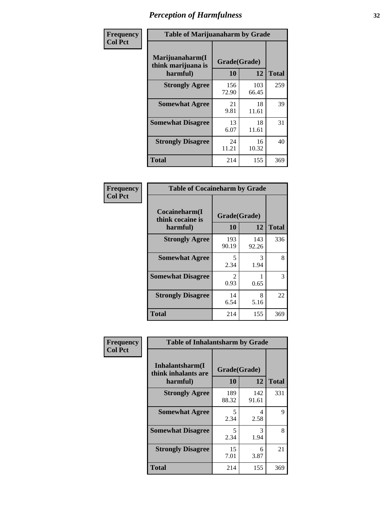| Frequency      |                                                   | <b>Table of Marijuanaharm by Grade</b> |              |              |  |
|----------------|---------------------------------------------------|----------------------------------------|--------------|--------------|--|
| <b>Col Pct</b> | Marijuanaharm(I<br>think marijuana is<br>harmful) | Grade(Grade)<br>10                     | 12           | <b>Total</b> |  |
|                | <b>Strongly Agree</b>                             | 156<br>72.90                           | 103<br>66.45 | 259          |  |
|                | <b>Somewhat Agree</b>                             | 21<br>9.81                             | 18<br>11.61  | 39           |  |
|                | <b>Somewhat Disagree</b>                          | 13<br>6.07                             | 18<br>11.61  | 31           |  |
|                | <b>Strongly Disagree</b>                          | 24<br>11.21                            | 16<br>10.32  | 40           |  |
|                | Total                                             | 214                                    | 155          | 369          |  |

|                                               | <b>Table of Cocaineharm by Grade</b> |              |              |  |  |  |  |
|-----------------------------------------------|--------------------------------------|--------------|--------------|--|--|--|--|
| Cocaineharm(I<br>think cocaine is<br>harmful) | Grade(Grade)<br>10                   | 12           | <b>Total</b> |  |  |  |  |
| <b>Strongly Agree</b>                         | 193<br>90.19                         | 143<br>92.26 | 336          |  |  |  |  |
| <b>Somewhat Agree</b>                         | 5<br>2.34                            | 3<br>1.94    | 8            |  |  |  |  |
| <b>Somewhat Disagree</b>                      | $\mathfrak{D}$<br>0.93               | 0.65         | 3            |  |  |  |  |
| <b>Strongly Disagree</b>                      | 14<br>6.54                           | 8<br>5.16    | 22           |  |  |  |  |
| Total                                         | 214                                  | 155          | 369          |  |  |  |  |

| Frequency      | <b>Table of Inhalantsharm by Grade</b>              |                    |              |              |
|----------------|-----------------------------------------------------|--------------------|--------------|--------------|
| <b>Col Pct</b> | Inhalantsharm(I)<br>think inhalants are<br>harmful) | Grade(Grade)<br>10 | 12           | <b>Total</b> |
|                | <b>Strongly Agree</b>                               | 189<br>88.32       | 142<br>91.61 | 331          |
|                | <b>Somewhat Agree</b>                               | 5<br>2.34          | 4<br>2.58    | 9            |
|                | <b>Somewhat Disagree</b>                            | 5<br>2.34          | 3<br>1.94    | 8            |
|                | <b>Strongly Disagree</b>                            | 15<br>7.01         | 6<br>3.87    | 21           |
|                | <b>Total</b>                                        | 214                | 155          | 369          |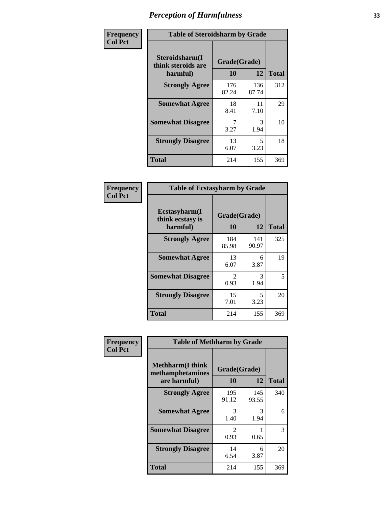| Frequency      | <b>Table of Steroidsharm by Grade</b>            |                    |              |              |
|----------------|--------------------------------------------------|--------------------|--------------|--------------|
| <b>Col Pct</b> | Steroidsharm(I<br>think steroids are<br>harmful) | Grade(Grade)<br>10 | 12           | <b>Total</b> |
|                | <b>Strongly Agree</b>                            | 176<br>82.24       | 136<br>87.74 | 312          |
|                | <b>Somewhat Agree</b>                            | 18<br>8.41         | 11<br>7.10   | 29           |
|                | <b>Somewhat Disagree</b>                         | 3.27               | 3<br>1.94    | 10           |
|                | <b>Strongly Disagree</b>                         | 13<br>6.07         | 5<br>3.23    | 18           |
|                | <b>Total</b>                                     | 214                | 155          | 369          |

| <b>Table of Ecstasyharm by Grade</b>          |                    |              |     |  |
|-----------------------------------------------|--------------------|--------------|-----|--|
| Ecstasyharm(I<br>think ecstasy is<br>harmful) | Grade(Grade)<br>10 | <b>Total</b> |     |  |
| <b>Strongly Agree</b>                         | 184<br>85.98       | 141<br>90.97 | 325 |  |
| <b>Somewhat Agree</b>                         | 13<br>6.07         | 6<br>3.87    | 19  |  |
| <b>Somewhat Disagree</b>                      | 2<br>0.93          | 3<br>1.94    | 5   |  |
| <b>Strongly Disagree</b>                      | 15<br>7.01         | 5<br>3.23    | 20  |  |
| Total                                         | 214                | 155          | 369 |  |

| Frequency      | <b>Table of Methharm by Grade</b>                            |                    |              |              |
|----------------|--------------------------------------------------------------|--------------------|--------------|--------------|
| <b>Col Pct</b> | <b>Methharm</b> (I think<br>methamphetamines<br>are harmful) | Grade(Grade)<br>10 | 12           | <b>Total</b> |
|                | <b>Strongly Agree</b>                                        | 195<br>91.12       | 145<br>93.55 | 340          |
|                | <b>Somewhat Agree</b>                                        | 3<br>1.40          | 3<br>1.94    | 6            |
|                | <b>Somewhat Disagree</b>                                     | 2<br>0.93          | 0.65         | 3            |
|                | <b>Strongly Disagree</b>                                     | 14<br>6.54         | 6<br>3.87    | 20           |
|                | <b>Total</b>                                                 | 214                | 155          | 369          |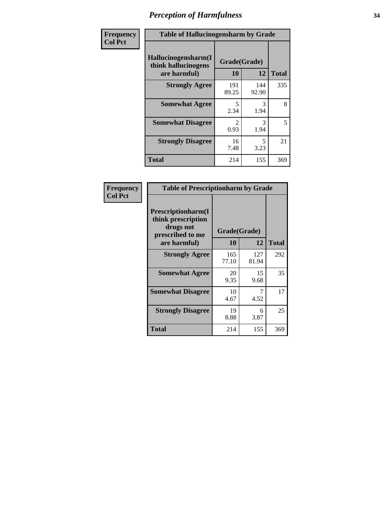| Frequency      | <b>Table of Hallucinogensharm by Grade</b>                 |                        |                                  |              |
|----------------|------------------------------------------------------------|------------------------|----------------------------------|--------------|
| <b>Col Pct</b> | Hallucinogensharm(I<br>think hallucinogens<br>are harmful) | Grade(Grade)<br>10     | 12                               | <b>Total</b> |
|                | <b>Strongly Agree</b>                                      | 191<br>89.25           | 144<br>92.90                     | 335          |
|                | <b>Somewhat Agree</b>                                      | 5<br>2.34              | 3<br>1.94                        | 8            |
|                | <b>Somewhat Disagree</b>                                   | $\mathfrak{D}$<br>0.93 | 3<br>1.94                        | 5            |
|                | <b>Strongly Disagree</b>                                   | 16<br>7.48             | $\overline{\phantom{0}}$<br>3.23 | 21           |
|                | <b>Total</b>                                               | 214                    | 155                              | 369          |

| <b>Table of Prescriptionharm by Grade</b>                                         |              |              |              |  |
|-----------------------------------------------------------------------------------|--------------|--------------|--------------|--|
| <b>Prescriptionharm</b> (I<br>think prescription<br>drugs not<br>prescribed to me | Grade(Grade) |              |              |  |
| are harmful)                                                                      | 10           | 12           | <b>Total</b> |  |
| <b>Strongly Agree</b>                                                             | 165<br>77.10 | 127<br>81.94 | 292          |  |
| <b>Somewhat Agree</b>                                                             | 20<br>9.35   | 15<br>9.68   | 35           |  |
| <b>Somewhat Disagree</b>                                                          | 10<br>4.67   | 4.52         | 17           |  |
| <b>Strongly Disagree</b>                                                          | 19<br>8.88   | 6<br>3.87    | 25           |  |
| <b>Total</b>                                                                      | 214          | 155          | 369          |  |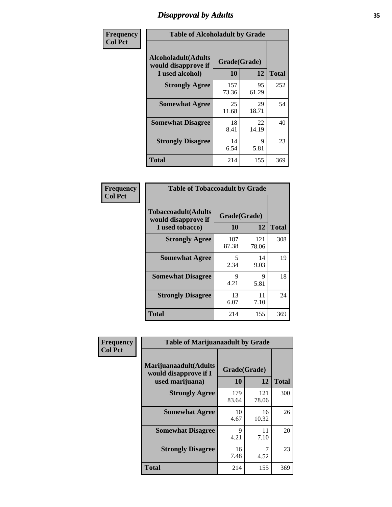# *Disapproval by Adults* **35**

| Frequency      | <b>Table of Alcoholadult by Grade</b>                                 |                    |             |              |
|----------------|-----------------------------------------------------------------------|--------------------|-------------|--------------|
| <b>Col Pct</b> | <b>Alcoholadult</b> (Adults<br>would disapprove if<br>I used alcohol) | Grade(Grade)<br>10 | 12          | <b>Total</b> |
|                | <b>Strongly Agree</b>                                                 | 157<br>73.36       | 95<br>61.29 | 252          |
|                | <b>Somewhat Agree</b>                                                 | 25<br>11.68        | 29<br>18.71 | 54           |
|                | <b>Somewhat Disagree</b>                                              | 18<br>8.41         | 22<br>14.19 | 40           |
|                | <b>Strongly Disagree</b>                                              | 14<br>6.54         | 9<br>5.81   | 23           |
|                | <b>Total</b>                                                          | 214                | 155         | 369          |

| <b>Table of Tobaccoadult by Grade</b>                                 |                    |              |              |  |
|-----------------------------------------------------------------------|--------------------|--------------|--------------|--|
| <b>Tobaccoadult</b> (Adults<br>would disapprove if<br>I used tobacco) | Grade(Grade)<br>10 | 12           | <b>Total</b> |  |
| <b>Strongly Agree</b>                                                 | 187<br>87.38       | 121<br>78.06 | 308          |  |
| <b>Somewhat Agree</b>                                                 | 5<br>2.34          | 14<br>9.03   | 19           |  |
| <b>Somewhat Disagree</b>                                              | 9<br>4.21          | 9<br>5.81    | 18           |  |
| <b>Strongly Disagree</b>                                              | 13<br>6.07         | 11<br>7.10   | 24           |  |
| <b>Total</b>                                                          | 214                | 155          | 369          |  |

| Frequency<br><b>Col Pct</b> | <b>Table of Marijuanaadult by Grade</b>                           |                    |              |              |
|-----------------------------|-------------------------------------------------------------------|--------------------|--------------|--------------|
|                             | Marijuanaadult(Adults<br>would disapprove if I<br>used marijuana) | Grade(Grade)<br>10 | 12           | <b>Total</b> |
|                             | <b>Strongly Agree</b>                                             | 179<br>83.64       | 121<br>78.06 | 300          |
|                             | <b>Somewhat Agree</b>                                             | 10<br>4.67         | 16<br>10.32  | 26           |
|                             | <b>Somewhat Disagree</b>                                          | 9<br>4.21          | 11<br>7.10   | 20           |
|                             | <b>Strongly Disagree</b>                                          | 16<br>7.48         | 7<br>4.52    | 23           |
|                             | <b>Total</b>                                                      | 214                | 155          | 369          |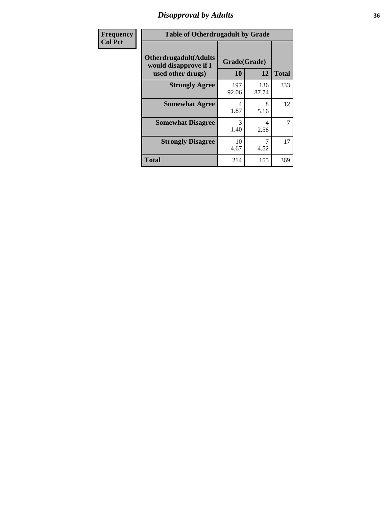# *Disapproval by Adults* **36**

| Frequency      | <b>Table of Otherdrugadult by Grade</b>                                     |                    |              |              |
|----------------|-----------------------------------------------------------------------------|--------------------|--------------|--------------|
| <b>Col Pct</b> | <b>Otherdrugadult</b> (Adults<br>would disapprove if I<br>used other drugs) | Grade(Grade)<br>10 | 12           | <b>Total</b> |
|                | <b>Strongly Agree</b>                                                       | 197<br>92.06       | 136<br>87.74 | 333          |
|                | <b>Somewhat Agree</b>                                                       | 4<br>1.87          | 8<br>5.16    | 12           |
|                | <b>Somewhat Disagree</b>                                                    | 3<br>1.40          | 4<br>2.58    | 7            |
|                | <b>Strongly Disagree</b>                                                    | 10<br>4.67         | 4.52         | 17           |
|                | <b>Total</b>                                                                | 214                | 155          | 369          |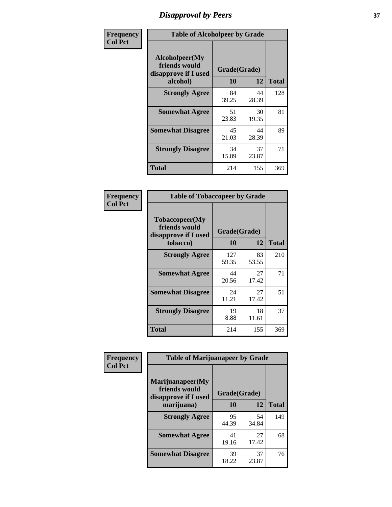# *Disapproval by Peers* **37**

| Frequency      | <b>Table of Alcoholpeer by Grade</b>                    |              |             |              |
|----------------|---------------------------------------------------------|--------------|-------------|--------------|
| <b>Col Pct</b> | Alcoholpeer(My<br>friends would<br>disapprove if I used | Grade(Grade) |             |              |
|                | alcohol)                                                | 10           | 12          | <b>Total</b> |
|                | <b>Strongly Agree</b>                                   | 84<br>39.25  | 44<br>28.39 | 128          |
|                | <b>Somewhat Agree</b>                                   | 51<br>23.83  | 30<br>19.35 | 81           |
|                | <b>Somewhat Disagree</b>                                | 45<br>21.03  | 44<br>28.39 | 89           |
|                | <b>Strongly Disagree</b>                                | 34<br>15.89  | 37<br>23.87 | 71           |
|                | Total                                                   | 214          | 155         | 369          |

| Frequency      | <b>Table of Tobaccopeer by Grade</b>                                |                           |             |              |
|----------------|---------------------------------------------------------------------|---------------------------|-------------|--------------|
| <b>Col Pct</b> | Tobaccopeer(My<br>friends would<br>disapprove if I used<br>tobacco) | Grade(Grade)<br><b>10</b> | 12          | <b>Total</b> |
|                | <b>Strongly Agree</b>                                               | 127<br>59.35              | 83<br>53.55 | 210          |
|                | <b>Somewhat Agree</b>                                               | 44<br>20.56               | 27<br>17.42 | 71           |
|                | <b>Somewhat Disagree</b>                                            | 24<br>11.21               | 27<br>17.42 | 51           |
|                | <b>Strongly Disagree</b>                                            | 19<br>8.88                | 18<br>11.61 | 37           |
|                | <b>Total</b>                                                        | 214                       | 155         | 369          |

| <b>icv</b> | <b>Table of Marijuanapeer by Grade</b>                                  |                    |             |              |  |
|------------|-------------------------------------------------------------------------|--------------------|-------------|--------------|--|
|            | Marijuanapeer(My<br>friends would<br>disapprove if I used<br>marijuana) | Grade(Grade)<br>10 | 12          | <b>Total</b> |  |
|            | <b>Strongly Agree</b>                                                   | 95<br>44.39        | 54<br>34.84 | 149          |  |
|            | <b>Somewhat Agree</b>                                                   | 41<br>19.16        | 27<br>17.42 | 68           |  |
|            | <b>Somewhat Disagree</b>                                                | 39<br>18.22        | 37<br>23.87 | 76           |  |

| Frequenc<br><b>Col Pct</b> |
|----------------------------|
|                            |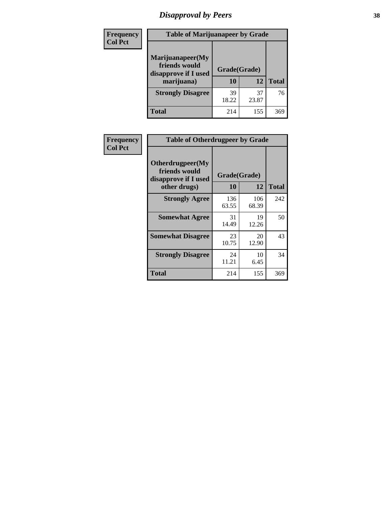# *Disapproval by Peers* **38**

| Frequency<br><b>Col Pct</b> | <b>Table of Marijuanapeer by Grade</b>                                  |                    |             |              |
|-----------------------------|-------------------------------------------------------------------------|--------------------|-------------|--------------|
|                             | Marijuanapeer(My<br>friends would<br>disapprove if I used<br>marijuana) | Grade(Grade)<br>10 | 12          | <b>Total</b> |
|                             | <b>Strongly Disagree</b>                                                | 39<br>18.22        | 37<br>23.87 | 76           |
|                             | Total                                                                   | 214                | 155         | 369          |

| Frequency      | <b>Table of Otherdrugpeer by Grade</b>                    |                    |              |              |
|----------------|-----------------------------------------------------------|--------------------|--------------|--------------|
| <b>Col Pct</b> | Otherdrugpeer(My<br>friends would<br>disapprove if I used | Grade(Grade)<br>10 | 12           |              |
|                | other drugs)                                              |                    |              | <b>Total</b> |
|                | <b>Strongly Agree</b>                                     | 136<br>63.55       | 106<br>68.39 | 242          |
|                | <b>Somewhat Agree</b>                                     | 31<br>14.49        | 19<br>12.26  | 50           |
|                | <b>Somewhat Disagree</b>                                  | 23<br>10.75        | 20<br>12.90  | 43           |
|                | <b>Strongly Disagree</b>                                  | 24<br>11.21        | 10<br>6.45   | 34           |
|                | <b>Total</b>                                              | 214                | 155          | 369          |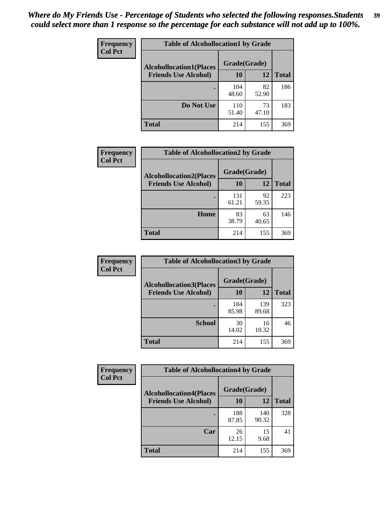| Frequency      | <b>Table of Alcohollocation1 by Grade</b> |              |             |              |
|----------------|-------------------------------------------|--------------|-------------|--------------|
| <b>Col Pct</b> | <b>Alcohollocation1(Places</b>            | Grade(Grade) |             |              |
|                | <b>Friends Use Alcohol)</b>               | 10           | 12          | <b>Total</b> |
|                |                                           | 104<br>48.60 | 82<br>52.90 | 186          |
|                | Do Not Use                                | 110<br>51.40 | 73<br>47.10 | 183          |
|                | <b>Total</b>                              | 214          | 155         | 369          |

| Frequency      | <b>Table of Alcohollocation2 by Grade</b>                     |                    |             |              |
|----------------|---------------------------------------------------------------|--------------------|-------------|--------------|
| <b>Col Pct</b> | <b>Alcohollocation2(Places</b><br><b>Friends Use Alcohol)</b> | Grade(Grade)<br>10 | <b>12</b>   | <b>Total</b> |
|                |                                                               | 131<br>61.21       | 92<br>59.35 | 223          |
|                | Home                                                          | 83<br>38.79        | 63<br>40.65 | 146          |
|                | <b>Total</b>                                                  | 214                | 155         | 369          |

| Frequency<br><b>Col Pct</b> | <b>Table of Alcohollocation 3 by Grade</b>                    |                    |             |              |
|-----------------------------|---------------------------------------------------------------|--------------------|-------------|--------------|
|                             | <b>Alcohollocation3(Places</b><br><b>Friends Use Alcohol)</b> | Grade(Grade)<br>10 | 12          | <b>Total</b> |
|                             |                                                               | 184                | 139         | 323          |
|                             |                                                               | 85.98              | 89.68       |              |
|                             | <b>School</b>                                                 | 30<br>14.02        | 16<br>10.32 | 46           |
|                             | <b>Total</b>                                                  | 214                | 155         | 369          |

| <b>Frequency</b> | <b>Table of Alcohollocation4 by Grade</b> |              |              |              |
|------------------|-------------------------------------------|--------------|--------------|--------------|
| <b>Col Pct</b>   | <b>Alcohollocation4(Places</b>            | Grade(Grade) |              |              |
|                  | <b>Friends Use Alcohol)</b>               | 10           | 12           | <b>Total</b> |
|                  |                                           | 188<br>87.85 | 140<br>90.32 | 328          |
|                  | Car                                       | 26<br>12.15  | 15<br>9.68   | 41           |
|                  | Total                                     | 214          | 155          | 369          |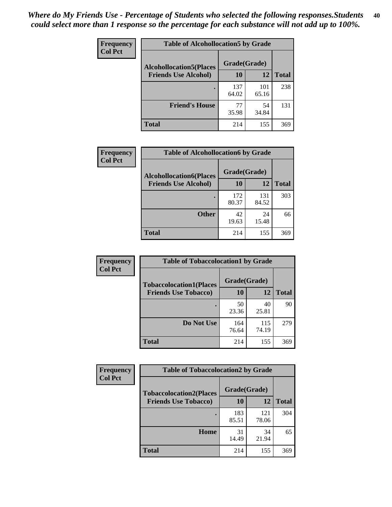| Frequency<br><b>Col Pct</b> | <b>Table of Alcohollocation5 by Grade</b>      |              |              |              |
|-----------------------------|------------------------------------------------|--------------|--------------|--------------|
|                             | Grade(Grade)<br><b>Alcohollocation5(Places</b> |              |              |              |
|                             | <b>Friends Use Alcohol)</b>                    | 10           | 12           | <b>Total</b> |
|                             |                                                | 137<br>64.02 | 101<br>65.16 | 238          |
|                             | <b>Friend's House</b>                          | 77<br>35.98  | 54<br>34.84  | 131          |
|                             | <b>Total</b>                                   | 214          | 155          | 369          |

| <b>Frequency</b> | <b>Table of Alcohollocation6 by Grade</b> |                    |              |              |
|------------------|-------------------------------------------|--------------------|--------------|--------------|
| <b>Col Pct</b>   | <b>Alcohollocation6(Places</b>            | Grade(Grade)<br>10 | 12           |              |
|                  | <b>Friends Use Alcohol)</b>               |                    |              | <b>Total</b> |
|                  |                                           | 172<br>80.37       | 131<br>84.52 | 303          |
|                  | <b>Other</b>                              | 42<br>19.63        | 24<br>15.48  | 66           |
|                  | <b>Total</b>                              | 214                | 155          | 369          |

| Frequency      | <b>Table of Tobaccolocation1 by Grade</b> |              |              |              |  |  |
|----------------|-------------------------------------------|--------------|--------------|--------------|--|--|
| <b>Col Pct</b> | <b>Tobaccolocation1(Places</b>            | Grade(Grade) |              |              |  |  |
|                | <b>Friends Use Tobacco)</b>               | 10           | <b>12</b>    | <b>Total</b> |  |  |
|                |                                           | 50<br>23.36  | 40<br>25.81  | 90           |  |  |
|                | Do Not Use                                | 164<br>76.64 | 115<br>74.19 | 279          |  |  |
|                | <b>Total</b>                              | 214          | 155          | 369          |  |  |

| <b>Frequency</b> | <b>Table of Tobaccolocation2 by Grade</b> |              |              |              |  |
|------------------|-------------------------------------------|--------------|--------------|--------------|--|
| <b>Col Pct</b>   | <b>Tobaccolocation2(Places</b>            | Grade(Grade) |              |              |  |
|                  | <b>Friends Use Tobacco)</b>               | 10           | 12           | <b>Total</b> |  |
|                  |                                           | 183<br>85.51 | 121<br>78.06 | 304          |  |
|                  | Home                                      | 31<br>14.49  | 34<br>21.94  | 65           |  |
|                  | <b>Total</b>                              | 214          | 155          | 369          |  |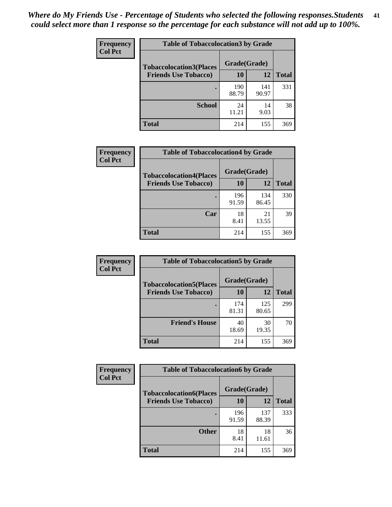| Frequency<br><b>Col Pct</b> | <b>Table of Tobaccolocation3 by Grade</b> |              |              |              |
|-----------------------------|-------------------------------------------|--------------|--------------|--------------|
|                             | <b>Tobaccolocation3(Places</b>            | Grade(Grade) |              |              |
|                             | <b>Friends Use Tobacco)</b>               | 10           | 12           | <b>Total</b> |
|                             |                                           | 190<br>88.79 | 141<br>90.97 | 331          |
|                             | <b>School</b>                             | 24<br>11.21  | 14<br>9.03   | 38           |
|                             | <b>Total</b>                              | 214          | 155          | 369          |

| Frequency      | <b>Table of Tobaccolocation4 by Grade</b> |              |              |              |
|----------------|-------------------------------------------|--------------|--------------|--------------|
| <b>Col Pct</b> | <b>Tobaccolocation4(Places</b>            | Grade(Grade) |              |              |
|                | <b>Friends Use Tobacco)</b>               | 10           | 12           | <b>Total</b> |
|                |                                           | 196<br>91.59 | 134<br>86.45 | 330          |
|                | Car                                       | 18<br>8.41   | 21<br>13.55  | 39           |
|                | <b>Total</b>                              | 214          | 155          | 369          |

| Frequency<br><b>Col Pct</b> | <b>Table of Tobaccolocation5 by Grade</b> |              |              |              |
|-----------------------------|-------------------------------------------|--------------|--------------|--------------|
|                             | <b>Tobaccolocation5(Places</b>            | Grade(Grade) |              |              |
|                             | <b>Friends Use Tobacco)</b>               | 10           | <b>12</b>    | <b>Total</b> |
|                             |                                           | 174<br>81.31 | 125<br>80.65 | 299          |
|                             | <b>Friend's House</b>                     | 40<br>18.69  | 30<br>19.35  | 70           |
|                             | <b>Total</b>                              | 214          | 155          | 369          |

| <b>Frequency</b> | <b>Table of Tobaccolocation6 by Grade</b> |              |              |              |  |
|------------------|-------------------------------------------|--------------|--------------|--------------|--|
| <b>Col Pct</b>   | <b>Tobaccolocation6(Places</b>            | Grade(Grade) |              |              |  |
|                  | <b>Friends Use Tobacco)</b>               | 10           | 12           | <b>Total</b> |  |
|                  |                                           | 196<br>91.59 | 137<br>88.39 | 333          |  |
|                  | <b>Other</b>                              | 18<br>8.41   | 18<br>11.61  | 36           |  |
|                  | <b>Total</b>                              | 214          | 155          | 369          |  |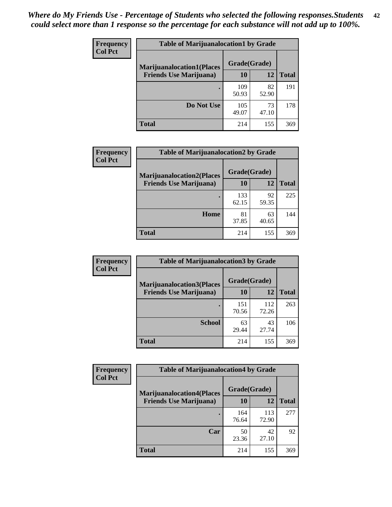| <b>Frequency</b> | <b>Table of Marijuanalocation1 by Grade</b> |              |             |              |
|------------------|---------------------------------------------|--------------|-------------|--------------|
| <b>Col Pct</b>   | <b>Marijuanalocation1(Places</b>            | Grade(Grade) |             |              |
|                  | <b>Friends Use Marijuana</b> )              | 10           | 12          | <b>Total</b> |
|                  |                                             | 109<br>50.93 | 82<br>52.90 | 191          |
|                  | Do Not Use                                  | 105<br>49.07 | 73<br>47.10 | 178          |
|                  | <b>Total</b>                                | 214          | 155         | 369          |

| <b>Frequency</b> | <b>Table of Marijuanalocation2 by Grade</b> |              |             |              |
|------------------|---------------------------------------------|--------------|-------------|--------------|
| <b>Col Pct</b>   | <b>Marijuanalocation2(Places</b>            | Grade(Grade) | 12          |              |
|                  | <b>Friends Use Marijuana</b> )              | 10           |             | <b>Total</b> |
|                  |                                             | 133<br>62.15 | 92<br>59.35 | 225          |
|                  | Home                                        | 81<br>37.85  | 63<br>40.65 | 144          |
|                  | <b>Total</b>                                | 214          | 155         | 369          |

| Frequency<br><b>Col Pct</b> | <b>Table of Marijuanalocation3 by Grade</b> |              |              |       |
|-----------------------------|---------------------------------------------|--------------|--------------|-------|
|                             | <b>Marijuanalocation3</b> (Places           | Grade(Grade) |              |       |
|                             | <b>Friends Use Marijuana</b> )              | 10           | 12           | Total |
|                             |                                             | 151<br>70.56 | 112<br>72.26 | 263   |
|                             | <b>School</b>                               | 63<br>29.44  | 43<br>27.74  | 106   |
|                             | <b>Total</b>                                | 214          | 155          | 369   |

| <b>Frequency</b> | <b>Table of Marijuanalocation4 by Grade</b> |              |              |              |  |
|------------------|---------------------------------------------|--------------|--------------|--------------|--|
| <b>Col Pct</b>   | <b>Marijuanalocation4(Places</b>            | Grade(Grade) |              |              |  |
|                  | <b>Friends Use Marijuana</b> )              | <b>10</b>    | 12           | <b>Total</b> |  |
|                  |                                             | 164<br>76.64 | 113<br>72.90 | 277          |  |
|                  | Car                                         | 50<br>23.36  | 42<br>27.10  | 92           |  |
|                  | <b>Total</b>                                | 214          | 155          | 369          |  |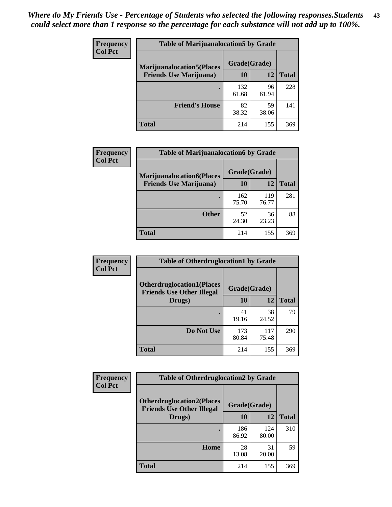| <b>Frequency</b> | <b>Table of Marijuanalocation5 by Grade</b> |              |             |              |
|------------------|---------------------------------------------|--------------|-------------|--------------|
| <b>Col Pct</b>   | <b>Marijuanalocation5</b> (Places           | Grade(Grade) |             |              |
|                  | <b>Friends Use Marijuana</b> )              | 10           | 12          | <b>Total</b> |
|                  |                                             | 132<br>61.68 | 96<br>61.94 | 228          |
|                  | <b>Friend's House</b>                       | 82<br>38.32  | 59<br>38.06 | 141          |
|                  | <b>Total</b>                                | 214          | 155         | 369          |

| <b>Frequency</b> | <b>Table of Marijuanalocation6 by Grade</b>                        |                    |              |              |
|------------------|--------------------------------------------------------------------|--------------------|--------------|--------------|
| <b>Col Pct</b>   | <b>Marijuanalocation6(Places</b><br><b>Friends Use Marijuana</b> ) | Grade(Grade)<br>10 | 12           | <b>Total</b> |
|                  |                                                                    | 162<br>75.70       | 119<br>76.77 | 281          |
|                  | <b>Other</b>                                                       | 52<br>24.30        | 36<br>23.23  | 88           |
|                  | <b>Total</b>                                                       | 214                | 155          | 369          |

| <b>Frequency</b> | <b>Table of Otherdruglocation1 by Grade</b>                          |              |              |              |
|------------------|----------------------------------------------------------------------|--------------|--------------|--------------|
| <b>Col Pct</b>   | <b>Otherdruglocation1(Places</b><br><b>Friends Use Other Illegal</b> | Grade(Grade) |              |              |
|                  | Drugs)                                                               | 10           | 12           | <b>Total</b> |
|                  |                                                                      | 41<br>19.16  | 38<br>24.52  | 79           |
|                  | Do Not Use                                                           | 173<br>80.84 | 117<br>75.48 | 290          |
|                  | <b>Total</b>                                                         | 214          | 155          | 369          |

| <b>Frequency</b> | <b>Table of Otherdruglocation2 by Grade</b>                          |              |              |              |
|------------------|----------------------------------------------------------------------|--------------|--------------|--------------|
| <b>Col Pct</b>   | <b>Otherdruglocation2(Places</b><br><b>Friends Use Other Illegal</b> | Grade(Grade) |              |              |
|                  | Drugs)                                                               | 10           | 12           | <b>Total</b> |
|                  |                                                                      | 186<br>86.92 | 124<br>80.00 | 310          |
|                  | Home                                                                 | 28<br>13.08  | 31<br>20.00  | 59           |
|                  | <b>Total</b>                                                         | 214          | 155          | 369          |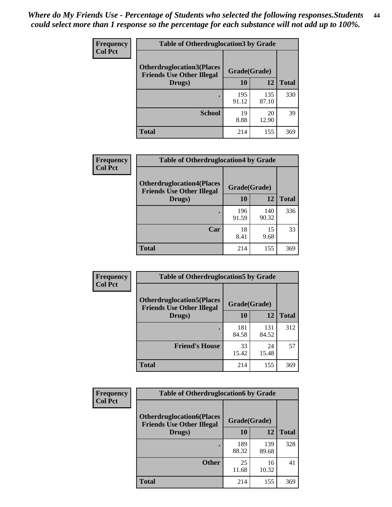| <b>Frequency</b> | <b>Table of Otherdruglocation3 by Grade</b>                          |              |              |              |
|------------------|----------------------------------------------------------------------|--------------|--------------|--------------|
| <b>Col Pct</b>   | <b>Otherdruglocation3(Places</b><br><b>Friends Use Other Illegal</b> | Grade(Grade) |              |              |
|                  | Drugs)                                                               | 10           | 12           | <b>Total</b> |
|                  |                                                                      | 195<br>91.12 | 135<br>87.10 | 330          |
|                  | <b>School</b>                                                        | 19<br>8.88   | 20<br>12.90  | 39           |
|                  | <b>Total</b>                                                         | 214          | 155          | 369          |

| <b>Frequency</b> | <b>Table of Otherdruglocation4 by Grade</b>                          |              |              |              |
|------------------|----------------------------------------------------------------------|--------------|--------------|--------------|
| <b>Col Pct</b>   | <b>Otherdruglocation4(Places</b><br><b>Friends Use Other Illegal</b> | Grade(Grade) |              |              |
|                  | Drugs)                                                               | 10           | 12           | <b>Total</b> |
|                  |                                                                      | 196<br>91.59 | 140<br>90.32 | 336          |
|                  | Car                                                                  | 18<br>8.41   | 15<br>9.68   | 33           |
|                  | <b>Total</b>                                                         | 214          | 155          | 369          |

| Frequency      | <b>Table of Otherdruglocation5 by Grade</b>                          |              |              |              |
|----------------|----------------------------------------------------------------------|--------------|--------------|--------------|
| <b>Col Pct</b> | <b>Otherdruglocation5(Places</b><br><b>Friends Use Other Illegal</b> | Grade(Grade) |              |              |
|                | Drugs)                                                               | 10           | 12           | <b>Total</b> |
|                |                                                                      | 181<br>84.58 | 131<br>84.52 | 312          |
|                | <b>Friend's House</b>                                                | 33<br>15.42  | 24<br>15.48  | 57           |
|                | Total                                                                | 214          | 155          | 369          |

| Frequency      | <b>Table of Otherdruglocation6 by Grade</b>                          |              |              |              |
|----------------|----------------------------------------------------------------------|--------------|--------------|--------------|
| <b>Col Pct</b> | <b>Otherdruglocation6(Places</b><br><b>Friends Use Other Illegal</b> | Grade(Grade) |              |              |
|                | Drugs)                                                               | 10           | 12           | <b>Total</b> |
|                |                                                                      | 189<br>88.32 | 139<br>89.68 | 328          |
|                | <b>Other</b>                                                         | 25<br>11.68  | 16<br>10.32  | 41           |
|                | <b>Total</b>                                                         | 214          | 155          | 369          |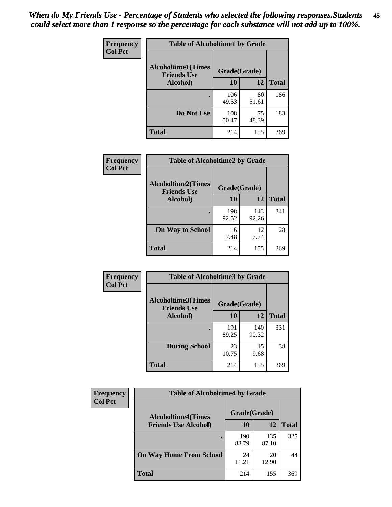| Frequency      | <b>Table of Alcoholtime1 by Grade</b>                           |              |             |              |
|----------------|-----------------------------------------------------------------|--------------|-------------|--------------|
| <b>Col Pct</b> | <b>Alcoholtime1(Times</b><br>Grade(Grade)<br><b>Friends Use</b> |              |             |              |
|                | Alcohol)                                                        | 10           | 12          | <b>Total</b> |
|                |                                                                 | 106<br>49.53 | 80<br>51.61 | 186          |
|                | Do Not Use                                                      | 108<br>50.47 | 75<br>48.39 | 183          |
|                | <b>Total</b>                                                    | 214          | 155         | 369          |

| Frequency      | <b>Table of Alcoholtime2 by Grade</b>           |              |              |              |
|----------------|-------------------------------------------------|--------------|--------------|--------------|
| <b>Col Pct</b> | <b>Alcoholtime2(Times</b><br><b>Friends Use</b> | Grade(Grade) |              |              |
|                | Alcohol)                                        | 10           | 12           | <b>Total</b> |
|                |                                                 | 198<br>92.52 | 143<br>92.26 | 341          |
|                | <b>On Way to School</b>                         | 16<br>7.48   | 12<br>7.74   | 28           |
|                | <b>Total</b>                                    | 214          | 155          | 369          |

| Frequency<br><b>Col Pct</b> | <b>Table of Alcoholtime3 by Grade</b>                           |              |              |              |
|-----------------------------|-----------------------------------------------------------------|--------------|--------------|--------------|
|                             | <b>Alcoholtime3(Times</b><br>Grade(Grade)<br><b>Friends Use</b> |              |              |              |
|                             | Alcohol)                                                        | 10           | 12           | <b>Total</b> |
|                             |                                                                 | 191<br>89.25 | 140<br>90.32 | 331          |
|                             | <b>During School</b>                                            | 23<br>10.75  | 15<br>9.68   | 38           |
|                             | <b>Total</b>                                                    | 214          | 155          | 369          |

| <b>Frequency</b> | <b>Table of Alcoholtime4 by Grade</b> |              |              |              |  |
|------------------|---------------------------------------|--------------|--------------|--------------|--|
| <b>Col Pct</b>   | <b>Alcoholtime4(Times</b>             | Grade(Grade) |              |              |  |
|                  | <b>Friends Use Alcohol)</b>           | 10           | 12           | <b>Total</b> |  |
|                  |                                       | 190<br>88.79 | 135<br>87.10 | 325          |  |
|                  | <b>On Way Home From School</b>        | 24<br>11.21  | 20<br>12.90  | 44           |  |
|                  | <b>Total</b>                          | 214          | 155          | 369          |  |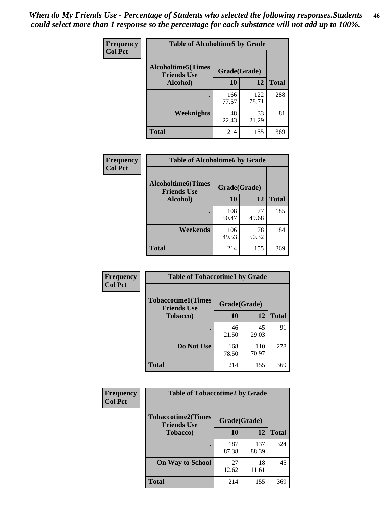*When do My Friends Use - Percentage of Students who selected the following responses.Students could select more than 1 response so the percentage for each substance will not add up to 100%.* **46**

| Frequency      | <b>Table of Alcoholtime5 by Grade</b>            |              |              |              |
|----------------|--------------------------------------------------|--------------|--------------|--------------|
| <b>Col Pct</b> | <b>Alcoholtime5</b> (Times<br><b>Friends Use</b> | Grade(Grade) |              |              |
|                | Alcohol)                                         | 10           | 12           | <b>Total</b> |
|                |                                                  | 166<br>77.57 | 122<br>78.71 | 288          |
|                | Weeknights                                       | 48<br>22.43  | 33<br>21.29  | 81           |
|                | <b>Total</b>                                     | 214          | 155          | 369          |

| Frequency      | <b>Table of Alcoholtime6 by Grade</b>           |              |             |              |
|----------------|-------------------------------------------------|--------------|-------------|--------------|
| <b>Col Pct</b> | <b>Alcoholtime6(Times</b><br><b>Friends Use</b> | Grade(Grade) |             |              |
|                | Alcohol)                                        | 10           | 12          | <b>Total</b> |
|                |                                                 | 108<br>50.47 | 77<br>49.68 | 185          |
|                | Weekends                                        | 106<br>49.53 | 78<br>50.32 | 184          |
|                | <b>Total</b>                                    | 214          | 155         | 369          |

| Frequency<br><b>Col Pct</b> | <b>Table of Tobaccotime1 by Grade</b>           |              |              |              |
|-----------------------------|-------------------------------------------------|--------------|--------------|--------------|
|                             | <b>Tobaccotime1(Times</b><br><b>Friends Use</b> | Grade(Grade) |              |              |
|                             | <b>Tobacco</b> )                                | 10           | 12           | <b>Total</b> |
|                             |                                                 | 46<br>21.50  | 45<br>29.03  | 91           |
|                             | Do Not Use                                      | 168<br>78.50 | 110<br>70.97 | 278          |
|                             | <b>Total</b>                                    | 214          | 155          | 369          |

| <b>Frequency</b> | <b>Table of Tobaccotime2 by Grade</b>           |              |              |              |
|------------------|-------------------------------------------------|--------------|--------------|--------------|
| <b>Col Pct</b>   | <b>Tobaccotime2(Times</b><br><b>Friends Use</b> | Grade(Grade) |              |              |
|                  | <b>Tobacco</b> )                                | 10           | 12           | <b>Total</b> |
|                  |                                                 | 187<br>87.38 | 137<br>88.39 | 324          |
|                  | <b>On Way to School</b>                         | 27<br>12.62  | 18<br>11.61  | 45           |
|                  | <b>Total</b>                                    | 214          | 155          | 369          |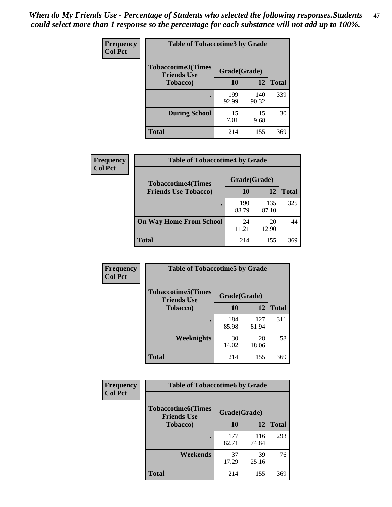*When do My Friends Use - Percentage of Students who selected the following responses.Students could select more than 1 response so the percentage for each substance will not add up to 100%.* **47**

| <b>Frequency</b> | <b>Table of Tobaccotime3 by Grade</b>           |              |              |              |  |
|------------------|-------------------------------------------------|--------------|--------------|--------------|--|
| <b>Col Pct</b>   | <b>Tobaccotime3(Times</b><br><b>Friends Use</b> |              | Grade(Grade) |              |  |
|                  | <b>Tobacco</b> )                                | 10           | 12           | <b>Total</b> |  |
|                  |                                                 | 199<br>92.99 | 140<br>90.32 | 339          |  |
|                  | <b>During School</b>                            | 15<br>7.01   | 15<br>9.68   | 30           |  |
|                  | <b>Total</b>                                    | 214          | 155          | 369          |  |

| <b>Frequency</b> | <b>Table of Tobaccotime4 by Grade</b>                    |              |              |              |
|------------------|----------------------------------------------------------|--------------|--------------|--------------|
| <b>Col Pct</b>   | <b>Tobaccotime4(Times</b><br><b>Friends Use Tobacco)</b> | Grade(Grade) |              |              |
|                  |                                                          | 10           | 12           | <b>Total</b> |
|                  |                                                          | 190<br>88.79 | 135<br>87.10 | 325          |
|                  | <b>On Way Home From School</b>                           | 24<br>11.21  | 20<br>12.90  | 44           |
|                  | <b>Total</b>                                             | 214          | 155          | 369          |

| <b>Frequency</b> | <b>Table of Tobaccotime5 by Grade</b>                           |              |              |              |
|------------------|-----------------------------------------------------------------|--------------|--------------|--------------|
| <b>Col Pct</b>   | <b>Tobaccotime5(Times</b><br>Grade(Grade)<br><b>Friends Use</b> |              |              |              |
|                  | <b>Tobacco</b> )                                                | 10           | 12           | <b>Total</b> |
|                  |                                                                 | 184<br>85.98 | 127<br>81.94 | 311          |
|                  | Weeknights                                                      | 30<br>14.02  | 28<br>18.06  | 58           |
|                  | <b>Total</b>                                                    | 214          | 155          | 369          |

| Frequency<br><b>Col Pct</b> | <b>Table of Tobaccotime6 by Grade</b>                           |              |              |              |
|-----------------------------|-----------------------------------------------------------------|--------------|--------------|--------------|
|                             | <b>Tobaccotime6(Times</b><br>Grade(Grade)<br><b>Friends Use</b> |              |              |              |
|                             | <b>Tobacco</b> )                                                | 10           | 12           | <b>Total</b> |
|                             | $\bullet$                                                       | 177<br>82.71 | 116<br>74.84 | 293          |
|                             | Weekends                                                        | 37<br>17.29  | 39<br>25.16  | 76           |
|                             | <b>Total</b>                                                    | 214          | 155          | 369          |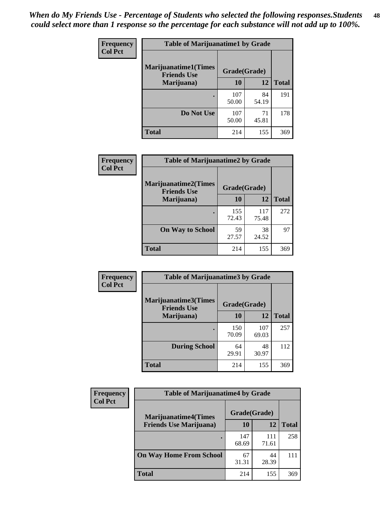| Frequency      | <b>Table of Marijuanatime1 by Grade</b>            |              |             |              |  |
|----------------|----------------------------------------------------|--------------|-------------|--------------|--|
| <b>Col Pct</b> | <b>Marijuanatime1</b> (Times<br><b>Friends Use</b> | Grade(Grade) |             |              |  |
|                | Marijuana)                                         | 10           | 12          | <b>Total</b> |  |
|                |                                                    | 107<br>50.00 | 84<br>54.19 | 191          |  |
|                | Do Not Use                                         | 107<br>50.00 | 71<br>45.81 | 178          |  |
|                | <b>Total</b>                                       | 214          | 155         | 369          |  |

| Frequency      | <b>Table of Marijuanatime2 by Grade</b>           |              |              |              |
|----------------|---------------------------------------------------|--------------|--------------|--------------|
| <b>Col Pct</b> | <b>Marijuanatime2(Times</b><br><b>Friends Use</b> | Grade(Grade) |              |              |
|                | Marijuana)                                        | 10           | 12           | <b>Total</b> |
|                |                                                   | 155<br>72.43 | 117<br>75.48 | 272          |
|                | <b>On Way to School</b>                           | 59<br>27.57  | 38<br>24.52  | 97           |
|                | <b>Total</b>                                      | 214          | 155          | 369          |

| Frequency      | <b>Table of Marijuanatime3 by Grade</b>    |              |              |              |  |
|----------------|--------------------------------------------|--------------|--------------|--------------|--|
| <b>Col Pct</b> | Marijuanatime3(Times<br><b>Friends Use</b> | Grade(Grade) |              |              |  |
|                | Marijuana)                                 | 10           | 12           | <b>Total</b> |  |
|                |                                            | 150<br>70.09 | 107<br>69.03 | 257          |  |
|                | <b>During School</b>                       | 64<br>29.91  | 48<br>30.97  | 112          |  |
|                | <b>Total</b>                               | 214          | 155          | 369          |  |

| <b>Frequency</b> | <b>Table of Marijuanatime4 by Grade</b> |              |              |              |  |
|------------------|-----------------------------------------|--------------|--------------|--------------|--|
| <b>Col Pct</b>   | <b>Marijuanatime4(Times</b>             | Grade(Grade) |              |              |  |
|                  | <b>Friends Use Marijuana</b> )          | 10           | 12           | <b>Total</b> |  |
|                  |                                         | 147<br>68.69 | 111<br>71.61 | 258          |  |
|                  | <b>On Way Home From School</b>          | 67<br>31.31  | 44<br>28.39  | 111          |  |
|                  | <b>Total</b>                            | 214          | 155          | 369          |  |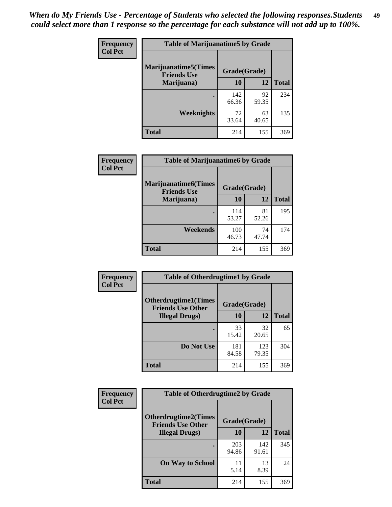| Frequency      | <b>Table of Marijuanatime5 by Grade</b>            |              |             |              |  |
|----------------|----------------------------------------------------|--------------|-------------|--------------|--|
| <b>Col Pct</b> | <b>Marijuanatime5</b> (Times<br><b>Friends Use</b> | Grade(Grade) |             |              |  |
|                | Marijuana)                                         | 10           | 12          | <b>Total</b> |  |
|                |                                                    | 142<br>66.36 | 92<br>59.35 | 234          |  |
|                | Weeknights                                         | 72<br>33.64  | 63<br>40.65 | 135          |  |
|                | <b>Total</b>                                       | 214          | 155         | 369          |  |

| <b>Frequency</b> | <b>Table of Marijuanatime6 by Grade</b>            |              |             |              |  |
|------------------|----------------------------------------------------|--------------|-------------|--------------|--|
| <b>Col Pct</b>   | <b>Marijuanatime6</b> (Times<br><b>Friends Use</b> | Grade(Grade) |             |              |  |
|                  | Marijuana)                                         | 10           | 12          | <b>Total</b> |  |
|                  |                                                    | 114<br>53.27 | 81<br>52.26 | 195          |  |
|                  | Weekends                                           | 100<br>46.73 | 74<br>47.74 | 174          |  |
|                  | <b>Total</b>                                       | 214          | 155         | 369          |  |

| Frequency      | <b>Table of Otherdrugtime1 by Grade</b>                 |              |              |              |  |
|----------------|---------------------------------------------------------|--------------|--------------|--------------|--|
| <b>Col Pct</b> | <b>Otherdrugtime1(Times</b><br><b>Friends Use Other</b> | Grade(Grade) |              |              |  |
|                | <b>Illegal Drugs</b> )                                  | 10           | 12           | <b>Total</b> |  |
|                |                                                         | 33<br>15.42  | 32<br>20.65  | 65           |  |
|                | Do Not Use                                              | 181<br>84.58 | 123<br>79.35 | 304          |  |
|                | Total                                                   | 214          | 155          | 369          |  |

| Frequency      | <b>Table of Otherdrugtime2 by Grade</b>                 |              |              |              |
|----------------|---------------------------------------------------------|--------------|--------------|--------------|
| <b>Col Pct</b> | <b>Otherdrugtime2(Times</b><br><b>Friends Use Other</b> | Grade(Grade) |              |              |
|                | <b>Illegal Drugs</b> )                                  | 10           | 12           | <b>Total</b> |
|                |                                                         | 203<br>94.86 | 142<br>91.61 | 345          |
|                | <b>On Way to School</b>                                 | 11<br>5.14   | 13<br>8.39   | 24           |
|                | Total                                                   | 214          | 155          | 369          |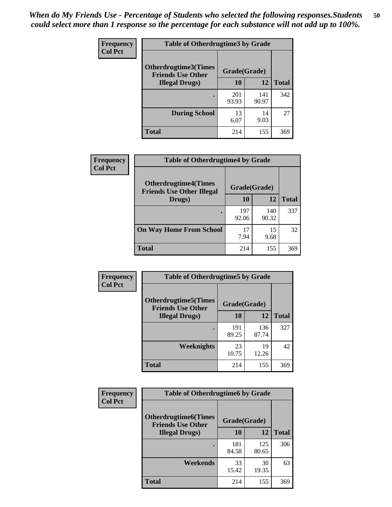| <b>Frequency</b> | <b>Table of Otherdrugtime3 by Grade</b>          |              |              |              |
|------------------|--------------------------------------------------|--------------|--------------|--------------|
| <b>Col Pct</b>   | Otherdrugtime3(Times<br><b>Friends Use Other</b> | Grade(Grade) |              |              |
|                  | <b>Illegal Drugs</b> )                           | 10           | 12           | <b>Total</b> |
|                  |                                                  | 201<br>93.93 | 141<br>90.97 | 342          |
|                  | <b>During School</b>                             | 13<br>6.07   | 14<br>9.03   | 27           |
|                  | Total                                            | 214          | 155          | 369          |

| Frequency      | <b>Table of Otherdrugtime4 by Grade</b>                         |              |              |              |  |
|----------------|-----------------------------------------------------------------|--------------|--------------|--------------|--|
| <b>Col Pct</b> | <b>Otherdrugtime4(Times</b><br><b>Friends Use Other Illegal</b> | Grade(Grade) |              |              |  |
|                | Drugs)                                                          | 10           | 12           | <b>Total</b> |  |
|                | $\bullet$                                                       | 197<br>92.06 | 140<br>90.32 | 337          |  |
|                | <b>On Way Home From School</b>                                  | 17<br>7.94   | 15<br>9.68   | 32           |  |
|                | <b>Total</b>                                                    | 214          | 155          | 369          |  |

| Frequency      | <b>Table of Otherdrugtime5 by Grade</b>                  |              |              |              |
|----------------|----------------------------------------------------------|--------------|--------------|--------------|
| <b>Col Pct</b> | <b>Otherdrugtime5</b> (Times<br><b>Friends Use Other</b> | Grade(Grade) |              |              |
|                | <b>Illegal Drugs</b> )                                   | 10           | 12           | <b>Total</b> |
|                |                                                          | 191<br>89.25 | 136<br>87.74 | 327          |
|                | Weeknights                                               | 23<br>10.75  | 19<br>12.26  | 42           |
|                | Total                                                    | 214          | 155          | 369          |

| Frequency<br><b>Col Pct</b> | <b>Table of Otherdrugtime6 by Grade</b>                 |              |              |              |
|-----------------------------|---------------------------------------------------------|--------------|--------------|--------------|
|                             | <b>Otherdrugtime6(Times</b><br><b>Friends Use Other</b> | Grade(Grade) |              |              |
|                             | <b>Illegal Drugs)</b>                                   | 10           | 12           | <b>Total</b> |
|                             |                                                         | 181<br>84.58 | 125<br>80.65 | 306          |
|                             | Weekends                                                | 33<br>15.42  | 30<br>19.35  | 63           |
|                             | <b>Total</b>                                            | 214          | 155          | 369          |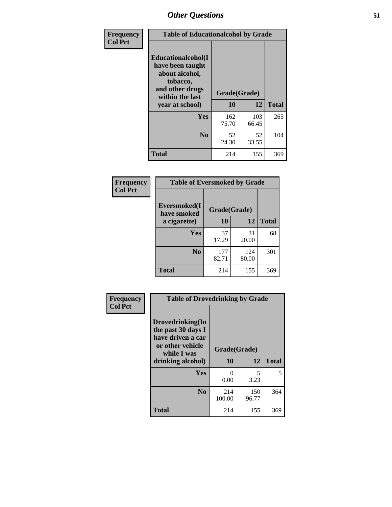| Frequency      | <b>Table of Educationalcohol by Grade</b>                                                                  |              |              |              |
|----------------|------------------------------------------------------------------------------------------------------------|--------------|--------------|--------------|
| <b>Col Pct</b> | Educationalcohol(I<br>have been taught<br>about alcohol,<br>tobacco,<br>and other drugs<br>within the last | Grade(Grade) |              |              |
|                | year at school)                                                                                            | 10           | 12           | <b>Total</b> |
|                | <b>Yes</b>                                                                                                 | 162<br>75.70 | 103<br>66.45 | 265          |
|                | N <sub>0</sub>                                                                                             | 52<br>24.30  | 52<br>33.55  | 104          |
|                | <b>Total</b>                                                                                               | 214          | 155          | 369          |

| Frequency      | <b>Table of Eversmoked by Grade</b> |              |              |              |  |
|----------------|-------------------------------------|--------------|--------------|--------------|--|
| <b>Col Pct</b> | Eversmoked(I<br>have smoked         | Grade(Grade) |              |              |  |
|                | a cigarette)                        | 10           | 12           | <b>Total</b> |  |
|                | <b>Yes</b>                          | 37<br>17.29  | 31<br>20.00  | 68           |  |
|                | N <sub>0</sub>                      | 177<br>82.71 | 124<br>80.00 | 301          |  |
|                | <b>Total</b>                        | 214          | 155          | 369          |  |

| Frequency      | <b>Table of Drovedrinking by Grade</b>                                                                              |                           |              |              |
|----------------|---------------------------------------------------------------------------------------------------------------------|---------------------------|--------------|--------------|
| <b>Col Pct</b> | Drovedrinking(In<br>the past 30 days I<br>have driven a car<br>or other vehicle<br>while I was<br>drinking alcohol) | Grade(Grade)<br>10        | 12           | <b>Total</b> |
|                | Yes                                                                                                                 | $\mathbf{\Omega}$<br>0.00 | 5<br>3.23    | 5            |
|                | N <sub>0</sub>                                                                                                      | 214<br>100.00             | 150<br>96.77 | 364          |
|                | <b>Total</b>                                                                                                        | 214                       | 155          | 369          |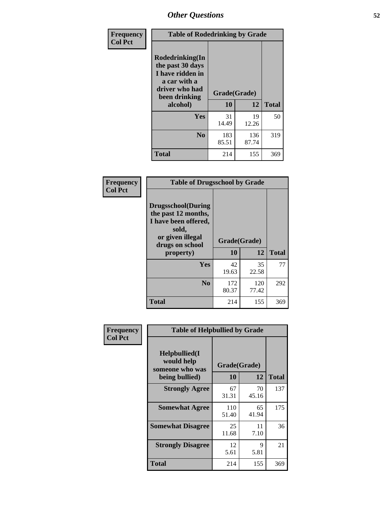| Frequency<br><b>Col Pct</b> | <b>Table of Rodedrinking by Grade</b>                                                                                  |                    |              |              |  |
|-----------------------------|------------------------------------------------------------------------------------------------------------------------|--------------------|--------------|--------------|--|
|                             | Rodedrinking(In<br>the past 30 days<br>I have ridden in<br>a car with a<br>driver who had<br>been drinking<br>alcohol) | Grade(Grade)<br>10 | 12           | <b>Total</b> |  |
|                             | <b>Yes</b>                                                                                                             | 31<br>14.49        | 19<br>12.26  | 50           |  |
|                             | N <sub>0</sub>                                                                                                         | 183<br>85.51       | 136<br>87.74 | 319          |  |
|                             | <b>Total</b>                                                                                                           | 214                | 155          | 369          |  |

#### **Frequency Col Pct**

| <b>Table of Drugsschool by Grade</b>                                                                                      |              |              |              |  |
|---------------------------------------------------------------------------------------------------------------------------|--------------|--------------|--------------|--|
| <b>Drugsschool</b> (During<br>the past 12 months,<br>I have been offered,<br>sold,<br>or given illegal<br>drugs on school | Grade(Grade) |              |              |  |
| property)                                                                                                                 | 10           | 12           | <b>Total</b> |  |
| Yes                                                                                                                       | 42<br>19.63  | 35<br>22.58  | 77           |  |
| N <sub>0</sub>                                                                                                            | 172<br>80.37 | 120<br>77.42 | 292          |  |
| Total                                                                                                                     | 214          | 155          | 369          |  |

| Frequency      | <b>Table of Helpbullied by Grade</b>           |              |             |              |  |  |
|----------------|------------------------------------------------|--------------|-------------|--------------|--|--|
| <b>Col Pct</b> | Helpbullied(I<br>would help<br>someone who was | Grade(Grade) |             |              |  |  |
|                | being bullied)                                 | 10           | 12          | <b>Total</b> |  |  |
|                | <b>Strongly Agree</b>                          | 67<br>31.31  | 70<br>45.16 | 137          |  |  |
|                | <b>Somewhat Agree</b>                          | 110<br>51.40 | 65<br>41.94 | 175          |  |  |
|                | <b>Somewhat Disagree</b>                       | 25<br>11.68  | 11<br>7.10  | 36           |  |  |
|                | <b>Strongly Disagree</b>                       | 12<br>5.61   | 9<br>5.81   | 21           |  |  |
|                | <b>Total</b>                                   | 214          | 155         | 369          |  |  |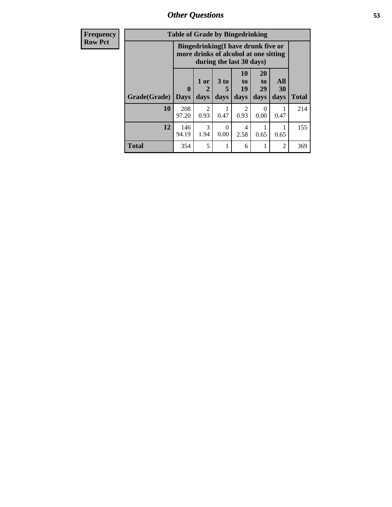*Other Questions* **53**

| <b>Frequency</b> | <b>Table of Grade by Bingedrinking</b> |                  |                        |                     |                                                                                                         |                               |                   |              |
|------------------|----------------------------------------|------------------|------------------------|---------------------|---------------------------------------------------------------------------------------------------------|-------------------------------|-------------------|--------------|
| <b>Row Pct</b>   |                                        |                  |                        |                     | Bingedrinking(I have drunk five or<br>more drinks of alcohol at one sitting<br>during the last 30 days) |                               |                   |              |
|                  | Grade(Grade)                           | 0<br><b>Days</b> | 1 or<br>2<br>days      | $3$ to<br>5<br>days | 10<br>$\mathbf{t}$<br>19<br>days                                                                        | <b>20</b><br>to<br>29<br>days | All<br>30<br>days | <b>Total</b> |
|                  | 10                                     | 208<br>97.20     | $\mathfrak{D}$<br>0.93 | 0.47                | $\mathfrak{D}$<br>0.93                                                                                  | $\Omega$<br>0.00              | 0.47              | 214          |
|                  | 12                                     | 146<br>94.19     | $\mathcal{R}$<br>1.94  | $\Omega$<br>0.00    | 4<br>2.58                                                                                               | 0.65                          | 0.65              | 155          |
|                  | Total                                  | 354              | 5                      |                     | 6                                                                                                       |                               | 2                 | 369          |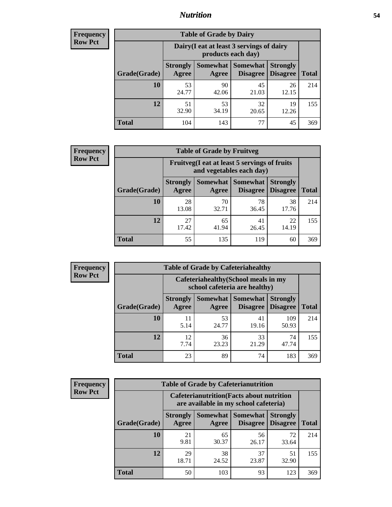### *Nutrition* **54**

| <b>Frequency</b><br>Row Pct |
|-----------------------------|
|                             |

| <b>Table of Grade by Dairy</b> |                                                                                                                                                                                                                |             |             |             |     |  |  |
|--------------------------------|----------------------------------------------------------------------------------------------------------------------------------------------------------------------------------------------------------------|-------------|-------------|-------------|-----|--|--|
|                                | Dairy (I eat at least 3 servings of dairy<br>products each day)<br>Somewhat  <br><b>Somewhat</b><br><b>Strongly</b><br><b>Strongly</b><br><b>Disagree</b><br><b>Disagree</b><br><b>Total</b><br>Agree<br>Agree |             |             |             |     |  |  |
| Grade(Grade)                   |                                                                                                                                                                                                                |             |             |             |     |  |  |
| 10                             | 53<br>24.77                                                                                                                                                                                                    | 90<br>42.06 | 45<br>21.03 | 26<br>12.15 | 214 |  |  |
| 12                             | 51<br>32.90                                                                                                                                                                                                    | 53<br>34.19 | 32<br>20.65 | 19<br>12.26 | 155 |  |  |
| <b>Total</b>                   | 104                                                                                                                                                                                                            | 143         | 77          | 45          | 369 |  |  |

| <b>Frequency</b> |  |
|------------------|--|
| <b>Row Pct</b>   |  |

| <b>Table of Grade by Fruitveg</b> |                          |                                                                                                       |             |             |     |  |  |  |
|-----------------------------------|--------------------------|-------------------------------------------------------------------------------------------------------|-------------|-------------|-----|--|--|--|
|                                   |                          | Fruitveg(I eat at least 5 servings of fruits<br>and vegetables each day)                              |             |             |     |  |  |  |
| Grade(Grade)                      | <b>Strongly</b><br>Agree | <b>Somewhat   Somewhat</b><br><b>Strongly</b><br><b>Disagree</b><br>Disagree<br><b>Total</b><br>Agree |             |             |     |  |  |  |
| 10                                | 28<br>13.08              | 70<br>32.71                                                                                           | 78<br>36.45 | 38<br>17.76 | 214 |  |  |  |
| 12                                | 27<br>17.42              | 65<br>41.94                                                                                           | 41<br>26.45 | 22<br>14.19 | 155 |  |  |  |
| <b>Total</b>                      | 55                       | 135                                                                                                   | 119         | 60          | 369 |  |  |  |

| <b>Frequency</b> | <b>Table of Grade by Cafeteriahealthy</b> |                                                                       |             |                                          |                                    |              |  |  |
|------------------|-------------------------------------------|-----------------------------------------------------------------------|-------------|------------------------------------------|------------------------------------|--------------|--|--|
| <b>Row Pct</b>   |                                           | Cafeteriahealthy (School meals in my<br>school cafeteria are healthy) |             |                                          |                                    |              |  |  |
|                  | Grade(Grade)                              | <b>Strongly</b><br>Agree                                              | Agree       | Somewhat   Somewhat  <br><b>Disagree</b> | <b>Strongly</b><br><b>Disagree</b> | <b>Total</b> |  |  |
|                  | 10                                        | 11<br>5.14                                                            | 53<br>24.77 | 41<br>19.16                              | 109<br>50.93                       | 214          |  |  |
|                  | 12                                        | 12<br>7.74                                                            | 36<br>23.23 | 33<br>21.29                              | 74<br>47.74                        | 155          |  |  |
|                  | Total                                     | 23                                                                    | 89          | 74                                       | 183                                | 369          |  |  |

| <b>Frequency</b> |
|------------------|
| <b>Row Pct</b>   |

| <b>Table of Grade by Cafeterianutrition</b> |                                                                                                                         |             |             |             |     |  |  |  |
|---------------------------------------------|-------------------------------------------------------------------------------------------------------------------------|-------------|-------------|-------------|-----|--|--|--|
|                                             | <b>Cafeterianutrition</b> (Facts about nutrition<br>are available in my school cafeteria)                               |             |             |             |     |  |  |  |
| Grade(Grade)                                | <b>Strongly</b><br>Somewhat   Somewhat<br><b>Strongly</b><br><b>Disagree</b> Disagree<br><b>Total</b><br>Agree<br>Agree |             |             |             |     |  |  |  |
| 10                                          | 21<br>9.81                                                                                                              | 65<br>30.37 | 56<br>26.17 | 72<br>33.64 | 214 |  |  |  |
| 12                                          | 29<br>18.71                                                                                                             | 38<br>24.52 | 37<br>23.87 | 51<br>32.90 | 155 |  |  |  |
| <b>Total</b>                                | 50                                                                                                                      | 103         | 93          | 123         | 369 |  |  |  |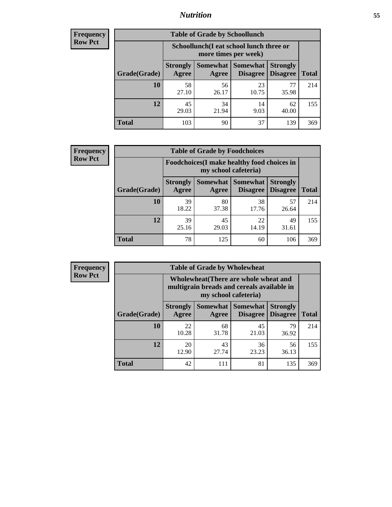### *Nutrition* **55**

| Frequency      |
|----------------|
| <b>Row Pct</b> |

| <b>Table of Grade by Schoollunch</b> |                                                                                                                                    |             |             |             |     |  |  |
|--------------------------------------|------------------------------------------------------------------------------------------------------------------------------------|-------------|-------------|-------------|-----|--|--|
|                                      | Schoollunch(I eat school lunch three or<br>more times per week)                                                                    |             |             |             |     |  |  |
| Grade(Grade)                         | Somewhat<br><b>Somewhat</b><br><b>Strongly</b><br><b>Strongly</b><br><b>Disagree</b><br>Agree<br>Disagree<br><b>Total</b><br>Agree |             |             |             |     |  |  |
| 10                                   | 58<br>27.10                                                                                                                        | 56<br>26.17 | 23<br>10.75 | 77<br>35.98 | 214 |  |  |
| 12                                   | 45<br>29.03                                                                                                                        | 34<br>21.94 | 14<br>9.03  | 62<br>40.00 | 155 |  |  |
| <b>Total</b>                         | 103                                                                                                                                | 90          | 37          | 139         | 369 |  |  |

| <b>Frequency</b> |
|------------------|
| <b>Row Pct</b>   |

| <b>Table of Grade by Foodchoices</b> |                                                                                                                              |             |             |             |     |  |  |
|--------------------------------------|------------------------------------------------------------------------------------------------------------------------------|-------------|-------------|-------------|-----|--|--|
|                                      | <b>Foodchoices</b> (I make healthy food choices in<br>my school cafeteria)                                                   |             |             |             |     |  |  |
| Grade(Grade)                         | Somewhat   Somewhat  <br><b>Strongly</b><br><b>Strongly</b><br><b>Disagree</b><br>Agree<br>Disagree<br><b>Total</b><br>Agree |             |             |             |     |  |  |
| <b>10</b>                            | 39<br>18.22                                                                                                                  | 80<br>37.38 | 38<br>17.76 | 57<br>26.64 | 214 |  |  |
| 12                                   | 39<br>25.16                                                                                                                  | 45<br>29.03 | 22<br>14.19 | 49<br>31.61 | 155 |  |  |
| <b>Total</b>                         | 78                                                                                                                           | 125         | 60          | 106         | 369 |  |  |

| Frequency<br>Row Pct |
|----------------------|
| Row Pct              |

г

| <b>Table of Grade by Wholewheat</b> |              |                          |                                                                                                             |                                               |                                    |              |  |
|-------------------------------------|--------------|--------------------------|-------------------------------------------------------------------------------------------------------------|-----------------------------------------------|------------------------------------|--------------|--|
|                                     |              |                          | Wholewheat (There are whole wheat and<br>multigrain breads and cereals available in<br>my school cafeteria) |                                               |                                    |              |  |
|                                     | Grade(Grade) | <b>Strongly</b><br>Agree | Agree                                                                                                       | <b>Somewhat   Somewhat</b><br><b>Disagree</b> | <b>Strongly</b><br><b>Disagree</b> | <b>Total</b> |  |
|                                     | 10           | 22<br>10.28              | 68<br>31.78                                                                                                 | 45<br>21.03                                   | 79<br>36.92                        | 214          |  |
|                                     | 12           | 20<br>12.90              | 43<br>27.74                                                                                                 | 36<br>23.23                                   | 56<br>36.13                        | 155          |  |
|                                     | <b>Total</b> | 42                       | 111                                                                                                         | 81                                            | 135                                | 369          |  |

٦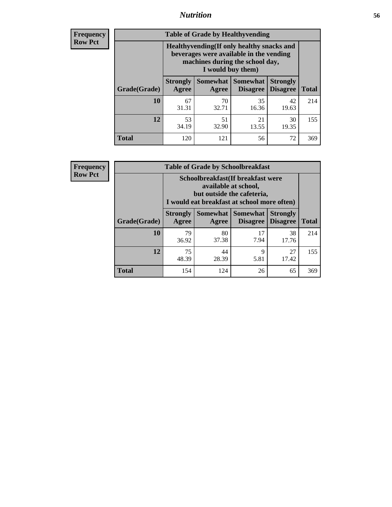### *Nutrition* **56**

**Frequency Row Pct**

| <b>Table of Grade by Healthyvending</b> |                                                                                                                                               |                          |                                    |                                    |              |  |  |
|-----------------------------------------|-----------------------------------------------------------------------------------------------------------------------------------------------|--------------------------|------------------------------------|------------------------------------|--------------|--|--|
|                                         | Healthyvending (If only healthy snacks and<br>beverages were available in the vending<br>machines during the school day,<br>I would buy them) |                          |                                    |                                    |              |  |  |
| Grade(Grade)                            | <b>Strongly</b><br>Agree                                                                                                                      | <b>Somewhat</b><br>Agree | <b>Somewhat</b><br><b>Disagree</b> | <b>Strongly</b><br><b>Disagree</b> | <b>Total</b> |  |  |
| 10                                      | 67<br>31.31                                                                                                                                   | 70<br>32.71              | 35<br>16.36                        | 42<br>19.63                        | 214          |  |  |
| 12                                      | 53<br>34.19                                                                                                                                   | 51<br>32.90              | 21<br>13.55                        | 30<br>19.35                        | 155          |  |  |
| <b>Total</b>                            | 120                                                                                                                                           | 121                      | 56                                 | 72                                 | 369          |  |  |

**Frequency Row Pct**

| <b>Table of Grade by Schoolbreakfast</b> |                                                                                                                                         |             |                                        |                                    |              |  |  |
|------------------------------------------|-----------------------------------------------------------------------------------------------------------------------------------------|-------------|----------------------------------------|------------------------------------|--------------|--|--|
|                                          | Schoolbreakfast (If breakfast were<br>available at school,<br>but outside the cafeteria,<br>I would eat breakfast at school more often) |             |                                        |                                    |              |  |  |
| Grade(Grade)                             | <b>Strongly</b><br>Agree                                                                                                                | Agree       | Somewhat   Somewhat<br><b>Disagree</b> | <b>Strongly</b><br><b>Disagree</b> | <b>Total</b> |  |  |
| 10                                       | 79<br>36.92                                                                                                                             | 80<br>37.38 | 17<br>7.94                             | 38<br>17.76                        | 214          |  |  |
| 12                                       | 75<br>48.39                                                                                                                             | 44<br>28.39 | 9<br>5.81                              | 27<br>17.42                        | 155          |  |  |
| <b>Total</b>                             | 154                                                                                                                                     | 124         | 26                                     | 65                                 | 369          |  |  |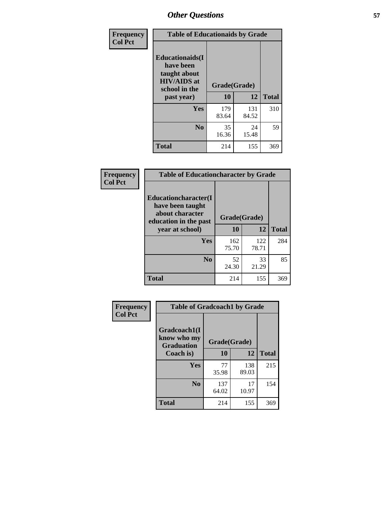| Frequency<br><b>Col Pct</b> | <b>Table of Educationaids by Grade</b>                                                                    |                    |              |              |  |
|-----------------------------|-----------------------------------------------------------------------------------------------------------|--------------------|--------------|--------------|--|
|                             | <b>Educationaids</b> (I<br>have been<br>taught about<br><b>HIV/AIDS</b> at<br>school in the<br>past year) | Grade(Grade)<br>10 | 12           | <b>Total</b> |  |
|                             | Yes                                                                                                       | 179<br>83.64       | 131<br>84.52 | 310          |  |
|                             | N <sub>0</sub>                                                                                            | 35<br>16.36        | 24<br>15.48  | 59           |  |
|                             | <b>Total</b>                                                                                              | 214                | 155          | 369          |  |

| <b>Frequency</b> | <b>Table of Educationcharacter by Grade</b>                                          |              |              |              |
|------------------|--------------------------------------------------------------------------------------|--------------|--------------|--------------|
| <b>Col Pct</b>   | Educationcharacter(I<br>have been taught<br>about character<br>education in the past | Grade(Grade) |              |              |
|                  | year at school)                                                                      | 10           | 12           | <b>Total</b> |
|                  | <b>Yes</b>                                                                           | 162<br>75.70 | 122<br>78.71 | 284          |
|                  | N <sub>0</sub>                                                                       | 52<br>24.30  | 33<br>21.29  | 85           |
|                  | <b>Total</b>                                                                         | 214          | 155          | 369          |

| Frequency      | <b>Table of Gradcoach1 by Grade</b> |              |              |              |  |
|----------------|-------------------------------------|--------------|--------------|--------------|--|
| <b>Col Pct</b> | Gradcoach1(I<br>know who my         | Grade(Grade) |              |              |  |
|                | <b>Graduation</b><br>Coach is)      | 10           | 12           | <b>Total</b> |  |
|                | Yes                                 | 77<br>35.98  | 138<br>89.03 | 215          |  |
|                | N <sub>0</sub>                      | 137<br>64.02 | 17<br>10.97  | 154          |  |
|                | <b>Total</b>                        | 214          | 155          | 369          |  |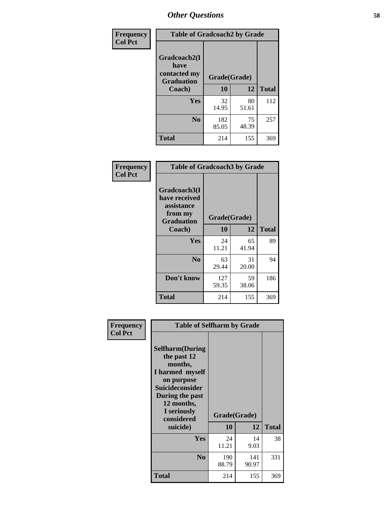| Frequency      | <b>Table of Gradcoach2 by Grade</b> |              |             |              |
|----------------|-------------------------------------|--------------|-------------|--------------|
| <b>Col Pct</b> |                                     |              |             |              |
|                | Gradcoach2(I<br>have                |              |             |              |
|                | contacted my<br><b>Graduation</b>   | Grade(Grade) |             |              |
|                | Coach)                              | 10           | 12          | <b>Total</b> |
|                | Yes                                 | 32<br>14.95  | 80<br>51.61 | 112          |
|                | N <sub>0</sub>                      | 182<br>85.05 | 75<br>48.39 | 257          |
|                | <b>Total</b>                        | 214          | 155         | 369          |

| Frequency<br><b>Col Pct</b> | <b>Table of Gradcoach3 by Grade</b>                                         |              |             |              |
|-----------------------------|-----------------------------------------------------------------------------|--------------|-------------|--------------|
|                             | Gradcoach3(I<br>have received<br>assistance<br>from my<br><b>Graduation</b> | Grade(Grade) |             |              |
|                             | Coach)                                                                      | 10           | 12          | <b>Total</b> |
|                             | Yes                                                                         | 24<br>11.21  | 65<br>41.94 | 89           |
|                             | N <sub>0</sub>                                                              | 63<br>29.44  | 31<br>20.00 | 94           |
|                             | Don't know                                                                  | 127<br>59.35 | 59<br>38.06 | 186          |
|                             | <b>Total</b>                                                                | 214          | 155         | 369          |

| ency | <b>Table of Selfharm by Grade</b>                                                                                                                            |              |              |              |
|------|--------------------------------------------------------------------------------------------------------------------------------------------------------------|--------------|--------------|--------------|
| t    | <b>Selfharm</b> (During<br>the past 12<br>months,<br>I harmed myself<br>on purpose<br><b>Suicideconsider</b><br>During the past<br>12 months,<br>I seriously | Grade(Grade) |              |              |
|      | considered                                                                                                                                                   | 10           | 12           | <b>Total</b> |
|      | suicide)                                                                                                                                                     |              |              |              |
|      | Yes                                                                                                                                                          | 24<br>11.21  | 14<br>9.03   | 38           |
|      | N <sub>0</sub>                                                                                                                                               | 190<br>88.79 | 141<br>90.97 | 331          |
|      | Total                                                                                                                                                        | 214          | 155          | 369          |

**Frequency Col Pct**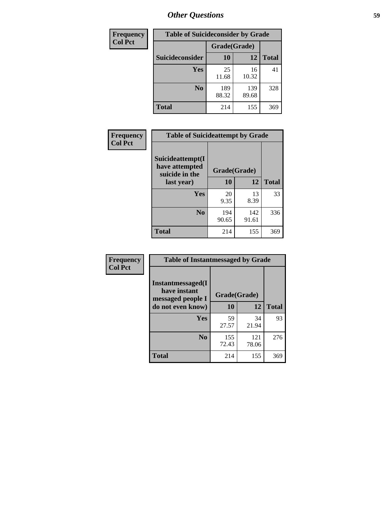| <b>Frequency</b> | <b>Table of Suicideconsider by Grade</b> |              |              |              |  |
|------------------|------------------------------------------|--------------|--------------|--------------|--|
| <b>Col Pct</b>   |                                          | Grade(Grade) |              |              |  |
|                  | Suicideconsider                          | <b>10</b>    | 12           | <b>Total</b> |  |
|                  | Yes                                      | 25<br>11.68  | 16<br>10.32  | 41           |  |
|                  | N <sub>0</sub>                           | 189<br>88.32 | 139<br>89.68 | 328          |  |
|                  | Total                                    | 214          | 155          | 369          |  |

| Frequency      | <b>Table of Suicideattempt by Grade</b>              |              |              |              |
|----------------|------------------------------------------------------|--------------|--------------|--------------|
| <b>Col Pct</b> | Suicideattempt(I<br>have attempted<br>suicide in the | Grade(Grade) |              |              |
|                | last year)                                           | 10           | 12           | <b>Total</b> |
|                | Yes                                                  | 20<br>9.35   | 13<br>8.39   | 33           |
|                | N <sub>0</sub>                                       | 194<br>90.65 | 142<br>91.61 | 336          |
|                | <b>Total</b>                                         | 214          | 155          | 369          |

| Frequency      | <b>Table of Instantmessaged by Grade</b>               |              |              |              |
|----------------|--------------------------------------------------------|--------------|--------------|--------------|
| <b>Col Pct</b> | Instantmessaged(I<br>have instant<br>messaged people I | Grade(Grade) |              |              |
|                | do not even know)                                      | 10           | 12           | <b>Total</b> |
|                | Yes                                                    | 59<br>27.57  | 34<br>21.94  | 93           |
|                | N <sub>0</sub>                                         | 155<br>72.43 | 121<br>78.06 | 276          |
|                | <b>Total</b>                                           | 214          | 155          | 369          |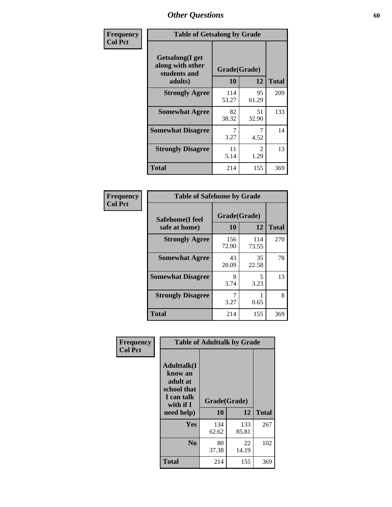| Frequency      | <b>Table of Getsalong by Grade</b>                          |              |                                     |              |  |  |  |  |  |
|----------------|-------------------------------------------------------------|--------------|-------------------------------------|--------------|--|--|--|--|--|
| <b>Col Pct</b> | <b>Getsalong</b> (I get<br>along with other<br>students and | Grade(Grade) |                                     |              |  |  |  |  |  |
|                | adults)                                                     | 10           | 12                                  | <b>Total</b> |  |  |  |  |  |
|                | <b>Strongly Agree</b>                                       | 114<br>53.27 | 95<br>61.29                         | 209          |  |  |  |  |  |
|                | <b>Somewhat Agree</b>                                       | 82<br>38.32  | 51<br>32.90                         | 133          |  |  |  |  |  |
|                | <b>Somewhat Disagree</b>                                    | 3.27         | 7<br>4.52                           | 14           |  |  |  |  |  |
|                | <b>Strongly Disagree</b>                                    | 11<br>5.14   | $\mathcal{D}_{\mathcal{L}}$<br>1.29 | 13           |  |  |  |  |  |
|                | <b>Total</b>                                                | 214          | 155                                 | 369          |  |  |  |  |  |

| Frequency      | <b>Table of Safehome by Grade</b> |                    |              |              |  |  |  |
|----------------|-----------------------------------|--------------------|--------------|--------------|--|--|--|
| <b>Col Pct</b> | Safehome(I feel<br>safe at home)  | Grade(Grade)<br>10 | 12           | <b>Total</b> |  |  |  |
|                | <b>Strongly Agree</b>             | 156<br>72.90       | 114<br>73.55 | 270          |  |  |  |
|                | <b>Somewhat Agree</b>             | 43<br>20.09        | 35<br>22.58  | 78           |  |  |  |
|                | <b>Somewhat Disagree</b>          | 8<br>3.74          | 5<br>3.23    | 13           |  |  |  |
|                | <b>Strongly Disagree</b>          | 3.27               | 0.65         | 8            |  |  |  |
|                | <b>Total</b>                      | 214                | 155          | 369          |  |  |  |

| Frequency<br><b>Col Pct</b> |                                                                                      | <b>Table of Adulttalk by Grade</b> |              |              |
|-----------------------------|--------------------------------------------------------------------------------------|------------------------------------|--------------|--------------|
|                             | <b>Adulttalk</b> (I<br>know an<br>adult at<br>school that<br>I can talk<br>with if I | Grade(Grade)<br>10                 | 12           | <b>Total</b> |
|                             | need help)                                                                           |                                    |              |              |
|                             | Yes                                                                                  | 134<br>62.62                       | 133<br>85.81 | 267          |
|                             | N <sub>0</sub>                                                                       | 80<br>37.38                        | 22<br>14.19  | 102          |
|                             | <b>Total</b>                                                                         | 214                                | 155          | 369          |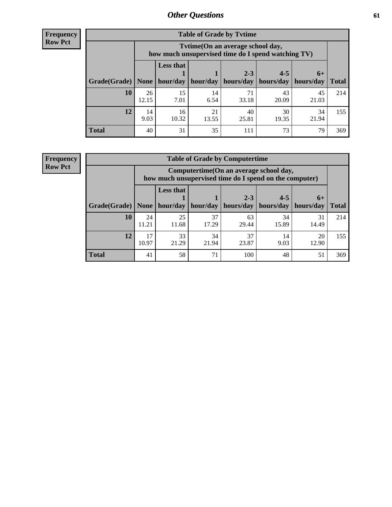**Frequency Row Pct**

| <b>Table of Grade by Tytime</b> |             |                                                                                         |             |             |             |             |              |  |  |  |  |
|---------------------------------|-------------|-----------------------------------------------------------------------------------------|-------------|-------------|-------------|-------------|--------------|--|--|--|--|
|                                 |             | Tytime (On an average school day,<br>how much unsupervised time do I spend watching TV) |             |             |             |             |              |  |  |  |  |
|                                 |             | <b>Less that</b><br>$2 - 3$<br>$4 - 5$<br>$6+$                                          |             |             |             |             |              |  |  |  |  |
| Grade(Grade)                    | None        | hour/day                                                                                | hour/day    | hours/day   | hours/day   | hours/day   | <b>Total</b> |  |  |  |  |
| 10                              | 26<br>12.15 | 15<br>7.01                                                                              | 14<br>6.54  | 71<br>33.18 | 43<br>20.09 | 45<br>21.03 | 214          |  |  |  |  |
| 12                              | 14<br>9.03  | 16<br>10.32                                                                             | 21<br>13.55 | 40<br>25.81 | 30<br>19.35 | 34<br>21.94 | 155          |  |  |  |  |
| <b>Total</b>                    | 40          | 31                                                                                      | 35          | 111         | 73          | 79          | 369          |  |  |  |  |

**Frequency Row Pct**

| <b>Table of Grade by Computertime</b> |             |                                                                                                                              |             |             |             |             |     |  |  |  |  |
|---------------------------------------|-------------|------------------------------------------------------------------------------------------------------------------------------|-------------|-------------|-------------|-------------|-----|--|--|--|--|
|                                       |             | Computertime (On an average school day,<br>how much unsupervised time do I spend on the computer)                            |             |             |             |             |     |  |  |  |  |
| Grade(Grade)                          | None        | <b>Less that</b><br>$4 - 5$<br>$2 - 3$<br>$6+$<br>hour/day   hour/day<br>hours/day<br>hours/day<br>hours/day<br><b>Total</b> |             |             |             |             |     |  |  |  |  |
| 10                                    | 24<br>11.21 | 25<br>11.68                                                                                                                  | 37<br>17.29 | 63<br>29.44 | 34<br>15.89 | 31<br>14.49 | 214 |  |  |  |  |
| 12                                    | 17<br>10.97 | 33<br>21.29                                                                                                                  | 34<br>21.94 | 37<br>23.87 | 14<br>9.03  | 20<br>12.90 | 155 |  |  |  |  |
| <b>Total</b>                          | 41          | 58                                                                                                                           | 71          | 100         | 48          | 51          | 369 |  |  |  |  |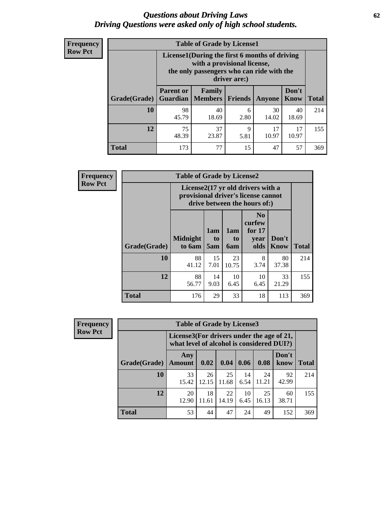#### *Questions about Driving Laws* **62** *Driving Questions were asked only of high school students.*

| <b>Frequency</b> |
|------------------|
| <b>Row Pct</b>   |

| <b>Table of Grade by License1</b> |                                                                       |                                                                                                                                           |           |             |             |     |  |  |  |  |
|-----------------------------------|-----------------------------------------------------------------------|-------------------------------------------------------------------------------------------------------------------------------------------|-----------|-------------|-------------|-----|--|--|--|--|
|                                   |                                                                       | License1(During the first 6 months of driving<br>with a provisional license,<br>the only passengers who can ride with the<br>driver are:) |           |             |             |     |  |  |  |  |
| Grade(Grade)                      | <b>Parent or</b><br><b>Guardian</b>                                   | Don't<br>Family<br><b>Members</b><br>Friends<br>Know<br><b>Total</b><br>Anyone                                                            |           |             |             |     |  |  |  |  |
| 10                                | 98<br>45.79                                                           | 40<br>18.69                                                                                                                               | 6<br>2.80 | 30<br>14.02 | 40<br>18.69 | 214 |  |  |  |  |
| 12                                | 75<br>37<br>17<br>17<br>9<br>23.87<br>10.97<br>48.39<br>10.97<br>5.81 |                                                                                                                                           |           |             |             |     |  |  |  |  |
| <b>Total</b>                      | 173                                                                   | 77                                                                                                                                        | 15        | 47          | 57          | 369 |  |  |  |  |

| Frequency      |              | <b>Table of Grade by License2</b>                                                                        |                              |                         |                                                      |                      |              |  |  |  |  |
|----------------|--------------|----------------------------------------------------------------------------------------------------------|------------------------------|-------------------------|------------------------------------------------------|----------------------|--------------|--|--|--|--|
| <b>Row Pct</b> |              | License2(17 yr old drivers with a<br>provisional driver's license cannot<br>drive between the hours of:) |                              |                         |                                                      |                      |              |  |  |  |  |
|                | Grade(Grade) | <b>Midnight</b><br>to 6am                                                                                | 1am<br>t <sub>0</sub><br>5am | 1am<br>to<br><b>6am</b> | N <sub>0</sub><br>curfew<br>for $17$<br>year<br>olds | Don't<br><b>Know</b> | <b>Total</b> |  |  |  |  |
|                | 10           | 88<br>41.12                                                                                              | 15<br>7.01                   | 23<br>10.75             | 8<br>3.74                                            | 80<br>37.38          | 214          |  |  |  |  |
|                | 12           | 88<br>56.77                                                                                              | 14<br>9.03                   | 10<br>6.45              | 10<br>6.45                                           | 33<br>21.29          | 155          |  |  |  |  |
|                | <b>Total</b> | 176                                                                                                      | 29                           | 33                      | 18                                                   | 113                  | 369          |  |  |  |  |

| Frequency      |              | <b>Table of Grade by License3</b>                                                      |             |             |            |             |               |              |  |  |
|----------------|--------------|----------------------------------------------------------------------------------------|-------------|-------------|------------|-------------|---------------|--------------|--|--|
| <b>Row Pct</b> |              | License3(For drivers under the age of 21,<br>what level of alcohol is considered DUI?) |             |             |            |             |               |              |  |  |
|                | Grade(Grade) | Any<br><b>Amount</b>                                                                   | 0.02        | 0.04        | 0.06       | 0.08        | Don't<br>know | <b>Total</b> |  |  |
|                | 10           | 33<br>15.42                                                                            | 26<br>12.15 | 25<br>11.68 | 14<br>6.54 | 24<br>11.21 | 92<br>42.99   | 214          |  |  |
|                | 12           | 20<br>12.90                                                                            | 18<br>11.61 | 22<br>14.19 | 10<br>6.45 | 25<br>16.13 | 60<br>38.71   | 155          |  |  |
|                | <b>Total</b> | 53                                                                                     | 44          | 47          | 24         | 49          | 152           | 369          |  |  |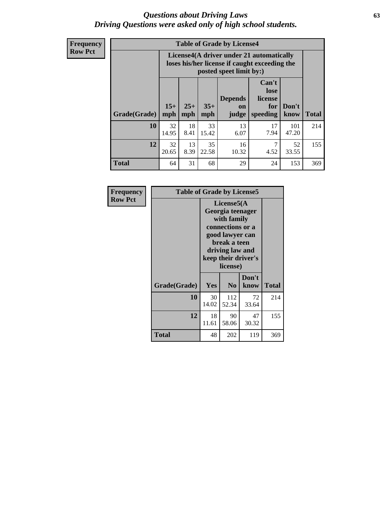#### *Questions about Driving Laws* **63** *Driving Questions were asked only of high school students.*

**Frequency Row Pct**

| <b>Table of Grade by License4</b> |             |                                                                                                                                                                                                                                                                                           |             |             |            |              |     |  |  |  |
|-----------------------------------|-------------|-------------------------------------------------------------------------------------------------------------------------------------------------------------------------------------------------------------------------------------------------------------------------------------------|-------------|-------------|------------|--------------|-----|--|--|--|
|                                   |             | License4(A driver under 21 automatically<br>loses his/her license if caught exceeding the<br>posted speet limit by:)<br>Can't<br>lose<br>license<br><b>Depends</b><br>$15+$<br>$25+$<br>$35+$<br>Don't<br>for<br><sub>on</sub><br><b>Total</b><br>speeding<br>mph<br>judge<br>know<br>mph |             |             |            |              |     |  |  |  |
| Grade(Grade)                      | mph         |                                                                                                                                                                                                                                                                                           |             |             |            |              |     |  |  |  |
| 10                                | 32<br>14.95 | 18<br>8.41                                                                                                                                                                                                                                                                                | 33<br>15.42 | 13<br>6.07  | 17<br>7.94 | 101<br>47.20 | 214 |  |  |  |
| 12                                | 32<br>20.65 | 13<br>8.39                                                                                                                                                                                                                                                                                | 35<br>22.58 | 16<br>10.32 | 7<br>4.52  | 52<br>33.55  | 155 |  |  |  |
| <b>Total</b>                      | 64          | 31                                                                                                                                                                                                                                                                                        | 68          | 29          | 24         | 153          | 369 |  |  |  |

| Frequency      | <b>Table of Grade by License5</b> |                                                                                                                                                             |                |               |       |
|----------------|-----------------------------------|-------------------------------------------------------------------------------------------------------------------------------------------------------------|----------------|---------------|-------|
| <b>Row Pct</b> |                                   | License5(A)<br>Georgia teenager<br>with family<br>connections or a<br>good lawyer can<br>break a teen<br>driving law and<br>keep their driver's<br>license) |                |               |       |
|                | Grade(Grade)                      | Yes                                                                                                                                                         | N <sub>0</sub> | Don't<br>know | Total |
|                | 10                                | 30<br>14.02                                                                                                                                                 | 112<br>52.34   | 72<br>33.64   | 214   |
|                | 12                                | 18<br>11.61                                                                                                                                                 | 90<br>58.06    | 47<br>30.32   | 155   |
|                | <b>Total</b>                      | 48                                                                                                                                                          | 202            | 119           | 369   |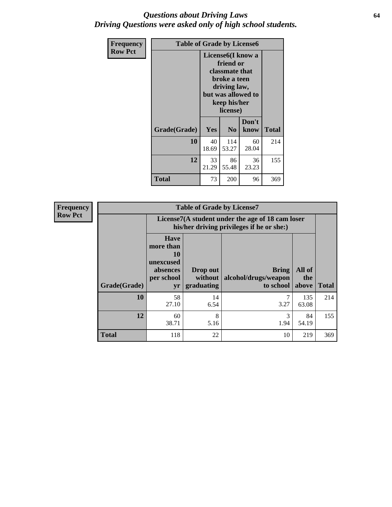#### *Questions about Driving Laws* **64** *Driving Questions were asked only of high school students.*

| <b>Frequency</b> | <b>Table of Grade by License6</b> |                                                                                                                                                 |                |               |              |
|------------------|-----------------------------------|-------------------------------------------------------------------------------------------------------------------------------------------------|----------------|---------------|--------------|
| <b>Row Pct</b>   |                                   | License <sub>6</sub> (I know a<br>friend or<br>classmate that<br>broke a teen<br>driving law,<br>but was allowed to<br>keep his/her<br>license) |                |               |              |
|                  | Grade(Grade)                      | Yes                                                                                                                                             | N <sub>0</sub> | Don't<br>know | <b>Total</b> |
|                  | 10                                | 40<br>18.69                                                                                                                                     | 114<br>53.27   | 60<br>28.04   | 214          |
|                  | 12                                | 33<br>21.29                                                                                                                                     | 86<br>55.48    | 36<br>23.23   | 155          |
|                  | Total                             | 73                                                                                                                                              | 200            | 96            | 369          |

| <b>Frequency</b> | <b>Table of Grade by License7</b> |                                                                             |                                                                                               |                                                   |                        |              |  |
|------------------|-----------------------------------|-----------------------------------------------------------------------------|-----------------------------------------------------------------------------------------------|---------------------------------------------------|------------------------|--------------|--|
| <b>Row Pct</b>   |                                   |                                                                             | License7(A student under the age of 18 cam loser<br>his/her driving privileges if he or she:) |                                                   |                        |              |  |
|                  | Grade(Grade)                      | <b>Have</b><br>more than<br>10<br>unexcused<br>absences<br>per school<br>yr | Drop out<br>without  <br>graduating                                                           | <b>Bring</b><br>alcohol/drugs/weapon<br>to school | All of<br>the<br>above | <b>Total</b> |  |
|                  | 10                                | 58<br>27.10                                                                 | 14<br>6.54                                                                                    | 3.27                                              | 135<br>63.08           | 214          |  |
|                  | 12                                | 60<br>38.71                                                                 | 8<br>5.16                                                                                     | 3<br>1.94                                         | 84<br>54.19            | 155          |  |
|                  | <b>Total</b>                      | 118                                                                         | 22                                                                                            | 10                                                | 219                    | 369          |  |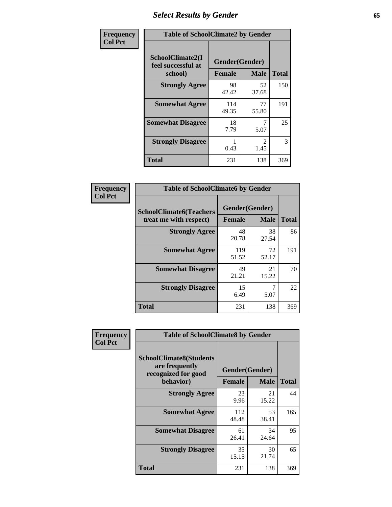# *Select Results by Gender* **65**

| Frequency      | <b>Table of SchoolClimate2 by Gender</b>          |                                 |                       |              |
|----------------|---------------------------------------------------|---------------------------------|-----------------------|--------------|
| <b>Col Pct</b> | SchoolClimate2(I<br>feel successful at<br>school) | Gender(Gender)<br><b>Female</b> | <b>Male</b>           | <b>Total</b> |
|                | <b>Strongly Agree</b>                             | 98<br>42.42                     | 52<br>37.68           | 150          |
|                | <b>Somewhat Agree</b>                             | 114<br>49.35                    | 77<br>55.80           | 191          |
|                | <b>Somewhat Disagree</b>                          | 18<br>7.79                      | 5.07                  | 25           |
|                | <b>Strongly Disagree</b>                          | 0.43                            | $\mathcal{L}$<br>1.45 | 3            |
|                | <b>Total</b>                                      | 231                             | 138                   | 369          |

| Frequency      | <b>Table of SchoolClimate6 by Gender</b>                 |                                 |             |              |  |
|----------------|----------------------------------------------------------|---------------------------------|-------------|--------------|--|
| <b>Col Pct</b> | <b>SchoolClimate6(Teachers</b><br>treat me with respect) | Gender(Gender)<br><b>Female</b> | <b>Male</b> | <b>Total</b> |  |
|                | <b>Strongly Agree</b>                                    | 48<br>20.78                     | 38<br>27.54 | 86           |  |
|                | <b>Somewhat Agree</b>                                    | 119<br>51.52                    | 72<br>52.17 | 191          |  |
|                | <b>Somewhat Disagree</b>                                 | 49<br>21.21                     | 21<br>15.22 | 70           |  |
|                | <b>Strongly Disagree</b>                                 | 15<br>6.49                      | 7<br>5.07   | 22           |  |
|                | <b>Total</b>                                             | 231                             | 138         | 369          |  |

| Frequency      | <b>Table of SchoolClimate8 by Gender</b>                                             |                                 |             |              |
|----------------|--------------------------------------------------------------------------------------|---------------------------------|-------------|--------------|
| <b>Col Pct</b> | <b>SchoolClimate8(Students</b><br>are frequently<br>recognized for good<br>behavior) | Gender(Gender)<br><b>Female</b> | <b>Male</b> | <b>Total</b> |
|                | <b>Strongly Agree</b>                                                                | 23                              | 21          | 44           |
|                |                                                                                      | 9.96                            | 15.22       |              |
|                | <b>Somewhat Agree</b>                                                                | 112<br>48.48                    | 53<br>38.41 | 165          |
|                | <b>Somewhat Disagree</b>                                                             | 61<br>26.41                     | 34<br>24.64 | 95           |
|                | <b>Strongly Disagree</b>                                                             | 35<br>15.15                     | 30<br>21.74 | 65           |
|                | <b>Total</b>                                                                         | 231                             | 138         | 369          |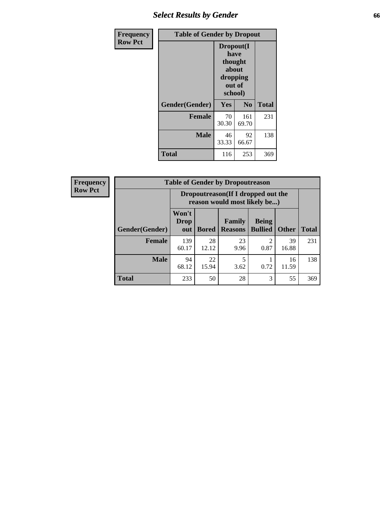# *Select Results by Gender* **66**

| Frequency      | <b>Table of Gender by Dropout</b> |                                                                        |                |              |
|----------------|-----------------------------------|------------------------------------------------------------------------|----------------|--------------|
| <b>Row Pct</b> |                                   | Dropout(I<br>have<br>thought<br>about<br>dropping<br>out of<br>school) |                |              |
|                | Gender(Gender)                    | Yes                                                                    | N <sub>0</sub> | <b>Total</b> |
|                | <b>Female</b>                     | 70<br>30.30                                                            | 161<br>69.70   | 231          |
|                | <b>Male</b>                       | 46<br>33.33                                                            | 92<br>66.67    | 138          |
|                | <b>Total</b>                      | 116                                                                    | 253            | 369          |

| <b>Frequency</b> | <b>Table of Gender by Dropoutreason</b> |                                                                     |              |                          |                                |              |              |
|------------------|-----------------------------------------|---------------------------------------------------------------------|--------------|--------------------------|--------------------------------|--------------|--------------|
| <b>Row Pct</b>   |                                         | Dropoutreason (If I dropped out the<br>reason would most likely be) |              |                          |                                |              |              |
|                  | Gender(Gender)                          | Won't<br><b>Drop</b><br>out                                         | <b>Bored</b> | Family<br><b>Reasons</b> | <b>Being</b><br><b>Bullied</b> | <b>Other</b> | <b>Total</b> |
|                  | <b>Female</b>                           | 139<br>60.17                                                        | 28<br>12.12  | 23<br>9.96               | ി<br>0.87                      | 39<br>16.88  | 231          |
|                  | <b>Male</b>                             | 94<br>68.12                                                         | 22<br>15.94  | 3.62                     | 0.72                           | 16<br>11.59  | 138          |
|                  | <b>Total</b>                            | 233                                                                 | 50           | 28                       | 3                              | 55           | 369          |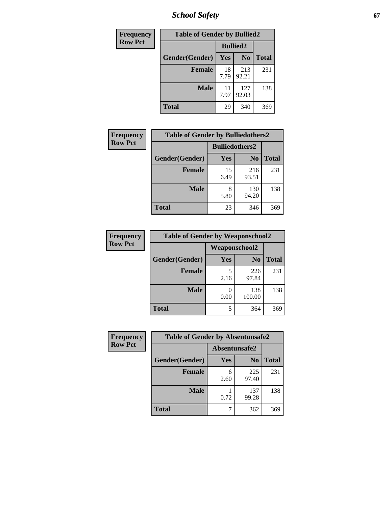*School Safety* **67**

| Frequency      | <b>Table of Gender by Bullied2</b> |                 |                |              |  |
|----------------|------------------------------------|-----------------|----------------|--------------|--|
| <b>Row Pct</b> |                                    | <b>Bullied2</b> |                |              |  |
|                | Gender(Gender)                     | Yes             | N <sub>0</sub> | <b>Total</b> |  |
|                | <b>Female</b>                      | 18<br>7.79      | 213<br>92.21   | 231          |  |
|                | <b>Male</b>                        | 11<br>7.97      | 127<br>92.03   | 138          |  |
|                | <b>Total</b>                       | 29              | 340            | 369          |  |

| <b>Frequency</b> | <b>Table of Gender by Bulliedothers2</b> |                       |                |       |
|------------------|------------------------------------------|-----------------------|----------------|-------|
| <b>Row Pct</b>   |                                          | <b>Bulliedothers2</b> |                |       |
|                  | Gender(Gender)                           | <b>Yes</b>            | N <sub>0</sub> | Total |
|                  | <b>Female</b>                            | 15<br>6.49            | 216<br>93.51   | 231   |
|                  | Male                                     | 8<br>5.80             | 130<br>94.20   | 138   |
|                  | <b>Total</b>                             | 23                    | 346            | 369   |

| Frequency      | <b>Table of Gender by Weaponschool2</b> |               |                |              |  |
|----------------|-----------------------------------------|---------------|----------------|--------------|--|
| <b>Row Pct</b> |                                         | Weaponschool2 |                |              |  |
|                | Gender(Gender)                          | Yes           | N <sub>0</sub> | <b>Total</b> |  |
|                | <b>Female</b>                           | 2.16          | 226<br>97.84   | 231          |  |
|                | <b>Male</b>                             | 0.00          | 138<br>100.00  | 138          |  |
|                | <b>Total</b>                            |               | 364            | 369          |  |

| Frequency      | <b>Table of Gender by Absentunsafe2</b> |               |                |              |  |
|----------------|-----------------------------------------|---------------|----------------|--------------|--|
| <b>Row Pct</b> |                                         | Absentunsafe2 |                |              |  |
|                | Gender(Gender)                          | Yes           | N <sub>0</sub> | <b>Total</b> |  |
|                | <b>Female</b>                           | 6<br>2.60     | 225<br>97.40   | 231          |  |
|                | <b>Male</b>                             | 0.72          | 137<br>99.28   | 138          |  |
|                | <b>Total</b>                            |               | 362            | 369          |  |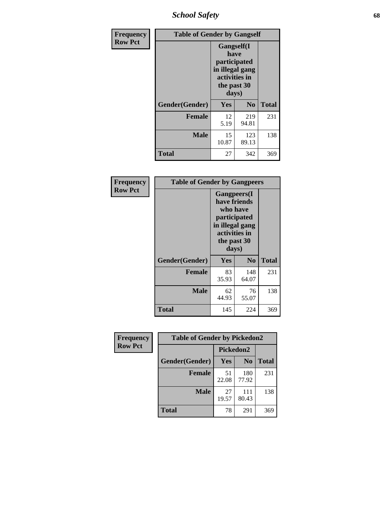*School Safety* **68**

| Frequency      | <b>Table of Gender by Gangself</b> |                                                                                                |              |              |  |
|----------------|------------------------------------|------------------------------------------------------------------------------------------------|--------------|--------------|--|
| <b>Row Pct</b> |                                    | Gangself(I<br>have<br>participated<br>in illegal gang<br>activities in<br>the past 30<br>days) |              |              |  |
|                | Gender(Gender)                     | Yes                                                                                            | No           | <b>Total</b> |  |
|                | <b>Female</b>                      | 12<br>5.19                                                                                     | 219<br>94.81 | 231          |  |
|                | <b>Male</b>                        | 15<br>10.87                                                                                    | 123<br>89.13 | 138          |  |
|                | <b>Total</b>                       | 27                                                                                             | 342          | 369          |  |

| Frequency      | <b>Table of Gender by Gangpeers</b> |                                                                                                                             |                |              |  |
|----------------|-------------------------------------|-----------------------------------------------------------------------------------------------------------------------------|----------------|--------------|--|
| <b>Row Pct</b> |                                     | <b>Gangpeers</b> (I<br>have friends<br>who have<br>participated<br>in illegal gang<br>activities in<br>the past 30<br>days) |                |              |  |
|                | Gender(Gender)                      | Yes                                                                                                                         | N <sub>0</sub> | <b>Total</b> |  |
|                | <b>Female</b>                       | 83<br>35.93                                                                                                                 | 148<br>64.07   | 231          |  |
|                | <b>Male</b>                         | 62<br>44.93                                                                                                                 | 76<br>55.07    | 138          |  |
|                | <b>Total</b>                        | 145                                                                                                                         | 224            | 369          |  |

| Frequency      | <b>Table of Gender by Pickedon2</b> |             |                |              |  |
|----------------|-------------------------------------|-------------|----------------|--------------|--|
| <b>Row Pct</b> |                                     | Pickedon2   |                |              |  |
|                | Gender(Gender)                      | Yes         | N <sub>0</sub> | <b>Total</b> |  |
|                | <b>Female</b>                       | 51<br>22.08 | 180<br>77.92   | 231          |  |
|                | <b>Male</b>                         | 27<br>19.57 | 111<br>80.43   | 138          |  |
|                | <b>Total</b>                        | 78          | 291            | 369          |  |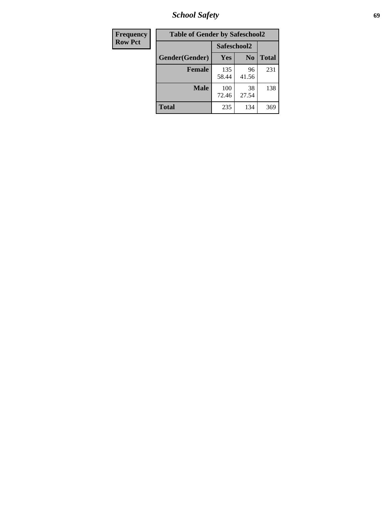*School Safety* **69**

| Frequency      | <b>Table of Gender by Safeschool2</b> |              |                |              |  |
|----------------|---------------------------------------|--------------|----------------|--------------|--|
| <b>Row Pct</b> |                                       |              | Safeschool2    |              |  |
|                | Gender(Gender)                        | <b>Yes</b>   | N <sub>0</sub> | <b>Total</b> |  |
|                | <b>Female</b>                         | 135<br>58.44 | 96<br>41.56    | 231          |  |
|                | <b>Male</b>                           | 100<br>72.46 | 38<br>27.54    | 138          |  |
|                | <b>Total</b>                          | 235          | 134            | 369          |  |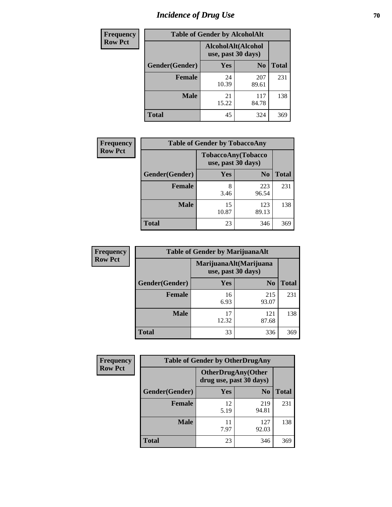# *Incidence of Drug Use* **70**

| <b>Frequency</b> | <b>Table of Gender by AlcoholAlt</b> |                                          |                |              |  |
|------------------|--------------------------------------|------------------------------------------|----------------|--------------|--|
| <b>Row Pct</b>   |                                      | AlcoholAlt(Alcohol<br>use, past 30 days) |                |              |  |
|                  | Gender(Gender)                       | <b>Yes</b>                               | N <sub>0</sub> | <b>Total</b> |  |
|                  | <b>Female</b>                        | 24<br>10.39                              | 207<br>89.61   | 231          |  |
|                  | <b>Male</b>                          | 21<br>15.22                              | 117<br>84.78   | 138          |  |
|                  | <b>Total</b>                         | 45                                       | 324            | 369          |  |

| Frequency      | <b>Table of Gender by TobaccoAny</b> |                    |                    |              |  |
|----------------|--------------------------------------|--------------------|--------------------|--------------|--|
| <b>Row Pct</b> |                                      | use, past 30 days) | TobaccoAny(Tobacco |              |  |
|                | Gender(Gender)                       | Yes                | N <sub>0</sub>     | <b>Total</b> |  |
|                | <b>Female</b>                        | 8<br>3.46          | 223<br>96.54       | 231          |  |
|                | <b>Male</b>                          | 15<br>10.87        | 123<br>89.13       | 138          |  |
|                | Total                                | 23                 | 346                | 369          |  |

| <b>Frequency</b> |                | <b>Table of Gender by MarijuanaAlt</b> |                                              |              |
|------------------|----------------|----------------------------------------|----------------------------------------------|--------------|
| <b>Row Pct</b>   |                |                                        | MarijuanaAlt(Marijuana<br>use, past 30 days) |              |
|                  | Gender(Gender) | <b>Yes</b>                             | N <sub>0</sub>                               | <b>Total</b> |
|                  | Female         | 16<br>6.93                             | 215<br>93.07                                 | 231          |
|                  | <b>Male</b>    | 17<br>12.32                            | 121<br>87.68                                 | 138          |
|                  | <b>Total</b>   | 33                                     | 336                                          | 369          |

| <b>Frequency</b> | <b>Table of Gender by OtherDrugAny</b> |                                                      |                |              |  |
|------------------|----------------------------------------|------------------------------------------------------|----------------|--------------|--|
| <b>Row Pct</b>   |                                        | <b>OtherDrugAny(Other</b><br>drug use, past 30 days) |                |              |  |
|                  | Gender(Gender)                         | <b>Yes</b>                                           | N <sub>0</sub> | <b>Total</b> |  |
|                  | <b>Female</b>                          | 12<br>5.19                                           | 219<br>94.81   | 231          |  |
|                  | <b>Male</b>                            | 11<br>7.97                                           | 127<br>92.03   | 138          |  |
|                  | <b>Total</b>                           | 23                                                   | 346            | 369          |  |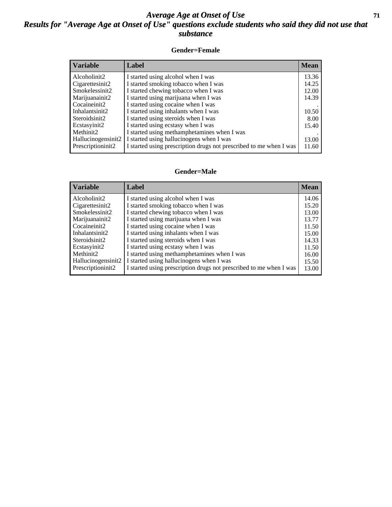#### *Average Age at Onset of Use* **71** *Results for "Average Age at Onset of Use" questions exclude students who said they did not use that substance*

#### **Gender=Female**

| <b>Variable</b>    | Label                                                              | <b>Mean</b> |
|--------------------|--------------------------------------------------------------------|-------------|
| Alcoholinit2       | I started using alcohol when I was                                 | 13.36       |
| Cigarettesinit2    | I started smoking tobacco when I was                               | 14.25       |
| Smokelessinit2     | I started chewing tobacco when I was                               | 12.00       |
| Marijuanainit2     | I started using marijuana when I was                               | 14.39       |
| Cocaineinit2       | I started using cocaine when I was                                 |             |
| Inhalantsinit2     | I started using inhalants when I was                               | 10.50       |
| Steroidsinit2      | I started using steroids when I was                                | 8.00        |
| Ecstasyinit2       | I started using ecstasy when I was                                 | 15.40       |
| Methinit2          | I started using methamphetamines when I was                        |             |
| Hallucinogensinit2 | I started using hallucinogens when I was                           | 13.00       |
| Prescription in t2 | I started using prescription drugs not prescribed to me when I was | 11.60       |

#### **Gender=Male**

| Label                                                                                                                                                                                                                                                                                                                 | <b>Mean</b>                                                                   |
|-----------------------------------------------------------------------------------------------------------------------------------------------------------------------------------------------------------------------------------------------------------------------------------------------------------------------|-------------------------------------------------------------------------------|
| I started using alcohol when I was<br>I started smoking tobacco when I was<br>I started chewing tobacco when I was<br>I started using marijuana when I was<br>I started using cocaine when I was<br>I started using inhalants when I was<br>I started using steroids when I was<br>I started using ecstasy when I was | 14.06<br>15.20<br>13.00<br>13.77<br>11.50<br>15.00<br>14.33<br>11.50<br>16.00 |
| I started using hallucinogens when I was<br>Hallucinogensinit2<br>I started using prescription drugs not prescribed to me when I was                                                                                                                                                                                  | 15.50<br>13.00                                                                |
|                                                                                                                                                                                                                                                                                                                       | I started using methamphetamines when I was                                   |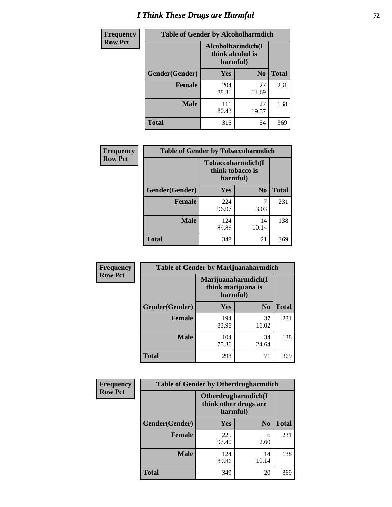# *I Think These Drugs are Harmful* **72**

| <b>Frequency</b> | <b>Table of Gender by Alcoholharmdich</b> |                                                   |                |              |
|------------------|-------------------------------------------|---------------------------------------------------|----------------|--------------|
| <b>Row Pct</b>   |                                           | Alcoholharmdich(I<br>think alcohol is<br>harmful) |                |              |
|                  | Gender(Gender)                            | <b>Yes</b>                                        | N <sub>0</sub> | <b>Total</b> |
|                  | <b>Female</b>                             | 204<br>88.31                                      | 27<br>11.69    | 231          |
|                  | <b>Male</b>                               | 111<br>80.43                                      | 27<br>19.57    | 138          |
|                  | <b>Total</b>                              | 315                                               | 54             | 369          |

| Frequency      | <b>Table of Gender by Tobaccoharmdich</b> |                              |                   |              |  |
|----------------|-------------------------------------------|------------------------------|-------------------|--------------|--|
| <b>Row Pct</b> |                                           | think tobacco is<br>harmful) | Tobaccoharmdich(I |              |  |
|                | Gender(Gender)                            | Yes                          | N <sub>0</sub>    | <b>Total</b> |  |
|                | <b>Female</b>                             | 224<br>96.97                 | 7<br>3.03         | 231          |  |
|                | <b>Male</b>                               | 124<br>89.86                 | 14<br>10.14       | 138          |  |
|                | <b>Total</b>                              | 348                          | 21                | 369          |  |

| Frequency      | <b>Table of Gender by Marijuanaharmdich</b> |                                                       |                |              |  |
|----------------|---------------------------------------------|-------------------------------------------------------|----------------|--------------|--|
| <b>Row Pct</b> |                                             | Marijuanaharmdich(I<br>think marijuana is<br>harmful) |                |              |  |
|                | Gender(Gender)                              | <b>Yes</b>                                            | N <sub>0</sub> | <b>Total</b> |  |
|                | <b>Female</b>                               | 194<br>83.98                                          | 37<br>16.02    | 231          |  |
|                | <b>Male</b>                                 | 104<br>75.36                                          | 34<br>24.64    | 138          |  |
|                | <b>Total</b>                                | 298                                                   | 71             | 369          |  |

| Frequency      | <b>Table of Gender by Otherdrugharmdich</b> |                                                          |                |              |
|----------------|---------------------------------------------|----------------------------------------------------------|----------------|--------------|
| <b>Row Pct</b> |                                             | Otherdrugharmdich(I<br>think other drugs are<br>harmful) |                |              |
|                | Gender(Gender)                              | <b>Yes</b>                                               | N <sub>0</sub> | <b>Total</b> |
|                | <b>Female</b>                               | 225<br>97.40                                             | 6<br>2.60      | 231          |
|                | <b>Male</b>                                 | 124<br>89.86                                             | 14<br>10.14    | 138          |
|                | <b>Total</b>                                | 349                                                      | 20             | 369          |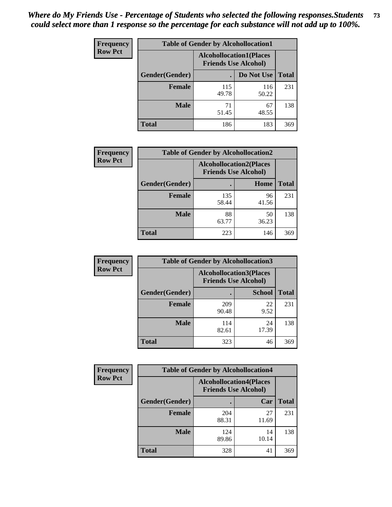| <b>Frequency</b> | <b>Table of Gender by Alcohollocation1</b> |                                                               |              |              |
|------------------|--------------------------------------------|---------------------------------------------------------------|--------------|--------------|
| <b>Row Pct</b>   |                                            | <b>Alcohollocation1(Places</b><br><b>Friends Use Alcohol)</b> |              |              |
|                  | Gender(Gender)                             |                                                               | Do Not Use   | <b>Total</b> |
|                  | <b>Female</b>                              | 115<br>49.78                                                  | 116<br>50.22 | 231          |
|                  | <b>Male</b>                                | 71<br>51.45                                                   | 67<br>48.55  | 138          |
|                  | <b>Total</b>                               | 186                                                           | 183          | 369          |

| <b>Frequency</b> | <b>Table of Gender by Alcohollocation2</b> |              |                                                               |              |
|------------------|--------------------------------------------|--------------|---------------------------------------------------------------|--------------|
| <b>Row Pct</b>   |                                            |              | <b>Alcohollocation2(Places</b><br><b>Friends Use Alcohol)</b> |              |
|                  | Gender(Gender)                             |              | Home                                                          | <b>Total</b> |
|                  | <b>Female</b>                              | 135<br>58.44 | 96<br>41.56                                                   | 231          |
|                  | <b>Male</b>                                | 88<br>63.77  | 50<br>36.23                                                   | 138          |
|                  | <b>Total</b>                               | 223          | 146                                                           | 369          |

| Frequency      | <b>Table of Gender by Alcohollocation3</b> |                                                               |               |              |
|----------------|--------------------------------------------|---------------------------------------------------------------|---------------|--------------|
| <b>Row Pct</b> |                                            | <b>Alcohollocation3(Places</b><br><b>Friends Use Alcohol)</b> |               |              |
|                | Gender(Gender)                             |                                                               | <b>School</b> | <b>Total</b> |
|                | <b>Female</b>                              | 209<br>90.48                                                  | 22<br>9.52    | 231          |
|                | <b>Male</b>                                | 114<br>82.61                                                  | 24<br>17.39   | 138          |
|                | <b>Total</b>                               | 323                                                           | 46            | 369          |

| Frequency      | <b>Table of Gender by Alcohollocation4</b> |                                                               |             |              |
|----------------|--------------------------------------------|---------------------------------------------------------------|-------------|--------------|
| <b>Row Pct</b> |                                            | <b>Alcohollocation4(Places</b><br><b>Friends Use Alcohol)</b> |             |              |
|                | Gender(Gender)                             |                                                               | Car         | <b>Total</b> |
|                | <b>Female</b>                              | 204<br>88.31                                                  | 27<br>11.69 | 231          |
|                | <b>Male</b>                                | 124<br>89.86                                                  | 14<br>10.14 | 138          |
|                | <b>Total</b>                               | 328                                                           | 41          | 369          |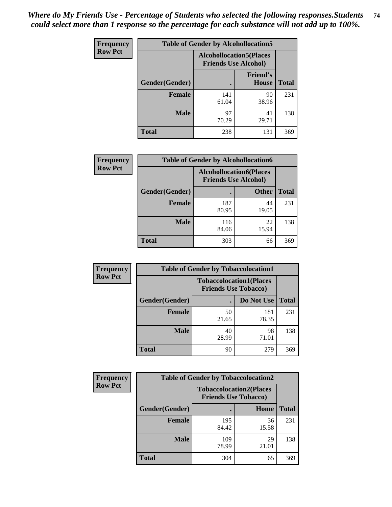| <b>Frequency</b> |                | <b>Table of Gender by Alcohollocation5</b> |                                                                |              |
|------------------|----------------|--------------------------------------------|----------------------------------------------------------------|--------------|
| <b>Row Pct</b>   |                |                                            | <b>Alcohollocation5</b> (Places<br><b>Friends Use Alcohol)</b> |              |
|                  | Gender(Gender) |                                            | <b>Friend's</b><br><b>House</b>                                | <b>Total</b> |
|                  | <b>Female</b>  | 141<br>61.04                               | 90<br>38.96                                                    | 231          |
|                  | <b>Male</b>    | 97<br>70.29                                | 41<br>29.71                                                    | 138          |
|                  | <b>Total</b>   | 238                                        | 131                                                            | 369          |

| <b>Frequency</b> | <b>Table of Gender by Alcohollocation6</b> |                                                               |              |              |
|------------------|--------------------------------------------|---------------------------------------------------------------|--------------|--------------|
| <b>Row Pct</b>   |                                            | <b>Alcohollocation6(Places</b><br><b>Friends Use Alcohol)</b> |              |              |
|                  | <b>Gender</b> (Gender)                     | ٠                                                             | <b>Other</b> | <b>Total</b> |
|                  | <b>Female</b>                              | 187<br>80.95                                                  | 44<br>19.05  | 231          |
|                  | <b>Male</b>                                | 116<br>84.06                                                  | 22<br>15.94  | 138          |
|                  | <b>Total</b>                               | 303                                                           | 66           | 369          |

| Frequency      | <b>Table of Gender by Tobaccolocation1</b> |                                                               |              |              |  |
|----------------|--------------------------------------------|---------------------------------------------------------------|--------------|--------------|--|
| <b>Row Pct</b> |                                            | <b>Tobaccolocation1(Places</b><br><b>Friends Use Tobacco)</b> |              |              |  |
|                | Gender(Gender)                             |                                                               | Do Not Use   | <b>Total</b> |  |
|                | Female                                     | 50<br>21.65                                                   | 181<br>78.35 | 231          |  |
|                | <b>Male</b>                                | 40<br>28.99                                                   | 98<br>71.01  | 138          |  |
|                | <b>Total</b>                               | 90                                                            | 279          | 369          |  |

| <b>Frequency</b> | <b>Table of Gender by Tobaccolocation2</b> |                                                               |             |              |
|------------------|--------------------------------------------|---------------------------------------------------------------|-------------|--------------|
| <b>Row Pct</b>   |                                            | <b>Tobaccolocation2(Places</b><br><b>Friends Use Tobacco)</b> |             |              |
|                  | Gender(Gender)                             |                                                               | Home        | <b>Total</b> |
|                  | <b>Female</b>                              | 195<br>84.42                                                  | 36<br>15.58 | 231          |
|                  | <b>Male</b>                                | 109<br>78.99                                                  | 29<br>21.01 | 138          |
|                  | <b>Total</b>                               | 304                                                           | 65          | 369          |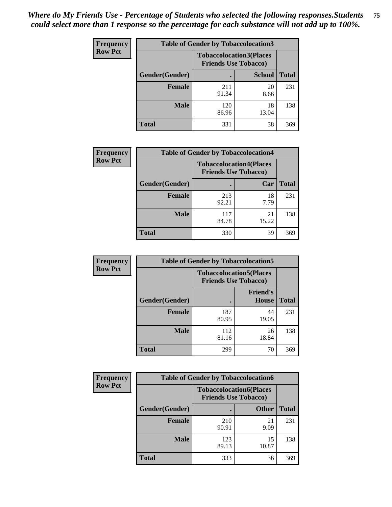| <b>Frequency</b> |                | <b>Table of Gender by Tobaccolocation3</b> |                                                               |              |
|------------------|----------------|--------------------------------------------|---------------------------------------------------------------|--------------|
| <b>Row Pct</b>   |                |                                            | <b>Tobaccolocation3(Places</b><br><b>Friends Use Tobacco)</b> |              |
|                  | Gender(Gender) |                                            | <b>School</b>                                                 | <b>Total</b> |
|                  | <b>Female</b>  | 211<br>91.34                               | 20<br>8.66                                                    | 231          |
|                  | <b>Male</b>    | 120<br>86.96                               | 18<br>13.04                                                   | 138          |
|                  | <b>Total</b>   | 331                                        | 38                                                            | 369          |

| <b>Frequency</b> | <b>Table of Gender by Tobaccolocation4</b> |                                                               |             |              |
|------------------|--------------------------------------------|---------------------------------------------------------------|-------------|--------------|
| <b>Row Pct</b>   |                                            | <b>Tobaccolocation4(Places</b><br><b>Friends Use Tobacco)</b> |             |              |
|                  | Gender(Gender)                             |                                                               | Car         | <b>Total</b> |
|                  | <b>Female</b>                              | 213<br>92.21                                                  | 18<br>7.79  | 231          |
|                  | <b>Male</b>                                | 117<br>84.78                                                  | 21<br>15.22 | 138          |
|                  | <b>Total</b>                               | 330                                                           | 39          | 369          |

| <b>Frequency</b> | <b>Table of Gender by Tobaccolocation5</b> |                                                               |                                 |              |
|------------------|--------------------------------------------|---------------------------------------------------------------|---------------------------------|--------------|
| <b>Row Pct</b>   |                                            | <b>Tobaccolocation5(Places</b><br><b>Friends Use Tobacco)</b> |                                 |              |
|                  | Gender(Gender)                             |                                                               | <b>Friend's</b><br><b>House</b> | <b>Total</b> |
|                  | <b>Female</b>                              | 187<br>80.95                                                  | 44<br>19.05                     | 231          |
|                  | <b>Male</b>                                | 112<br>81.16                                                  | 26<br>18.84                     | 138          |
|                  | <b>Total</b>                               | 299                                                           | 70                              | 369          |

| <b>Frequency</b> | <b>Table of Gender by Tobaccolocation6</b> |                                                               |              |              |
|------------------|--------------------------------------------|---------------------------------------------------------------|--------------|--------------|
| <b>Row Pct</b>   |                                            | <b>Tobaccolocation6(Places</b><br><b>Friends Use Tobacco)</b> |              |              |
|                  | Gender(Gender)                             |                                                               | <b>Other</b> | <b>Total</b> |
|                  | Female                                     | 210<br>90.91                                                  | 21<br>9.09   | 231          |
|                  | <b>Male</b>                                | 123<br>89.13                                                  | 15<br>10.87  | 138          |
|                  | <b>Total</b>                               | 333                                                           | 36           | 369          |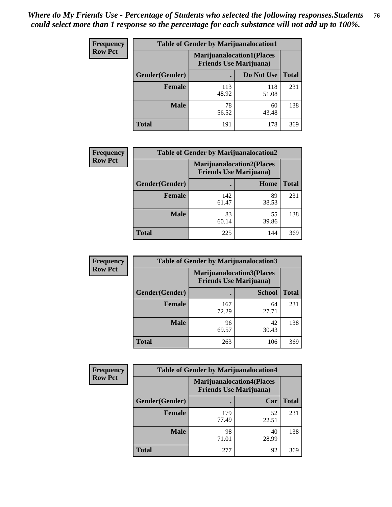| <b>Frequency</b> | <b>Table of Gender by Marijuanalocation1</b> |                                                                    |              |              |
|------------------|----------------------------------------------|--------------------------------------------------------------------|--------------|--------------|
| <b>Row Pct</b>   |                                              | <b>Marijuanalocation1(Places</b><br><b>Friends Use Marijuana</b> ) |              |              |
|                  | Gender(Gender)                               |                                                                    | Do Not Use   | <b>Total</b> |
|                  | <b>Female</b>                                | 113<br>48.92                                                       | 118<br>51.08 | 231          |
|                  | <b>Male</b>                                  | 78<br>56.52                                                        | 60<br>43.48  | 138          |
|                  | <b>Total</b>                                 | 191                                                                | 178          | 369          |

| <b>Frequency</b> | <b>Table of Gender by Marijuanalocation2</b> |                                                                    |             |              |
|------------------|----------------------------------------------|--------------------------------------------------------------------|-------------|--------------|
| <b>Row Pct</b>   |                                              | <b>Marijuanalocation2(Places</b><br><b>Friends Use Marijuana</b> ) |             |              |
|                  | Gender(Gender)                               |                                                                    | Home        | <b>Total</b> |
|                  | Female                                       | 142<br>61.47                                                       | 89<br>38.53 | 231          |
|                  | <b>Male</b>                                  | 83<br>60.14                                                        | 55<br>39.86 | 138          |
|                  | <b>Total</b>                                 | 225                                                                | 144         | 369          |

| Frequency      | <b>Table of Gender by Marijuanalocation3</b> |              |                                                                    |              |
|----------------|----------------------------------------------|--------------|--------------------------------------------------------------------|--------------|
| <b>Row Pct</b> |                                              |              | <b>Marijuanalocation3(Places</b><br><b>Friends Use Marijuana</b> ) |              |
|                | Gender(Gender)                               |              | <b>School</b>                                                      | <b>Total</b> |
|                | Female                                       | 167<br>72.29 | 64<br>27.71                                                        | 231          |
|                | <b>Male</b>                                  | 96<br>69.57  | 42<br>30.43                                                        | 138          |
|                | <b>Total</b>                                 | 263          | 106                                                                | 369          |

| Frequency      | <b>Table of Gender by Marijuanalocation4</b> |                                |                                  |              |
|----------------|----------------------------------------------|--------------------------------|----------------------------------|--------------|
| <b>Row Pct</b> |                                              | <b>Friends Use Marijuana</b> ) | <b>Marijuanalocation4(Places</b> |              |
|                | <b>Gender</b> (Gender)                       |                                | Car                              | <b>Total</b> |
|                | <b>Female</b>                                | 179<br>77.49                   | 52<br>22.51                      | 231          |
|                | <b>Male</b>                                  | 98<br>71.01                    | 40<br>28.99                      | 138          |
|                | <b>Total</b>                                 | 277                            | 92                               | 369          |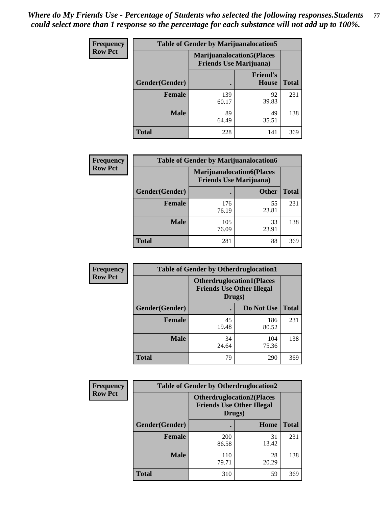| <b>Frequency</b> | <b>Table of Gender by Marijuanalocation5</b> |                                                                     |                          |              |
|------------------|----------------------------------------------|---------------------------------------------------------------------|--------------------------|--------------|
| <b>Row Pct</b>   |                                              | <b>Marijuanalocation5</b> (Places<br><b>Friends Use Marijuana</b> ) |                          |              |
|                  | Gender(Gender)                               |                                                                     | <b>Friend's</b><br>House | <b>Total</b> |
|                  | <b>Female</b>                                | 139<br>60.17                                                        | 92<br>39.83              | 231          |
|                  | <b>Male</b>                                  | 89<br>64.49                                                         | 49<br>35.51              | 138          |
|                  | <b>Total</b>                                 | 228                                                                 | 141                      | 369          |

| <b>Frequency</b> | <b>Table of Gender by Marijuanalocation6</b> |                                |                                  |              |
|------------------|----------------------------------------------|--------------------------------|----------------------------------|--------------|
| <b>Row Pct</b>   |                                              | <b>Friends Use Marijuana</b> ) | <b>Marijuanalocation6(Places</b> |              |
|                  | Gender(Gender)                               |                                | <b>Other</b>                     | <b>Total</b> |
|                  | <b>Female</b>                                | 176<br>76.19                   | 55<br>23.81                      | 231          |
|                  | <b>Male</b>                                  | 105<br>76.09                   | 33<br>23.91                      | 138          |
|                  | <b>Total</b>                                 | 281                            | 88                               | 369          |

| Frequency      | <b>Table of Gender by Otherdruglocation1</b> |                                                                                |              |              |
|----------------|----------------------------------------------|--------------------------------------------------------------------------------|--------------|--------------|
| <b>Row Pct</b> |                                              | <b>Otherdruglocation1(Places</b><br><b>Friends Use Other Illegal</b><br>Drugs) |              |              |
|                | Gender(Gender)                               |                                                                                | Do Not Use   | <b>Total</b> |
|                | <b>Female</b>                                | 45<br>19.48                                                                    | 186<br>80.52 | 231          |
|                | <b>Male</b>                                  | 34<br>24.64                                                                    | 104<br>75.36 | 138          |
|                | <b>Total</b>                                 | 79                                                                             | 290          | 369          |

| <b>Frequency</b> | <b>Table of Gender by Otherdruglocation2</b>                                   |                     |             |              |
|------------------|--------------------------------------------------------------------------------|---------------------|-------------|--------------|
| <b>Row Pct</b>   | <b>Otherdruglocation2(Places</b><br><b>Friends Use Other Illegal</b><br>Drugs) |                     |             |              |
|                  | Gender(Gender)                                                                 |                     | Home        | <b>Total</b> |
|                  | <b>Female</b>                                                                  | <b>200</b><br>86.58 | 31<br>13.42 | 231          |
|                  | <b>Male</b>                                                                    | 110<br>79.71        | 28<br>20.29 | 138          |
|                  | <b>Total</b>                                                                   | 310                 | 59          | 369          |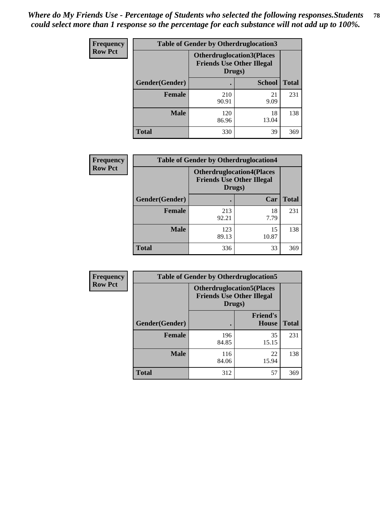| <b>Frequency</b> | <b>Table of Gender by Otherdruglocation3</b> |                                                                                |               |              |
|------------------|----------------------------------------------|--------------------------------------------------------------------------------|---------------|--------------|
| <b>Row Pct</b>   |                                              | <b>Otherdruglocation3(Places</b><br><b>Friends Use Other Illegal</b><br>Drugs) |               |              |
|                  | Gender(Gender)                               |                                                                                | <b>School</b> | <b>Total</b> |
|                  | <b>Female</b>                                | 210<br>90.91                                                                   | 21<br>9.09    | 231          |
|                  | <b>Male</b>                                  | 120<br>86.96                                                                   | 18<br>13.04   | 138          |
|                  | <b>Total</b>                                 | 330                                                                            | 39            | 369          |

| <b>Frequency</b> | <b>Table of Gender by Otherdruglocation4</b> |                                                                                |             |              |
|------------------|----------------------------------------------|--------------------------------------------------------------------------------|-------------|--------------|
| <b>Row Pct</b>   |                                              | <b>Otherdruglocation4(Places</b><br><b>Friends Use Other Illegal</b><br>Drugs) |             |              |
|                  | Gender(Gender)                               |                                                                                | Car         | <b>Total</b> |
|                  | <b>Female</b>                                | 213<br>92.21                                                                   | 18<br>7.79  | 231          |
|                  | <b>Male</b>                                  | 123<br>89.13                                                                   | 15<br>10.87 | 138          |
|                  | <b>Total</b>                                 | 336                                                                            | 33          | 369          |

| Frequency      | <b>Table of Gender by Otherdruglocation5</b> |                                            |                                  |              |
|----------------|----------------------------------------------|--------------------------------------------|----------------------------------|--------------|
| <b>Row Pct</b> |                                              | <b>Friends Use Other Illegal</b><br>Drugs) | <b>Otherdruglocation5(Places</b> |              |
|                | Gender(Gender)                               |                                            | <b>Friend's</b><br><b>House</b>  | <b>Total</b> |
|                | <b>Female</b>                                | 196<br>84.85                               | 35<br>15.15                      | 231          |
|                | <b>Male</b>                                  | 116<br>84.06                               | 22<br>15.94                      | 138          |
|                | <b>Total</b>                                 | 312                                        | 57                               | 369          |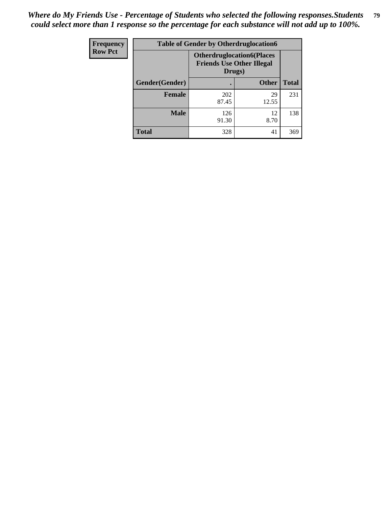| Frequency      | <b>Table of Gender by Otherdruglocation6</b> |                                            |                                  |              |
|----------------|----------------------------------------------|--------------------------------------------|----------------------------------|--------------|
| <b>Row Pct</b> |                                              | <b>Friends Use Other Illegal</b><br>Drugs) | <b>Otherdruglocation6(Places</b> |              |
|                | Gender(Gender)                               |                                            | <b>Other</b>                     | <b>Total</b> |
|                | <b>Female</b>                                | 202<br>87.45                               | 29<br>12.55                      | 231          |
|                | <b>Male</b>                                  | 126<br>91.30                               | 12<br>8.70                       | 138          |
|                | <b>Total</b>                                 | 328                                        | 41                               | 369          |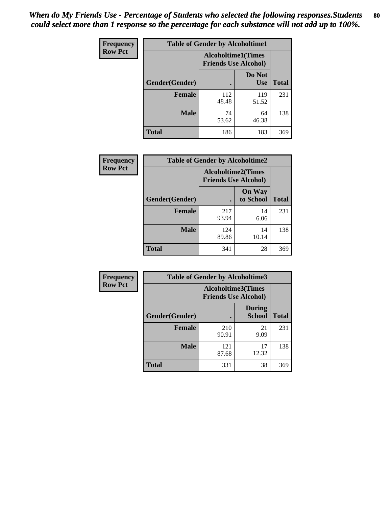| <b>Frequency</b> | <b>Table of Gender by Alcoholtime1</b> |                                                   |                      |              |
|------------------|----------------------------------------|---------------------------------------------------|----------------------|--------------|
| <b>Row Pct</b>   |                                        | Alcoholtime1(Times<br><b>Friends Use Alcohol)</b> |                      |              |
|                  | Gender(Gender)                         | $\bullet$                                         | Do Not<br><b>Use</b> | <b>Total</b> |
|                  | <b>Female</b>                          | 112<br>48.48                                      | 119<br>51.52         | 231          |
|                  | <b>Male</b>                            | 74<br>53.62                                       | 64<br>46.38          | 138          |
|                  | <b>Total</b>                           | 186                                               | 183                  | 369          |

| <b>Frequency</b> | <b>Table of Gender by Alcoholtime2</b> |                                                          |                            |              |
|------------------|----------------------------------------|----------------------------------------------------------|----------------------------|--------------|
| <b>Row Pct</b>   |                                        | <b>Alcoholtime2(Times</b><br><b>Friends Use Alcohol)</b> |                            |              |
|                  | Gender(Gender)                         |                                                          | <b>On Way</b><br>to School | <b>Total</b> |
|                  | <b>Female</b>                          | 217<br>93.94                                             | 14<br>6.06                 | 231          |
|                  | <b>Male</b>                            | 124<br>89.86                                             | 14<br>10.14                | 138          |
|                  | <b>Total</b>                           | 341                                                      | 28                         | 369          |

| <b>Frequency</b> | <b>Table of Gender by Alcoholtime3</b> |                                                   |                                |              |
|------------------|----------------------------------------|---------------------------------------------------|--------------------------------|--------------|
| <b>Row Pct</b>   |                                        | Alcoholtime3(Times<br><b>Friends Use Alcohol)</b> |                                |              |
|                  | Gender(Gender)                         |                                                   | <b>During</b><br><b>School</b> | <b>Total</b> |
|                  | Female                                 | 210<br>90.91                                      | 21<br>9.09                     | 231          |
|                  | <b>Male</b>                            | 121<br>87.68                                      | 17<br>12.32                    | 138          |
|                  | <b>Total</b>                           | 331                                               | 38                             | 369          |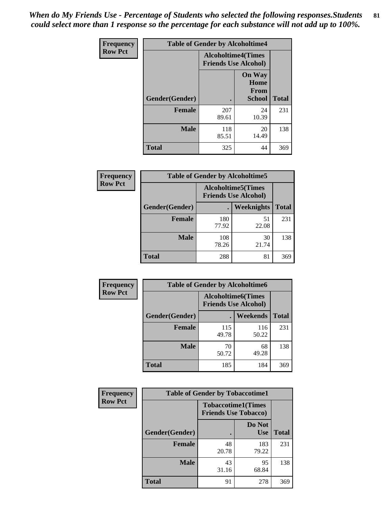*When do My Friends Use - Percentage of Students who selected the following responses.Students could select more than 1 response so the percentage for each substance will not add up to 100%.* **81**

| <b>Frequency</b> | <b>Table of Gender by Alcoholtime4</b> |                                                          |                                                       |              |
|------------------|----------------------------------------|----------------------------------------------------------|-------------------------------------------------------|--------------|
| <b>Row Pct</b>   |                                        | <b>Alcoholtime4(Times</b><br><b>Friends Use Alcohol)</b> |                                                       |              |
|                  | <b>Gender</b> (Gender)                 |                                                          | <b>On Way</b><br>Home<br><b>From</b><br><b>School</b> | <b>Total</b> |
|                  | <b>Female</b>                          | 207<br>89.61                                             | 24<br>10.39                                           | 231          |
|                  | <b>Male</b>                            | 118<br>85.51                                             | 20<br>14.49                                           | 138          |
|                  | <b>Total</b>                           | 325                                                      | 44                                                    | 369          |

| <b>Frequency</b> | <b>Table of Gender by Alcoholtime5</b> |                                                           |                   |              |  |
|------------------|----------------------------------------|-----------------------------------------------------------|-------------------|--------------|--|
| <b>Row Pct</b>   |                                        | <b>Alcoholtime5</b> (Times<br><b>Friends Use Alcohol)</b> |                   |              |  |
|                  | Gender(Gender)                         |                                                           | <b>Weeknights</b> | <b>Total</b> |  |
|                  | <b>Female</b>                          | 180<br>77.92                                              | 51<br>22.08       | 231          |  |
|                  | <b>Male</b>                            | 108<br>78.26                                              | 30<br>21.74       | 138          |  |
|                  | <b>Total</b>                           | 288                                                       | 81                | 369          |  |

| <b>Frequency</b> | <b>Table of Gender by Alcoholtime6</b> |              |                                                           |              |  |
|------------------|----------------------------------------|--------------|-----------------------------------------------------------|--------------|--|
| <b>Row Pct</b>   |                                        |              | <b>Alcoholtime6</b> (Times<br><b>Friends Use Alcohol)</b> |              |  |
|                  | Gender(Gender)                         |              | Weekends                                                  | <b>Total</b> |  |
|                  | <b>Female</b>                          | 115<br>49.78 | 116<br>50.22                                              | 231          |  |
|                  | <b>Male</b>                            | 70<br>50.72  | 68<br>49.28                                               | 138          |  |
|                  | <b>Total</b>                           | 185          | 184                                                       | 369          |  |

| Frequency      | <b>Table of Gender by Tobaccotime1</b>                   |             |                      |              |
|----------------|----------------------------------------------------------|-------------|----------------------|--------------|
| <b>Row Pct</b> | <b>Tobaccotime1(Times</b><br><b>Friends Use Tobacco)</b> |             |                      |              |
|                | Gender(Gender)                                           |             | Do Not<br><b>Use</b> | <b>Total</b> |
|                | <b>Female</b>                                            | 48<br>20.78 | 183<br>79.22         | 231          |
|                | <b>Male</b>                                              | 43<br>31.16 | 95<br>68.84          | 138          |
|                | <b>Total</b>                                             | 91          | 278                  | 369          |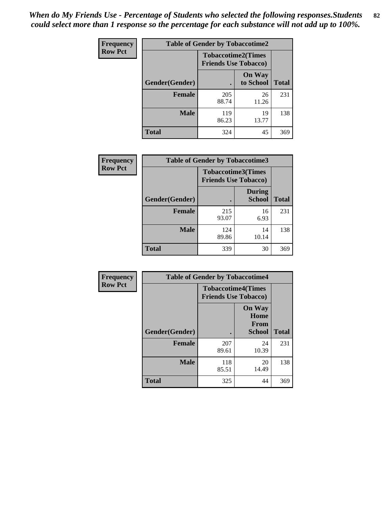*When do My Friends Use - Percentage of Students who selected the following responses.Students could select more than 1 response so the percentage for each substance will not add up to 100%.* **82**

| <b>Frequency</b> | <b>Table of Gender by Tobaccotime2</b> |                                                          |                            |              |
|------------------|----------------------------------------|----------------------------------------------------------|----------------------------|--------------|
| <b>Row Pct</b>   |                                        | <b>Tobaccotime2(Times</b><br><b>Friends Use Tobacco)</b> |                            |              |
|                  | Gender(Gender)                         | $\bullet$                                                | <b>On Way</b><br>to School | <b>Total</b> |
|                  | Female                                 | 205<br>88.74                                             | 26<br>11.26                | 231          |
|                  | <b>Male</b>                            | 119<br>86.23                                             | 19<br>13.77                | 138          |
|                  | Total                                  | 324                                                      | 45                         | 369          |

| Frequency      | <b>Table of Gender by Tobaccotime3</b> |                                                          |                                |              |
|----------------|----------------------------------------|----------------------------------------------------------|--------------------------------|--------------|
| <b>Row Pct</b> |                                        | <b>Tobaccotime3(Times</b><br><b>Friends Use Tobacco)</b> |                                |              |
|                | Gender(Gender)                         |                                                          | <b>During</b><br><b>School</b> | <b>Total</b> |
|                | <b>Female</b>                          | 215<br>93.07                                             | 16<br>6.93                     | 231          |
|                | <b>Male</b>                            | 124<br>89.86                                             | 14<br>10.14                    | 138          |
|                | <b>Total</b>                           | 339                                                      | 30                             | 369          |

| <b>Frequency</b> | <b>Table of Gender by Tobaccotime4</b> |                                                          |                                         |              |
|------------------|----------------------------------------|----------------------------------------------------------|-----------------------------------------|--------------|
| <b>Row Pct</b>   |                                        | <b>Tobaccotime4(Times</b><br><b>Friends Use Tobacco)</b> |                                         |              |
|                  | Gender(Gender)                         |                                                          | <b>On Way</b><br>Home<br>From<br>School | <b>Total</b> |
|                  | <b>Female</b>                          | 207<br>89.61                                             | 24<br>10.39                             | 231          |
|                  | <b>Male</b>                            | 118<br>85.51                                             | 20<br>14.49                             | 138          |
|                  | <b>Total</b>                           | 325                                                      | 44                                      | 369          |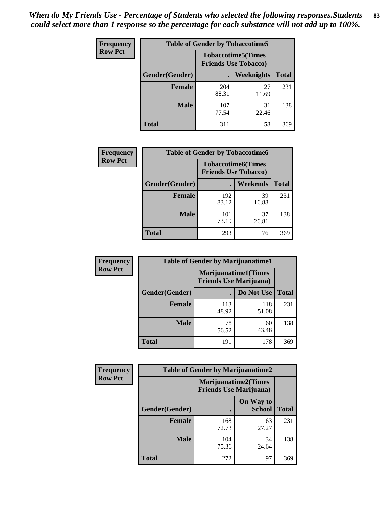| Frequency      | <b>Table of Gender by Tobaccotime5</b> |              |                                                          |              |  |
|----------------|----------------------------------------|--------------|----------------------------------------------------------|--------------|--|
| <b>Row Pct</b> |                                        |              | <b>Tobaccotime5(Times</b><br><b>Friends Use Tobacco)</b> |              |  |
|                | <b>Gender</b> (Gender)                 |              | Weeknights                                               | <b>Total</b> |  |
|                | <b>Female</b>                          | 204<br>88.31 | 27<br>11.69                                              | 231          |  |
|                | <b>Male</b>                            | 107<br>77.54 | 31<br>22.46                                              | 138          |  |
|                | <b>Total</b>                           | 311          | 58                                                       | 369          |  |

| Frequency      | <b>Table of Gender by Tobaccotime6</b> |                                                          |             |              |  |
|----------------|----------------------------------------|----------------------------------------------------------|-------------|--------------|--|
| <b>Row Pct</b> |                                        | <b>Tobaccotime6(Times</b><br><b>Friends Use Tobacco)</b> |             |              |  |
|                | Gender(Gender)                         |                                                          | Weekends    | <b>Total</b> |  |
|                | Female                                 | 192<br>83.12                                             | 39<br>16.88 | 231          |  |
|                | <b>Male</b>                            | 101<br>73.19                                             | 37<br>26.81 | 138          |  |
|                | <b>Total</b>                           | 293                                                      | 76          | 369          |  |

| <b>Frequency</b> | <b>Table of Gender by Marijuanatime1</b> |                                                               |              |              |
|------------------|------------------------------------------|---------------------------------------------------------------|--------------|--------------|
| <b>Row Pct</b>   |                                          | <b>Marijuanatime1(Times</b><br><b>Friends Use Marijuana</b> ) |              |              |
|                  | Gender(Gender)                           |                                                               | Do Not Use   | <b>Total</b> |
|                  | <b>Female</b>                            | 113<br>48.92                                                  | 118<br>51.08 | 231          |
|                  | <b>Male</b>                              | 78<br>56.52                                                   | 60<br>43.48  | 138          |
|                  | <b>Total</b>                             | 191                                                           | 178          | 369          |

| <b>Frequency</b> | <b>Table of Gender by Marijuanatime2</b> |                                                               |                            |              |
|------------------|------------------------------------------|---------------------------------------------------------------|----------------------------|--------------|
| <b>Row Pct</b>   |                                          | <b>Marijuanatime2(Times</b><br><b>Friends Use Marijuana</b> ) |                            |              |
|                  | Gender(Gender)                           |                                                               | On Way to<br><b>School</b> | <b>Total</b> |
|                  | <b>Female</b>                            | 168<br>72.73                                                  | 63<br>27.27                | 231          |
|                  | <b>Male</b>                              | 104<br>75.36                                                  | 34<br>24.64                | 138          |
|                  | <b>Total</b>                             | 272                                                           | 97                         | 369          |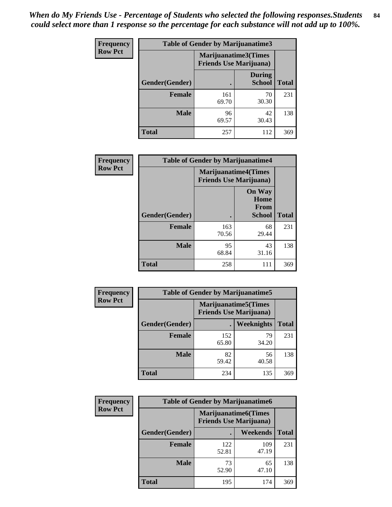| Frequency      | <b>Table of Gender by Marijuanatime3</b> |                                                        |                                |              |
|----------------|------------------------------------------|--------------------------------------------------------|--------------------------------|--------------|
| <b>Row Pct</b> |                                          | Marijuanatime3(Times<br><b>Friends Use Marijuana</b> ) |                                |              |
|                | Gender(Gender)                           |                                                        | <b>During</b><br><b>School</b> | <b>Total</b> |
|                | <b>Female</b>                            | 161<br>69.70                                           | 70<br>30.30                    | 231          |
|                | <b>Male</b>                              | 96<br>69.57                                            | 42<br>30.43                    | 138          |
|                | <b>Total</b>                             | 257                                                    | 112                            | 369          |

| Frequency      | <b>Table of Gender by Marijuanatime4</b> |                                |                                                       |              |
|----------------|------------------------------------------|--------------------------------|-------------------------------------------------------|--------------|
| <b>Row Pct</b> |                                          | <b>Friends Use Marijuana</b> ) | <b>Marijuanatime4</b> (Times                          |              |
|                | Gender(Gender)                           |                                | <b>On Way</b><br>Home<br><b>From</b><br><b>School</b> | <b>Total</b> |
|                | <b>Female</b>                            | 163<br>70.56                   | 68<br>29.44                                           | 231          |
|                | <b>Male</b>                              | 95<br>68.84                    | 43<br>31.16                                           | 138          |
|                | <b>Total</b>                             | 258                            | 111                                                   | 369          |

| Frequency      | <b>Table of Gender by Marijuanatime5</b> |                                                                |             |              |  |
|----------------|------------------------------------------|----------------------------------------------------------------|-------------|--------------|--|
| <b>Row Pct</b> |                                          | <b>Marijuanatime5</b> (Times<br><b>Friends Use Marijuana</b> ) |             |              |  |
|                | Gender(Gender)                           |                                                                | Weeknights  | <b>Total</b> |  |
|                | <b>Female</b>                            | 152<br>65.80                                                   | 79<br>34.20 | 231          |  |
|                | <b>Male</b>                              | 82<br>59.42                                                    | 56<br>40.58 | 138          |  |
|                | <b>Total</b>                             | 234                                                            | 135         | 369          |  |

| Frequency      | <b>Table of Gender by Marijuanatime6</b> |                                                               |                 |              |  |
|----------------|------------------------------------------|---------------------------------------------------------------|-----------------|--------------|--|
| <b>Row Pct</b> |                                          | <b>Marijuanatime6(Times</b><br><b>Friends Use Marijuana</b> ) |                 |              |  |
|                | Gender(Gender)                           |                                                               | <b>Weekends</b> | <b>Total</b> |  |
|                | <b>Female</b>                            | 122<br>52.81                                                  | 109<br>47.19    | 231          |  |
|                | <b>Male</b>                              | 73<br>52.90                                                   | 65<br>47.10     | 138          |  |
|                | <b>Total</b>                             | 195                                                           | 174             | 369          |  |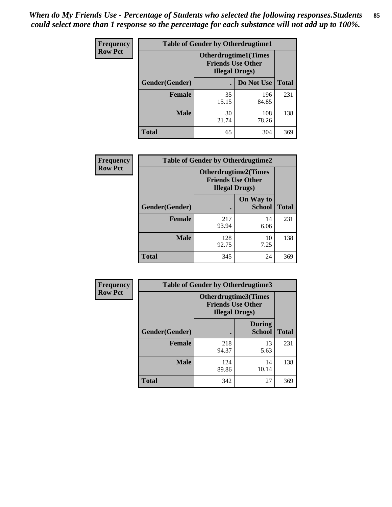*When do My Friends Use - Percentage of Students who selected the following responses.Students could select more than 1 response so the percentage for each substance will not add up to 100%.* **85**

| <b>Frequency</b> | <b>Table of Gender by Otherdrugtime1</b> |                                                    |                              |              |
|------------------|------------------------------------------|----------------------------------------------------|------------------------------|--------------|
| <b>Row Pct</b>   |                                          | <b>Friends Use Other</b><br><b>Illegal Drugs</b> ) | <b>Otherdrugtime1</b> (Times |              |
|                  | Gender(Gender)                           |                                                    | Do Not Use                   | <b>Total</b> |
|                  | <b>Female</b>                            | 35<br>15.15                                        | 196<br>84.85                 | 231          |
|                  | <b>Male</b>                              | 30<br>21.74                                        | 108<br>78.26                 | 138          |
|                  | <b>Total</b>                             | 65                                                 | 304                          | 369          |

| Frequency      | <b>Table of Gender by Otherdrugtime2</b> |                                                                                   |                            |              |
|----------------|------------------------------------------|-----------------------------------------------------------------------------------|----------------------------|--------------|
| <b>Row Pct</b> |                                          | <b>Otherdrugtime2(Times</b><br><b>Friends Use Other</b><br><b>Illegal Drugs</b> ) |                            |              |
|                | Gender(Gender)                           |                                                                                   | On Way to<br><b>School</b> | <b>Total</b> |
|                | <b>Female</b>                            | 217<br>93.94                                                                      | 14<br>6.06                 | 231          |
|                | <b>Male</b>                              | 128<br>92.75                                                                      | 10<br>7.25                 | 138          |
|                | <b>Total</b>                             | 345                                                                               | 24                         | 369          |

| Frequency      |                | <b>Table of Gender by Otherdrugtime3</b> |                                                         |              |
|----------------|----------------|------------------------------------------|---------------------------------------------------------|--------------|
| <b>Row Pct</b> |                | <b>Illegal Drugs</b> )                   | <b>Otherdrugtime3(Times</b><br><b>Friends Use Other</b> |              |
|                | Gender(Gender) |                                          | <b>During</b><br><b>School</b>                          | <b>Total</b> |
|                | <b>Female</b>  | 218<br>94.37                             | 13<br>5.63                                              | 231          |
|                | <b>Male</b>    | 124<br>89.86                             | 14<br>10.14                                             | 138          |
|                | <b>Total</b>   | 342                                      | 27                                                      | 369          |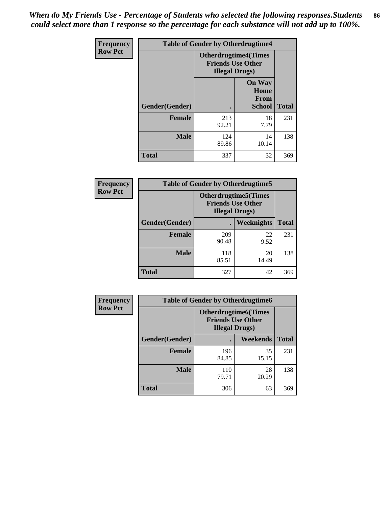*When do My Friends Use - Percentage of Students who selected the following responses.Students could select more than 1 response so the percentage for each substance will not add up to 100%.* **86**

| <b>Frequency</b> | <b>Table of Gender by Otherdrugtime4</b> |                                                    |                                                       |              |
|------------------|------------------------------------------|----------------------------------------------------|-------------------------------------------------------|--------------|
| <b>Row Pct</b>   |                                          | <b>Friends Use Other</b><br><b>Illegal Drugs</b> ) | <b>Otherdrugtime4(Times</b>                           |              |
|                  | Gender(Gender)                           |                                                    | <b>On Way</b><br>Home<br><b>From</b><br><b>School</b> | <b>Total</b> |
|                  | <b>Female</b>                            | 213<br>92.21                                       | 18<br>7.79                                            | 231          |
|                  | <b>Male</b>                              | 124<br>89.86                                       | 14<br>10.14                                           | 138          |
|                  | Total                                    | 337                                                | 32                                                    | 369          |

| Frequency      | <b>Table of Gender by Otherdrugtime5</b> |                                                                                    |             |              |
|----------------|------------------------------------------|------------------------------------------------------------------------------------|-------------|--------------|
| <b>Row Pct</b> |                                          | <b>Otherdrugtime5</b> (Times<br><b>Friends Use Other</b><br><b>Illegal Drugs</b> ) |             |              |
|                | Gender(Gender)                           |                                                                                    | Weeknights  | <b>Total</b> |
|                | <b>Female</b>                            | 209<br>90.48                                                                       | 22<br>9.52  | 231          |
|                | <b>Male</b>                              | 118<br>85.51                                                                       | 20<br>14.49 | 138          |
|                | <b>Total</b>                             | 327                                                                                | 42          | 369          |

| <b>Frequency</b> | <b>Table of Gender by Otherdrugtime6</b> |                                                                                   |             |              |
|------------------|------------------------------------------|-----------------------------------------------------------------------------------|-------------|--------------|
| <b>Row Pct</b>   |                                          | <b>Otherdrugtime6(Times</b><br><b>Friends Use Other</b><br><b>Illegal Drugs</b> ) |             |              |
|                  | Gender(Gender)                           |                                                                                   | Weekends    | <b>Total</b> |
|                  | <b>Female</b>                            | 196<br>84.85                                                                      | 35<br>15.15 | 231          |
|                  | <b>Male</b>                              | 110<br>79.71                                                                      | 28<br>20.29 | 138          |
|                  | <b>Total</b>                             | 306                                                                               | 63          | 369          |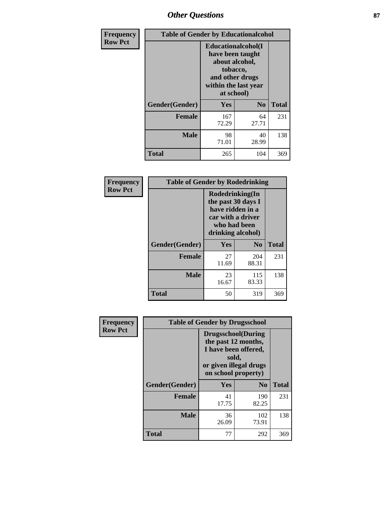# *Other Questions* **87**

| <b>Frequency</b> | <b>Table of Gender by Educationalcohol</b> |                                                                                                                                       |                |              |
|------------------|--------------------------------------------|---------------------------------------------------------------------------------------------------------------------------------------|----------------|--------------|
| <b>Row Pct</b>   |                                            | <b>Educationalcohol</b> (I<br>have been taught<br>about alcohol,<br>tobacco,<br>and other drugs<br>within the last year<br>at school) |                |              |
|                  | Gender(Gender)                             | <b>Yes</b>                                                                                                                            | N <sub>0</sub> | <b>Total</b> |
|                  | <b>Female</b>                              | 167<br>72.29                                                                                                                          | 64<br>27.71    | 231          |
|                  | <b>Male</b>                                | 98<br>71.01                                                                                                                           | 40<br>28.99    | 138          |
|                  | <b>Total</b>                               | 265                                                                                                                                   | 104            | 369          |

| Frequency      | <b>Table of Gender by Rodedrinking</b> |                                                                                                                     |                |              |  |
|----------------|----------------------------------------|---------------------------------------------------------------------------------------------------------------------|----------------|--------------|--|
| <b>Row Pct</b> |                                        | Rodedrinking(In<br>the past 30 days I<br>have ridden in a<br>car with a driver<br>who had been<br>drinking alcohol) |                |              |  |
|                | Gender(Gender)                         | Yes                                                                                                                 | N <sub>0</sub> | <b>Total</b> |  |
|                | <b>Female</b>                          | 27<br>11.69                                                                                                         | 204<br>88.31   | 231          |  |
|                | <b>Male</b>                            | 23<br>16.67                                                                                                         | 115<br>83.33   | 138          |  |
|                | <b>Total</b>                           | 50                                                                                                                  | 319            | 369          |  |

| Frequency      | <b>Table of Gender by Drugsschool</b> |                                                                                                                                     |                |              |  |
|----------------|---------------------------------------|-------------------------------------------------------------------------------------------------------------------------------------|----------------|--------------|--|
| <b>Row Pct</b> |                                       | <b>Drugsschool</b> (During<br>the past 12 months,<br>I have been offered,<br>sold,<br>or given illegal drugs<br>on school property) |                |              |  |
|                | Gender(Gender)                        | Yes                                                                                                                                 | N <sub>0</sub> | <b>Total</b> |  |
|                | <b>Female</b>                         | 41<br>17.75                                                                                                                         | 190<br>82.25   | 231          |  |
|                | <b>Male</b>                           | 36<br>26.09                                                                                                                         | 102<br>73.91   | 138          |  |
|                | <b>Total</b>                          | 77                                                                                                                                  | 292            | 369          |  |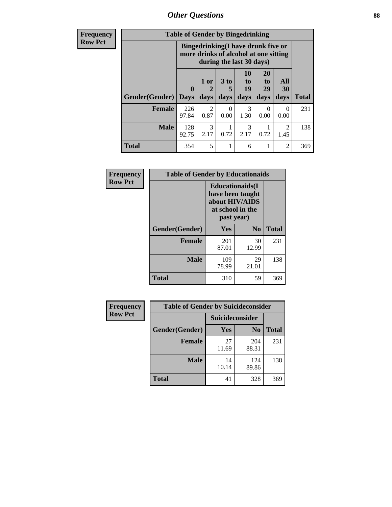*Other Questions* **88**

**Frequency Row Pct**

| <b>Table of Gender by Bingedrinking</b> |              |                                                                                                         |           |                |                           |           |              |
|-----------------------------------------|--------------|---------------------------------------------------------------------------------------------------------|-----------|----------------|---------------------------|-----------|--------------|
|                                         |              | Bingedrinking(I have drunk five or<br>more drinks of alcohol at one sitting<br>during the last 30 days) |           |                |                           |           |              |
|                                         | $\bf{0}$     | 1 or<br>2                                                                                               | 3 to<br>5 | 10<br>to<br>19 | 20<br>to<br>29            | All<br>30 |              |
| <b>Gender</b> (Gender)                  | <b>Days</b>  | days                                                                                                    | days      | days           | days                      | days      | <b>Total</b> |
| <b>Female</b>                           | 226<br>97.84 | $\mathfrak{D}$<br>0.87                                                                                  | 0<br>0.00 | 3<br>1.30      | $\mathbf{\Omega}$<br>0.00 | 0<br>0.00 | 231          |
| <b>Male</b>                             | 128<br>92.75 | 3<br>2.17                                                                                               | 0.72      | 3<br>2.17      | 0.72                      | 2<br>1.45 | 138          |

| Frequency      | <b>Table of Gender by Educationaids</b> |                                                                                                 |             |              |
|----------------|-----------------------------------------|-------------------------------------------------------------------------------------------------|-------------|--------------|
| <b>Row Pct</b> |                                         | <b>Educationaids</b> (I<br>have been taught<br>about HIV/AIDS<br>at school in the<br>past year) |             |              |
|                | Gender(Gender)                          | Yes                                                                                             | $\bf N_0$   | <b>Total</b> |
|                | <b>Female</b>                           | 201<br>87.01                                                                                    | 30<br>12.99 | 231          |
|                | <b>Male</b>                             | 109<br>78.99                                                                                    | 29<br>21.01 | 138          |
|                | <b>Total</b>                            | 310                                                                                             | 59          | 369          |

| <b>Frequency</b> | <b>Table of Gender by Suicideconsider</b> |                 |                |              |  |
|------------------|-------------------------------------------|-----------------|----------------|--------------|--|
| <b>Row Pct</b>   |                                           | Suicideconsider |                |              |  |
|                  | Gender(Gender)                            | <b>Yes</b>      | N <sub>0</sub> | <b>Total</b> |  |
|                  | <b>Female</b>                             | 27<br>11.69     | 204<br>88.31   | 231          |  |
|                  | <b>Male</b>                               | 14<br>10.14     | 124<br>89.86   | 138          |  |
|                  | <b>Total</b>                              | 41              | 328            | 369          |  |